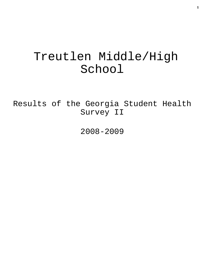# Treutlen Middle/High School

Results of the Georgia Student Health Survey II

2008-2009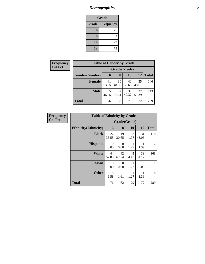#### *Demographics* **2**

| Grade                     |    |  |  |  |  |  |
|---------------------------|----|--|--|--|--|--|
| Grade<br><b>Frequency</b> |    |  |  |  |  |  |
| 6                         | 76 |  |  |  |  |  |
| 8                         | 62 |  |  |  |  |  |
| 10                        | 79 |  |  |  |  |  |
| 12                        | 72 |  |  |  |  |  |

| <b>Frequency</b> | <b>Table of Gender by Grade</b> |             |              |             |             |              |  |  |
|------------------|---------------------------------|-------------|--------------|-------------|-------------|--------------|--|--|
| <b>Col Pct</b>   |                                 |             | Grade(Grade) |             |             |              |  |  |
|                  | Gender(Gender)                  | 6           | 8            | 10          | 12          | <b>Total</b> |  |  |
|                  | <b>Female</b>                   | 41<br>53.95 | 30<br>48.39  | 40<br>50.63 | 35<br>48.61 | 146          |  |  |
|                  | <b>Male</b>                     | 35<br>46.05 | 32<br>51.61  | 39<br>49.37 | 37<br>51.39 | 143          |  |  |
|                  | <b>Total</b>                    | 76          | 62           | 79          | 72          | 289          |  |  |

| <b>Frequency</b> | <b>Table of Ethnicity by Grade</b> |                  |                  |             |                  |              |
|------------------|------------------------------------|------------------|------------------|-------------|------------------|--------------|
| <b>Col Pct</b>   |                                    | Grade(Grade)     |                  |             |                  |              |
|                  | <b>Ethnicity</b> (Ethnicity)       | 6                | 8                | 10          | 12               | <b>Total</b> |
|                  | <b>Black</b>                       | 27<br>35.53      | 19<br>30.65      | 33<br>41.77 | 31<br>43.06      | 110          |
|                  | <b>Hispanic</b>                    | $\Omega$<br>0.00 | 0<br>0.00        | 1.27        | 1.39             | 2            |
|                  | <b>White</b>                       | 44<br>57.89      | 42<br>67.74      | 43<br>54.43 | 39<br>54.17      | 168          |
|                  | <b>Asian</b>                       | $\Omega$<br>0.00 | $\Omega$<br>0.00 | 1.27        | $\Omega$<br>0.00 |              |
|                  | <b>Other</b>                       | 5<br>6.58        | 1.61             | 1.27        | 1.39             | 8            |
|                  | <b>Total</b>                       | 76               | 62               | 79          | 72               | 289          |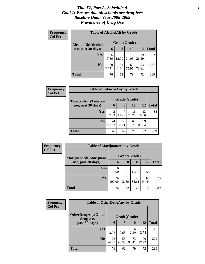#### *Title IV, Part A, Schedule A* **3** *Goal 1: Ensure that all schools are drug-free Baseline Data: Year 2008-2009 Prevalence of Drug Use*

| Frequency<br><b>Col Pct</b> | <b>Table of AlcoholAlt by Grade</b> |              |             |             |             |              |  |  |  |
|-----------------------------|-------------------------------------|--------------|-------------|-------------|-------------|--------------|--|--|--|
|                             | AlcoholAlt(Alcohol                  | Grade(Grade) |             |             |             |              |  |  |  |
|                             | use, past 30 days)                  | 6            | 8           | <b>10</b>   | 12          | <b>Total</b> |  |  |  |
|                             | Yes                                 | 6<br>7.89    | 8<br>12.90  | 19<br>24.05 | 19<br>26.39 | 52           |  |  |  |
|                             | N <sub>0</sub>                      | 70<br>92.11  | 54<br>87.10 | 60<br>75.95 | 53<br>73.61 | 237          |  |  |  |
|                             | Total                               | 76           | 62          | 79          | 72          | 289          |  |  |  |

| Frequency      | <b>Table of TobaccoAny by Grade</b> |                        |              |             |             |              |  |  |
|----------------|-------------------------------------|------------------------|--------------|-------------|-------------|--------------|--|--|
| <b>Col Pct</b> | TobaccoAny(Tobacco                  |                        | Grade(Grade) |             |             |              |  |  |
|                | use, past 30 days)                  | 6                      | 8            | 10          | 12          | <b>Total</b> |  |  |
|                | <b>Yes</b>                          | $\overline{2}$<br>2.63 | 7<br>11.29   | 16<br>20.25 | 13<br>18.06 | 38           |  |  |
|                | N <sub>0</sub>                      | 74<br>97.37            | 55<br>88.71  | 63<br>79.75 | 59<br>81.94 | 251          |  |  |
|                | <b>Total</b>                        | 76                     | 62           | 79          | 72          | 289          |  |  |

| Frequency<br><b>Col Pct</b> | <b>Table of MarijuanaAlt by Grade</b> |                       |             |             |             |              |  |
|-----------------------------|---------------------------------------|-----------------------|-------------|-------------|-------------|--------------|--|
|                             | MarijuanaAlt(Marijuana                | Grade(Grade)          |             |             |             |              |  |
|                             | use, past 30 days)                    | $\boldsymbol{\theta}$ | 8           | 10          | 12          | <b>Total</b> |  |
|                             | Yes                                   | 0<br>0.00             | 1.61        | 9<br>11.39  | 4<br>5.56   | 14           |  |
|                             | N <sub>0</sub>                        | 76<br>100.00          | 61<br>98.39 | 70<br>88.61 | 68<br>94.44 | 275          |  |
|                             | <b>Total</b>                          | 76                    | 62          | 79          | 72          | 289          |  |

| Frequency      | <b>Table of OtherDrugAny by Grade</b>  |             |              |             |             |              |
|----------------|----------------------------------------|-------------|--------------|-------------|-------------|--------------|
| <b>Col Pct</b> | <b>OtherDrugAny(Other</b><br>drug use, |             | Grade(Grade) |             |             |              |
|                | past 30 days)                          | 6           | 8            | 10          | 12          | <b>Total</b> |
|                | <b>Yes</b>                             | 3<br>3.95   | 6<br>9.68    | 6<br>7.59   | 2<br>2.78   | 17           |
|                | N <sub>0</sub>                         | 73<br>96.05 | 56<br>90.32  | 73<br>92.41 | 70<br>97.22 | 272          |
|                | <b>Total</b>                           | 76          | 62           | 79          | 72          | 289          |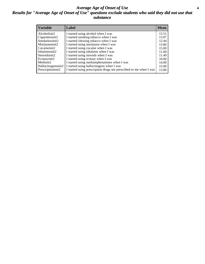#### *Average Age of Onset of Use* **4** *Results for "Average Age of Onset of Use" questions exclude students who said they did not use that substance*

| <b>Variable</b>    | Label                                                              | <b>Mean</b> |
|--------------------|--------------------------------------------------------------------|-------------|
| Alcoholinit2       | I started using alcohol when I was                                 | 13.51       |
| Cigarettesinit2    | I started smoking tobacco when I was                               | 13.07       |
| Smokelessinit2     | I started chewing tobacco when I was                               | 12.44       |
| Marijuanainit2     | I started using marijuana when I was                               | 13.86       |
| Cocaineinit2       | I started using cocaine when I was                                 | 15.00       |
| Inhalantsinit2     | I started using inhalants when I was                               | 11.00       |
| Steroidsinit2      | I started using steroids when I was                                | 11.40       |
| Ecstasyinit2       | I started using ecstasy when I was                                 | 10.00       |
| Methinit2          | I started using methamphetamines when I was                        | 14.00       |
| Hallucinogensinit2 | I started using hallucinogens when I was                           | 15.00       |
| Prescriptioninit2  | I started using prescription drugs not prescribed to me when I was | 13.00       |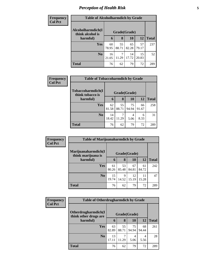### *Perception of Health Risk* **5**

| <b>Frequency</b> | <b>Table of Alcoholharmdich by Grade</b> |              |             |             |             |              |  |
|------------------|------------------------------------------|--------------|-------------|-------------|-------------|--------------|--|
| <b>Col Pct</b>   | Alcoholharmdich(I<br>think alcohol is    | Grade(Grade) |             |             |             |              |  |
|                  | harmful)                                 | 6            | 8           | 10          | 12          | <b>Total</b> |  |
|                  | <b>Yes</b>                               | 60<br>78.95  | 55<br>88.71 | 65<br>82.28 | 57<br>79.17 | 237          |  |
|                  | N <sub>0</sub>                           | 16<br>21.05  | 11.29       | 14<br>17.72 | 15<br>20.83 | 52           |  |
|                  | <b>Total</b>                             | 76           | 62          | 79          | 72          | 289          |  |

| Frequency      | <b>Table of Tobaccoharmdich by Grade</b> |              |             |             |             |              |  |  |
|----------------|------------------------------------------|--------------|-------------|-------------|-------------|--------------|--|--|
| <b>Col Pct</b> | Tobaccoharmdich(I                        | Grade(Grade) |             |             |             |              |  |  |
|                | think tobacco is<br>harmful)             | 6            | 8           | 10          | 12          | <b>Total</b> |  |  |
|                | <b>Yes</b>                               | 62<br>81.58  | 55<br>88.71 | 75<br>94.94 | 66<br>91.67 | 258          |  |  |
|                | N <sub>0</sub>                           | 14<br>18.42  | 11.29       | 4<br>5.06   | 6<br>8.33   | 31           |  |  |
|                | <b>Total</b>                             | 76           | 62          | 79          | 72          | 289          |  |  |

| Frequency      | <b>Table of Marijuanaharmdich by Grade</b> |             |              |             |             |              |
|----------------|--------------------------------------------|-------------|--------------|-------------|-------------|--------------|
| <b>Col Pct</b> | Marijuanaharmdich(I<br>think marijuana is  |             | Grade(Grade) |             |             |              |
|                | harmful)                                   | 6           | 8            | 10          | 12          | <b>Total</b> |
|                | <b>Yes</b>                                 | 61<br>80.26 | 53<br>85.48  | 67<br>84.81 | 61<br>84.72 | 242          |
|                | N <sub>o</sub>                             | 15<br>19.74 | 9<br>14.52   | 12<br>15.19 | 15.28       | 47           |
|                | <b>Total</b>                               | 76          | 62           | 79          | 72          | 289          |

| <b>Frequency</b> | <b>Table of Otherdrugharmdich by Grade</b>   |             |              |             |             |              |
|------------------|----------------------------------------------|-------------|--------------|-------------|-------------|--------------|
| <b>Col Pct</b>   | Otherdrugharmdich(I<br>think other drugs are |             | Grade(Grade) |             |             |              |
|                  | harmful)                                     | 6           | 8            | 10          | <b>12</b>   | <b>Total</b> |
|                  | <b>Yes</b>                                   | 63<br>82.89 | 55<br>88.71  | 75<br>94.94 | 68<br>94.44 | 261          |
|                  | N <sub>o</sub>                               | 13<br>17.11 | 11.29        | 4<br>5.06   | 4<br>5.56   | 28           |
|                  | <b>Total</b>                                 | 76          | 62           | 79          | 72          | 289          |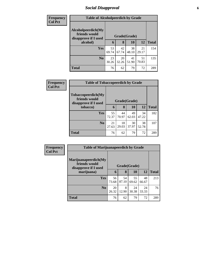#### *Social Disapproval* **6**

| <b>Frequency</b> | <b>Table of Alcoholpeerdich by Grade</b> |             |              |             |             |              |  |
|------------------|------------------------------------------|-------------|--------------|-------------|-------------|--------------|--|
| <b>Col Pct</b>   |                                          |             |              |             |             |              |  |
|                  | Alcoholpeerdich(My<br>friends would      |             | Grade(Grade) |             |             |              |  |
|                  | disapprove if I used<br>alcohol)         | 6           | 8            | 10          | 12          | <b>Total</b> |  |
|                  | Yes                                      | 53<br>69.74 | 42<br>67.74  | 38<br>48.10 | 21<br>29.17 | 154          |  |
|                  | N <sub>0</sub>                           | 23<br>30.26 | 20<br>32.26  | 41<br>51.90 | 51<br>70.83 | 135          |  |
|                  | <b>Total</b>                             | 76          | 62           | 79          | 72          | 289          |  |

| <b>Frequency</b> | <b>Table of Tobaccopeerdich by Grade</b>                    |             |              |             |             |              |
|------------------|-------------------------------------------------------------|-------------|--------------|-------------|-------------|--------------|
| <b>Col Pct</b>   | Tobaccopeerdich(My<br>friends would<br>disapprove if I used |             | Grade(Grade) |             |             |              |
|                  | tobacco)                                                    | 6           | 8            | 10          | 12          | <b>Total</b> |
|                  | <b>Yes</b>                                                  | 55<br>72.37 | 44<br>70.97  | 49<br>62.03 | 34<br>47.22 | 182          |
|                  | N <sub>o</sub>                                              | 21<br>27.63 | 18<br>29.03  | 30<br>37.97 | 38<br>52.78 | 107          |
|                  | <b>Total</b>                                                | 76          | 62           | 79          | 72          | 289          |

| Frequency      | <b>Table of Marijuanapeerdich by Grade</b>                    |             |              |             |             |              |
|----------------|---------------------------------------------------------------|-------------|--------------|-------------|-------------|--------------|
| <b>Col Pct</b> | Marijuanapeerdich(My<br>friends would<br>disapprove if I used |             | Grade(Grade) |             |             |              |
|                | marijuana)                                                    | 6           | 8            | 10          | 12          | <b>Total</b> |
|                | <b>Yes</b>                                                    | 56<br>73.68 | 54<br>87.10  | 55<br>69.62 | 48<br>66.67 | 213          |
|                | N <sub>o</sub>                                                | 20<br>26.32 | 8<br>12.90   | 24<br>30.38 | 24<br>33.33 | 76           |
|                | <b>Total</b>                                                  | 76          | 62           | 79          | 72          | 289          |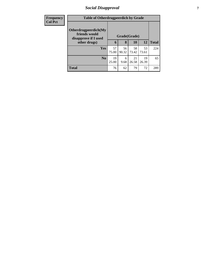#### *Social Disapproval* **7**

| <b>Frequency</b> | <b>Table of Otherdrugpeerdich by Grade</b>                    |              |             |             |             |              |
|------------------|---------------------------------------------------------------|--------------|-------------|-------------|-------------|--------------|
| <b>Col Pct</b>   | Otherdrugpeerdich(My<br>friends would<br>disapprove if I used | Grade(Grade) |             |             |             |              |
|                  | other drugs)                                                  | 6            | 8           | <b>10</b>   | <b>12</b>   | <b>Total</b> |
|                  | Yes                                                           | 57<br>75.00  | 56<br>90.32 | 58<br>73.42 | 53<br>73.61 | 224          |
|                  | N <sub>0</sub>                                                | 19<br>25.00  | 6<br>9.68   | 21<br>26.58 | 19<br>26.39 | 65           |
|                  | <b>Total</b>                                                  | 76           | 62          | 79          | 72          | 289          |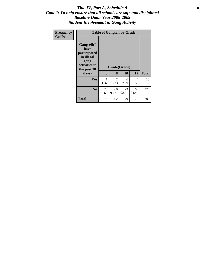#### Title IV, Part A, Schedule A **8** *Goal 2: To help ensure that all schools are safe and disciplined Baseline Data: Year 2008-2009 Student Involvement in Gang Activity*

| Frequency<br><b>Col Pct</b> |                                                                                                   | <b>Table of Gangself by Grade</b> |             |                    |             |              |  |  |  |  |
|-----------------------------|---------------------------------------------------------------------------------------------------|-----------------------------------|-------------|--------------------|-------------|--------------|--|--|--|--|
|                             | Gangself(I<br>have<br>participated<br>in illegal<br>gang<br>activities in<br>the past 30<br>days) | 6                                 | 8           | Grade(Grade)<br>10 | 12          | <b>Total</b> |  |  |  |  |
|                             | <b>Yes</b>                                                                                        | 1.32                              | 2<br>3.23   | 6<br>7.59          | 4<br>5.56   | 13           |  |  |  |  |
|                             | N <sub>0</sub>                                                                                    | 75<br>98.68                       | 60<br>96.77 | 73<br>92.41        | 68<br>94.44 | 276          |  |  |  |  |
|                             | <b>Total</b>                                                                                      | 76                                | 62          | 79                 | 72          | 289          |  |  |  |  |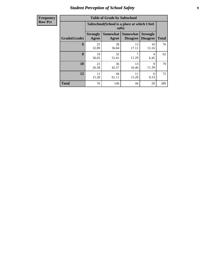### *Student Perception of School Safety* **9**

| <b>Frequency</b> |
|------------------|
| <b>Row Pct</b>   |

| <b>Table of Grade by Safeschool</b> |                          |                                                       |                                    |                                    |              |  |  |  |  |
|-------------------------------------|--------------------------|-------------------------------------------------------|------------------------------------|------------------------------------|--------------|--|--|--|--|
|                                     |                          | Safeschool(School is a place at which I feel<br>safe) |                                    |                                    |              |  |  |  |  |
| Grade(Grade)                        | <b>Strongly</b><br>Agree | <b>Somewhat</b><br>Agree                              | <b>Somewhat</b><br><b>Disagree</b> | <b>Strongly</b><br><b>Disagree</b> | <b>Total</b> |  |  |  |  |
| 6                                   | 25<br>32.89              | 28<br>36.84                                           | 13<br>17.11                        | 10<br>13.16                        | 76           |  |  |  |  |
| 8                                   | 19<br>30.65              | 32<br>51.61                                           | 7<br>11.29                         | 4<br>6.45                          | 62           |  |  |  |  |
| 10                                  | 21<br>26.58              | 36<br>45.57                                           | 13<br>16.46                        | $\mathbf Q$<br>11.39               | 79           |  |  |  |  |
| 12                                  | 11<br>15.28              | 44<br>11<br>6<br>8.33<br>15.28<br>61.11               |                                    |                                    |              |  |  |  |  |
| <b>Total</b>                        | 76                       | 140                                                   | 44                                 | 29                                 | 289          |  |  |  |  |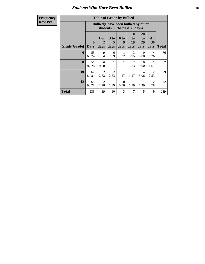#### *Students Who Have Been Bullied* **10**

**Frequency Row Pct**

| <b>Table of Grade by Bullied</b> |              |                                                                               |                        |                              |                        |                        |                        |              |
|----------------------------------|--------------|-------------------------------------------------------------------------------|------------------------|------------------------------|------------------------|------------------------|------------------------|--------------|
|                                  |              | <b>Bullied</b> (I have been bullied by other<br>students in the past 30 days) |                        |                              |                        |                        |                        |              |
| Grade(Grade)   Days              | $\mathbf{0}$ | 1 or<br>$\mathbf{2}$<br>days                                                  | 3 to<br>5<br>days      | 6 <sub>to</sub><br>9<br>days | 10<br>to<br>19<br>days | 20<br>to<br>29<br>days | All<br>30<br>days      | <b>Total</b> |
| 6                                | 53<br>69.74  | 9<br>11.84                                                                    | 6<br>7.89              | 1<br>1.32                    | 3<br>3.95              | $\Omega$<br>0.00       | 4<br>5.26              | 76           |
| 8                                | 51<br>82.26  | 6<br>9.68                                                                     | 1<br>1.61              | 1<br>1.61                    | 2<br>3.23              | $\Omega$<br>0.00       | 1.61                   | 62           |
| 10                               | 67<br>84.81  | 2<br>2.53                                                                     | $\overline{2}$<br>2.53 | 1.27                         | 1<br>1.27              | 4<br>5.06              | $\mathfrak{D}$<br>2.53 | 79           |
| 12                               | 65<br>90.28  | 2<br>2.78                                                                     | 1<br>1.39              | $\Omega$<br>0.00             | 1<br>1.39              | 1<br>1.39              | $\overline{2}$<br>2.78 | 72           |
| Total                            | 236          | 19                                                                            | 10                     | 3                            | 7                      | 5                      | 9                      | 289          |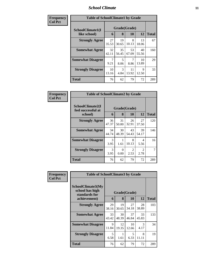#### *School Climate* **11**

| Frequency      | <b>Table of SchoolClimate1 by Grade</b> |             |              |             |             |              |  |  |
|----------------|-----------------------------------------|-------------|--------------|-------------|-------------|--------------|--|--|
| <b>Col Pct</b> | SchoolClimate1(I                        |             | Grade(Grade) |             |             |              |  |  |
|                | like school)                            | 6           | 8            | 10          | 12          | <b>Total</b> |  |  |
|                | <b>Strongly Agree</b>                   | 27<br>35.53 | 19<br>30.65  | 8<br>10.13  | 13<br>18.06 | 67           |  |  |
|                | <b>Somewhat Agree</b>                   | 32<br>42.11 | 35<br>56.45  | 53<br>67.09 | 40<br>55.56 | 160          |  |  |
|                | <b>Somewhat Disagree</b>                | 7<br>9.21   | 5<br>8.06    | 8.86        | 10<br>13.89 | 29           |  |  |
|                | <b>Strongly Disagree</b>                | 10<br>13.16 | 3<br>4.84    | 11<br>13.92 | 9<br>12.50  | 33           |  |  |
|                | <b>Total</b>                            | 76          | 62           | 79          | 72          | 289          |  |  |

| Frequency      | <b>Table of SchoolClimate2 by Grade</b>           |             |                   |                        |                                     |              |
|----------------|---------------------------------------------------|-------------|-------------------|------------------------|-------------------------------------|--------------|
| <b>Col Pct</b> | SchoolClimate2(I<br>feel successful at<br>school) | 6           | Grade(Grade)<br>8 | 10                     | 12                                  | <b>Total</b> |
|                | <b>Strongly Agree</b>                             | 36<br>47.37 | 31<br>50.00       | 26<br>32.91            | 27<br>37.50                         | 120          |
|                | <b>Somewhat Agree</b>                             | 34<br>44.74 | 30<br>48.39       | 43<br>54.43            | 39<br>54.17                         | 146          |
|                | <b>Somewhat Disagree</b>                          | 3<br>3.95   | 1.61              | 8<br>10.13             | 4<br>5.56                           | 16           |
|                | <b>Strongly Disagree</b>                          | 3<br>3.95   | 0<br>0.00         | $\mathfrak{D}$<br>2.53 | $\mathcal{D}_{\mathcal{L}}$<br>2.78 |              |
|                | Total                                             | 76          | 62                | 79                     | 72                                  | 289          |

| Frequency      | <b>Table of SchoolClimate3 by Grade</b>                               |             |                   |             |                       |              |
|----------------|-----------------------------------------------------------------------|-------------|-------------------|-------------|-----------------------|--------------|
| <b>Col Pct</b> | SchoolClimate3(My<br>school has high<br>standards for<br>achievement) | 6           | Grade(Grade)<br>8 | <b>10</b>   | 12                    | <b>Total</b> |
|                | <b>Strongly Agree</b>                                                 | 29          | 19                | 27          | 28                    | 103          |
|                |                                                                       | 38.16       | 30.65             | 34.18       | 38.89                 |              |
|                | <b>Somewhat Agree</b>                                                 | 33<br>43.42 | 30<br>48.39       | 37<br>46.84 | 33<br>45.83           | 133          |
|                | <b>Somewhat Disagree</b>                                              | 9<br>11.84  | 12<br>19.35       | 10<br>12.66 | $\mathcal{F}$<br>4.17 | 34           |
|                | <b>Strongly Disagree</b>                                              | 5<br>6.58   | 1.61              | 5<br>6.33   | 8<br>11.11            | 19           |
|                | Total                                                                 | 76          | 62                | 79          | 72                    | 289          |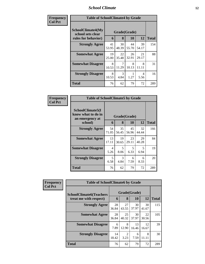### *School Climate* **12**

| Frequency      | <b>Table of SchoolClimate4 by Grade</b>                              |             |                   |             |                        |              |  |
|----------------|----------------------------------------------------------------------|-------------|-------------------|-------------|------------------------|--------------|--|
| <b>Col Pct</b> | <b>SchoolClimate4(My</b><br>school sets clear<br>rules for behavior) | 6           | Grade(Grade)<br>8 | <b>10</b>   | 12                     | <b>Total</b> |  |
|                | <b>Strongly Agree</b>                                                | 41<br>53.95 | 30<br>48.39       | 44<br>55.70 | 39<br>54.17            | 154          |  |
|                | <b>Somewhat Agree</b>                                                | 19<br>25.00 | 22<br>35.48       | 26<br>32.91 | 21<br>29.17            | 88           |  |
|                | <b>Somewhat Disagree</b>                                             | 8<br>10.53  | 7<br>11.29        | 8<br>10.13  | 8<br>11.11             | 31           |  |
|                | <b>Strongly Disagree</b>                                             | 8<br>10.53  | 3<br>4.84         | 1.27        | $\overline{4}$<br>5.56 | 16           |  |
|                | <b>Total</b>                                                         | 76          | 62                | 79          | 72                     | 289          |  |

| Frequency      | <b>Table of SchoolClimate5 by Grade</b>                   |                        |              |             |             |              |  |  |
|----------------|-----------------------------------------------------------|------------------------|--------------|-------------|-------------|--------------|--|--|
| <b>Col Pct</b> | SchoolClimate5(I<br>know what to do in<br>an emergency at |                        | Grade(Grade) |             |             |              |  |  |
|                | school)                                                   | 6                      | 8            | 10          | 12          | <b>Total</b> |  |  |
|                | <b>Strongly Agree</b>                                     | 54<br>71.05            | 35<br>56.45  | 45<br>56.96 | 32<br>44.44 | 166          |  |  |
|                | <b>Somewhat Agree</b>                                     | 13<br>17.11            | 19<br>30.65  | 23<br>29.11 | 29<br>40.28 | 84           |  |  |
|                | <b>Somewhat Disagree</b>                                  | $\overline{4}$<br>5.26 | 5<br>8.06    | 5<br>6.33   | 5<br>6.94   | 19           |  |  |
|                | <b>Strongly Disagree</b>                                  | 5<br>6.58              | 3<br>4.84    | 6<br>7.59   | 6<br>8.33   | 20           |  |  |
|                | Total                                                     | 76                     | 62           | 79          | 72          | 289          |  |  |

| <b>Frequency</b> | <b>Table of SchoolClimate6 by Grade</b> |              |             |             |             |              |  |
|------------------|-----------------------------------------|--------------|-------------|-------------|-------------|--------------|--|
| <b>Col Pct</b>   | <b>SchoolClimate6(Teachers</b>          | Grade(Grade) |             |             |             |              |  |
|                  | treat me with respect)                  | 6            | 8           | 10          | 12          | <b>Total</b> |  |
|                  | <b>Strongly Agree</b>                   | 28<br>36.84  | 27<br>43.55 | 30<br>37.97 | 30<br>41.67 | 115          |  |
|                  | <b>Somewhat Agree</b>                   | 28<br>36.84  | 25<br>40.32 | 30<br>37.97 | 22<br>30.56 | 105          |  |
|                  | <b>Somewhat Disagree</b>                | 6<br>7.89    | 8<br>12.90  | 13<br>16.46 | 12<br>16.67 | 39           |  |
|                  | <b>Strongly Disagree</b>                | 14<br>18.42  | 2<br>3.23   | 6<br>7.59   | 8<br>11.11  | 30           |  |
|                  | <b>Total</b>                            | 76           | 62          | 79          | 72          | 289          |  |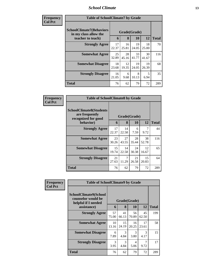### *School Climate* **13**

| <b>Frequency</b> |
|------------------|
| <b>Col Pct</b>   |

 $\blacksquare$ 

| ncv | <b>Table of SchoolClimate7 by Grade</b>                                                                             |             |             |             |             |              |  |  |  |
|-----|---------------------------------------------------------------------------------------------------------------------|-------------|-------------|-------------|-------------|--------------|--|--|--|
|     | <b>SchoolClimate7(Behaviors</b><br>Grade(Grade)<br>in my class allow the<br>12<br>8<br>10<br>teacher to teach)<br>6 |             |             |             |             | <b>Total</b> |  |  |  |
|     | <b>Strongly Agree</b>                                                                                               | 17<br>22.37 | 16<br>25.81 | 19<br>24.05 | 18<br>25.00 | 70           |  |  |  |
|     | <b>Somewhat Agree</b>                                                                                               | 25<br>32.89 | 28<br>45.16 | 33<br>41.77 | 30<br>41.67 | 116          |  |  |  |
|     | <b>Somewhat Disagree</b>                                                                                            | 18<br>23.68 | 12<br>19.35 | 19<br>24.05 | 19<br>26.39 | 68           |  |  |  |
|     | <b>Strongly Disagree</b>                                                                                            | 16<br>21.05 | 6<br>9.68   | 8<br>10.13  | 5<br>6.94   | 35           |  |  |  |
|     | <b>Total</b>                                                                                                        | 76          | 62          | 79          | 72          | 289          |  |  |  |

| Frequency      | <b>Table of SchoolClimate8 by Grade</b>                                 |             |                   |             |             |              |
|----------------|-------------------------------------------------------------------------|-------------|-------------------|-------------|-------------|--------------|
| <b>Col Pct</b> | <b>SchoolClimate8(Students</b><br>are frequently<br>recognized for good |             | Grade(Grade)<br>8 |             | 12          |              |
|                | behavior)                                                               | 6           |                   | 10          |             | <b>Total</b> |
|                | <b>Strongly Agree</b>                                                   | 17<br>22.37 | 14<br>22.58       | 6<br>7.59   | 7<br>9.72   | 44           |
|                | <b>Somewhat Agree</b>                                                   | 23<br>30.26 | 27<br>43.55       | 28<br>35.44 | 38<br>52.78 | 116          |
|                | <b>Somewhat Disagree</b>                                                | 15<br>19.74 | 14<br>22.58       | 24<br>30.38 | 12<br>16.67 | 65           |
|                | <b>Strongly Disagree</b>                                                | 21<br>27.63 | 7<br>11.29        | 21<br>26.58 | 15<br>20.83 | 64           |
|                | <b>Total</b>                                                            | 76          | 62                | 79          | 72          | 289          |

| Frequency      | <b>Table of SchoolClimate9 by Grade</b>                            |                       |              |             |                       |     |  |  |
|----------------|--------------------------------------------------------------------|-----------------------|--------------|-------------|-----------------------|-----|--|--|
| <b>Col Pct</b> | SchoolClimate9(School<br>counselor would be<br>helpful if I needed |                       | Grade(Grade) |             |                       |     |  |  |
| assistance)    | 6                                                                  | 8                     | 10           | 12          | <b>Total</b>          |     |  |  |
|                | <b>Strongly Agree</b>                                              | 57<br>75.00           | 41<br>66.13  | 56<br>70.89 | 45<br>62.50           | 199 |  |  |
|                | <b>Somewhat Agree</b>                                              | 10<br>13.16           | 15<br>24.19  | 16<br>20.25 | 17<br>23.61           | 58  |  |  |
|                | <b>Somewhat Disagree</b>                                           | 6<br>7.89             | 3<br>4.84    | 3<br>3.80   | $\mathcal{R}$<br>4.17 | 15  |  |  |
|                | <b>Strongly Disagree</b>                                           | $\mathcal{F}$<br>3.95 | 3<br>4.84    | 4<br>5.06   | 7<br>9.72             | 17  |  |  |
|                | <b>Total</b>                                                       | 76                    | 62           | 79          | 72                    | 289 |  |  |

٦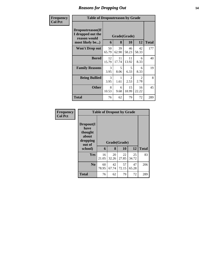# *Reasons for Dropping Out* **14**

| Frequency      | <b>Table of Dropoutreason by Grade</b>                                   |                   |              |             |                                     |     |  |  |  |
|----------------|--------------------------------------------------------------------------|-------------------|--------------|-------------|-------------------------------------|-----|--|--|--|
| <b>Col Pct</b> | Dropoutreason(If<br>I dropped out the<br>reason would<br>most likely be) | Grade(Grade)<br>6 | <b>Total</b> |             |                                     |     |  |  |  |
|                | <b>Won't Drop out</b>                                                    | 50<br>65.79       | 39<br>62.90  | 46<br>58.23 | 42<br>58.33                         | 177 |  |  |  |
|                | <b>Bored</b>                                                             | 12<br>15.79       | 11<br>17.74  | 11<br>13.92 | 6<br>8.33                           | 40  |  |  |  |
|                | <b>Family Reasons</b>                                                    | 3<br>3.95         | 5<br>8.06    | 5<br>6.33   | 6<br>8.33                           | 19  |  |  |  |
|                | <b>Being Bullied</b>                                                     | 3<br>3.95         | 1<br>1.61    | 2<br>2.53   | $\mathcal{D}_{\mathcal{L}}$<br>2.78 | 8   |  |  |  |
|                | <b>Other</b>                                                             | 8<br>10.53        | 6<br>9.68    | 15<br>18.99 | 16<br>22.22                         | 45  |  |  |  |
|                | Total                                                                    | 76                | 62           | 79          | 72                                  | 289 |  |  |  |

| Frequency      | <b>Table of Dropout by Grade</b>                            |             |              |             |             |              |  |
|----------------|-------------------------------------------------------------|-------------|--------------|-------------|-------------|--------------|--|
| <b>Col Pct</b> | Dropout(I<br>have<br>thought<br>about<br>dropping<br>out of |             | Grade(Grade) |             |             |              |  |
|                | school)                                                     | 6           | 8            | 10          | 12          | <b>Total</b> |  |
|                | <b>Yes</b>                                                  | 16<br>21.05 | 20<br>32.26  | 22<br>27.85 | 25<br>34.72 | 83           |  |
|                | N <sub>0</sub>                                              | 60<br>78.95 | 42<br>67.74  | 57<br>72.15 | 47<br>65.28 | 206          |  |
|                | <b>Total</b>                                                | 76          | 62           | 79          | 72          | 289          |  |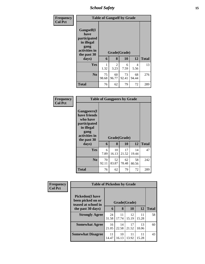*School Safety* **15**

| Frequency<br><b>Col Pct</b> | <b>Table of Gangself by Grade</b>                                                                 |             |             |                    |             |              |  |  |
|-----------------------------|---------------------------------------------------------------------------------------------------|-------------|-------------|--------------------|-------------|--------------|--|--|
|                             | Gangself(I<br>have<br>participated<br>in illegal<br>gang<br>activities in<br>the past 30<br>days) | 6           | 8           | Grade(Grade)<br>10 | 12          | <b>Total</b> |  |  |
|                             |                                                                                                   |             |             |                    |             |              |  |  |
|                             | Yes                                                                                               | 1.32        | 2<br>3.23   | 6<br>7.59          | 4<br>5.56   | 13           |  |  |
|                             | N <sub>0</sub>                                                                                    | 75<br>98.68 | 60<br>96.77 | 73<br>92.41        | 68<br>94.44 | 276          |  |  |
|                             | <b>Total</b>                                                                                      | 76          | 62          | 79                 | 72          | 289          |  |  |

| Frequency      |  |
|----------------|--|
| <b>Col Pct</b> |  |
|                |  |

| <b>Table of Gangpeers by Grade</b>                                                                                    |             |              |             |             |              |  |  |  |  |
|-----------------------------------------------------------------------------------------------------------------------|-------------|--------------|-------------|-------------|--------------|--|--|--|--|
| <b>Gangpeers</b> (I<br>have friends<br>who have<br>participated<br>in illegal<br>gang<br>activities in<br>the past 30 |             | Grade(Grade) |             |             |              |  |  |  |  |
| days)                                                                                                                 | 6           | 8            | 10          | 12          | <b>Total</b> |  |  |  |  |
| Yes                                                                                                                   | 6<br>7.89   | 10<br>16.13  | 17<br>21.52 | 14<br>19.44 | 47           |  |  |  |  |
| N <sub>0</sub>                                                                                                        | 70<br>92.11 | 52<br>83.87  | 62<br>78.48 | 58<br>80.56 | 242          |  |  |  |  |
| Total                                                                                                                 | 76          | 62           | 79          | 72          | 289          |  |  |  |  |

| Frequency<br><b>Col Pct</b> | <b>Table of Pickedon by Grade</b>                                   |              |             |             |             |              |
|-----------------------------|---------------------------------------------------------------------|--------------|-------------|-------------|-------------|--------------|
|                             | <b>Pickedon</b> (I have<br>been picked on or<br>teased at school in | Grade(Grade) |             |             |             |              |
|                             | the past 30 days)                                                   | 6            | 8           | 10          | 12          | <b>Total</b> |
|                             | <b>Strongly Agree</b>                                               | 24<br>31.58  | 11<br>17.74 | 12<br>15.19 | 11<br>15.28 | 58           |
|                             | <b>Somewhat Agree</b>                                               | 16<br>21.05  | 14<br>22.58 | 17<br>21.52 | 13<br>18.06 | 60           |
|                             | <b>Somewhat Disagree</b>                                            | 11<br>14.47  | 10<br>16.13 | 11<br>13.92 | 11<br>15.28 | 43           |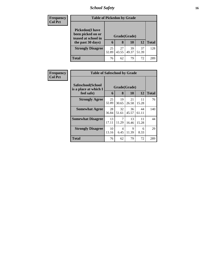## *School Safety* **16**

| <b>Frequency</b> | <b>Table of Pickedon by Grade</b>            |              |       |       |       |              |
|------------------|----------------------------------------------|--------------|-------|-------|-------|--------------|
| <b>Col Pct</b>   | <b>Pickedon</b> (I have<br>been picked on or |              |       |       |       |              |
|                  | teased at school in                          | Grade(Grade) |       |       |       |              |
|                  | the past 30 days)                            | 6            | 8     | 10    | 12    | <b>Total</b> |
|                  | <b>Strongly Disagree</b>                     | 25           | 27    | 39    | 37    | 128          |
|                  |                                              | 32.89        | 43.55 | 49.37 | 51.39 |              |
|                  | <b>Total</b>                                 | 76           | 62    | 79    | 72    | 289          |

| Frequency<br><b>Col Pct</b> | <b>Table of Safeschool by Grade</b>        |              |             |             |             |              |  |  |  |
|-----------------------------|--------------------------------------------|--------------|-------------|-------------|-------------|--------------|--|--|--|
|                             | Safeschool(School<br>is a place at which I | Grade(Grade) |             |             |             |              |  |  |  |
|                             | feel safe)                                 | 6            | 8           | 10          | 12          | <b>Total</b> |  |  |  |
|                             | <b>Strongly Agree</b>                      | 25<br>32.89  | 19<br>30.65 | 21<br>26.58 | 11<br>15.28 | 76           |  |  |  |
|                             | <b>Somewhat Agree</b>                      | 28<br>36.84  | 32<br>51.61 | 36<br>45.57 | 44<br>61.11 | 140          |  |  |  |
|                             | <b>Somewhat Disagree</b>                   | 13<br>17.11  | 11.29       | 13<br>16.46 | 11<br>15.28 | 44           |  |  |  |
|                             | <b>Strongly Disagree</b>                   | 10<br>13.16  | 4<br>6.45   | 9<br>11.39  | 6<br>8.33   | 29           |  |  |  |
|                             | <b>Total</b>                               | 76           | 62          | 79          | 72          | 289          |  |  |  |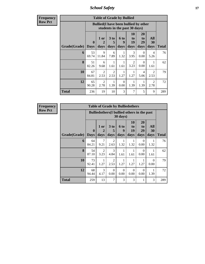*School Safety* **17**

**Frequency Row Pct**

| <b>Table of Grade by Bullied</b> |                             |                                                                               |                              |                   |                        |                        |                                     |              |  |  |  |
|----------------------------------|-----------------------------|-------------------------------------------------------------------------------|------------------------------|-------------------|------------------------|------------------------|-------------------------------------|--------------|--|--|--|
|                                  |                             | <b>Bullied</b> (I have been bullied by other<br>students in the past 30 days) |                              |                   |                        |                        |                                     |              |  |  |  |
| Grade(Grade)                     | $\mathbf{0}$<br><b>Days</b> | 1 or<br>2<br>days                                                             | 3 <sub>to</sub><br>5<br>days | 6 to<br>9<br>days | 10<br>to<br>19<br>days | 20<br>to<br>29<br>days | All<br>30<br>days                   | <b>Total</b> |  |  |  |
| 6                                | 53<br>69.74                 | 9<br>11.84                                                                    | 6<br>7.89                    | 1.32              | 3<br>3.95              | $\Omega$<br>0.00       | 4<br>5.26                           | 76           |  |  |  |
| 8                                | 51<br>82.26                 | 6<br>9.68                                                                     | 1<br>1.61                    | 1<br>1.61         | 2<br>3.23              | $\Omega$<br>0.00       | 1.61                                | 62           |  |  |  |
| 10                               | 67<br>84.81                 | $\mathfrak{D}$<br>2.53                                                        | $\overline{2}$<br>2.53       | 1.27              | 1.27                   | 4<br>5.06              | $\mathcal{D}_{\mathcal{A}}$<br>2.53 | 79           |  |  |  |
| 12                               | 65<br>90.28                 | $\mathfrak{D}$<br>2.78                                                        | 1<br>1.39                    | $\Omega$<br>0.00  | 1.39                   | 1<br>1.39              | $\mathfrak{D}$<br>2.78              | 72           |  |  |  |
| <b>Total</b>                     | 236                         | 19                                                                            | 10                           | 3                 | 7                      | 5                      | 9                                   | 289          |  |  |  |

**Frequency Row Pct**

| <b>Table of Grade by Bulliedothers</b> |                             |                                                                  |                        |                      |                        |                        |                   |              |  |  |  |
|----------------------------------------|-----------------------------|------------------------------------------------------------------|------------------------|----------------------|------------------------|------------------------|-------------------|--------------|--|--|--|
|                                        |                             | Bulliedothers (I bullied others in the past<br>$30 \text{ days}$ |                        |                      |                        |                        |                   |              |  |  |  |
| Grade(Grade)                           | $\mathbf{0}$<br><b>Days</b> | 1 or<br>$\overline{2}$<br>days                                   | 3 to<br>5<br>days      | 6 to<br>9<br>days    | 10<br>to<br>19<br>days | 20<br>to<br>29<br>days | All<br>30<br>days | <b>Total</b> |  |  |  |
| 6                                      | 64<br>84.21                 | $\overline{7}$<br>9.21                                           | $\mathfrak{D}$<br>2.63 | 1<br>1.32            | 1.32                   | $\Omega$<br>0.00       | 1.32              | 76           |  |  |  |
| 8                                      | 54<br>87.10                 | $\overline{2}$<br>3.23                                           | 3<br>4.84              | 1<br>1.61            | 1<br>1.61              | $\Omega$<br>0.00       | 1<br>1.61         | 62           |  |  |  |
| 10                                     | 73<br>92.41                 | 1.27                                                             | 2<br>2.53              | $\mathbf{1}$<br>1.27 | 1.27                   | 1<br>1.27              | $\Omega$<br>0.00  | 79           |  |  |  |
| 12                                     | 68<br>94.44                 | 3<br>4.17                                                        | $\Omega$<br>0.00       | $\Omega$<br>0.00     | $\Omega$<br>0.00       | $\Omega$<br>0.00       | 1.39              | 72           |  |  |  |
| <b>Total</b>                           | 259                         | 13                                                               | 7                      | 3                    | 3                      | 1                      | 3                 | 289          |  |  |  |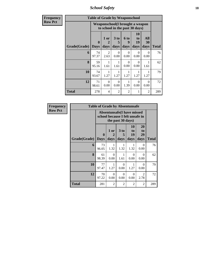*School Safety* **18**

| <b>Frequency</b> | <b>Table of Grade by Weaponschool</b> |                         |                                             |                                                                   |                              |                                           |                   |              |  |  |  |
|------------------|---------------------------------------|-------------------------|---------------------------------------------|-------------------------------------------------------------------|------------------------------|-------------------------------------------|-------------------|--------------|--|--|--|
| <b>Row Pct</b>   |                                       |                         |                                             | Weaponschool(I brought a weapon<br>to school in the past 30 days) |                              |                                           |                   |              |  |  |  |
|                  | Grade(Grade)                          | $\bf{0}$<br><b>Days</b> | 1 or<br>$\mathcal{D}_{\mathcal{A}}$<br>days | 3 to<br>5<br>days                                                 | 6 <sub>to</sub><br>9<br>days | <b>10</b><br>t <sub>0</sub><br>19<br>days | All<br>30<br>days | <b>Total</b> |  |  |  |
|                  | 6                                     | 74<br>97.37             | $\mathfrak{D}$<br>2.63                      | $\Omega$<br>0.00                                                  | $\Omega$<br>0.00             | $\Omega$<br>0.00                          | $\Omega$<br>0.00  | 76           |  |  |  |
|                  | 8                                     | 59<br>95.16             | 1<br>1.61                                   | 1<br>1.61                                                         | $\Omega$<br>0.00             | $\Omega$<br>0.00                          | 1<br>1.61         | 62           |  |  |  |
|                  | 10                                    | 74<br>93.67             | 1.27                                        | 1.27                                                              | 1.27                         | 1.27                                      | 1<br>1.27         | 79           |  |  |  |
|                  | 12                                    | 71<br>98.61             | $\Omega$<br>0.00                            | $\Omega$<br>0.00                                                  | 1.39                         | $\Omega$<br>0.00                          | 0<br>0.00         | 72           |  |  |  |
|                  | <b>Total</b>                          | 278                     | 4                                           | $\overline{2}$                                                    | 2                            | 1                                         | 2                 | 289          |  |  |  |

| <b>Frequency</b> | <b>Table of Grade by Absentunsafe</b> |                         |                                                                      |                              |                        |                               |              |  |  |  |  |
|------------------|---------------------------------------|-------------------------|----------------------------------------------------------------------|------------------------------|------------------------|-------------------------------|--------------|--|--|--|--|
| <b>Row Pct</b>   |                                       |                         | <b>Absentunsafe(I have missed</b><br>school because I felt unsafe in | the past 30 days)            |                        |                               |              |  |  |  |  |
|                  | Grade(Grade)                          | $\bf{0}$<br><b>Days</b> | 1 or<br>2<br>days                                                    | 3 <sub>to</sub><br>5<br>days | 10<br>to<br>19<br>days | <b>20</b><br>to<br>29<br>days | <b>Total</b> |  |  |  |  |
|                  | 6                                     | 73<br>96.05             | 1.32                                                                 | 1.32                         | 1<br>1.32              | $\Omega$<br>0.00              | 76           |  |  |  |  |
|                  | 8                                     | 61<br>98.39             | 0<br>0.00                                                            | 1<br>1.61                    | $\Omega$<br>0.00       | 0<br>0.00                     | 62           |  |  |  |  |
|                  | 10                                    | 77<br>97.47             | 1.27                                                                 | $\Omega$<br>0.00             | 1.27                   | $\Omega$<br>0.00              | 79           |  |  |  |  |
|                  | 12                                    | 70<br>97.22             | $\Omega$<br>0.00                                                     | $\Omega$<br>0.00             | $\Omega$<br>0.00       | 2<br>2.78                     | 72           |  |  |  |  |
|                  | <b>Total</b>                          | 281                     | $\overline{2}$                                                       | $\overline{2}$               | $\overline{2}$         | 2                             | 289          |  |  |  |  |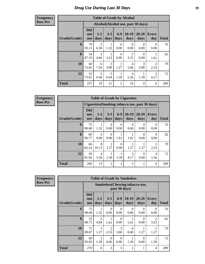#### *Drug Use During Last 30 Days* **19**

#### **Frequency Row Pct**

| <b>Table of Grade by Alcohol</b> |                                 |                                    |                        |               |                        |                       |                  |              |  |  |  |
|----------------------------------|---------------------------------|------------------------------------|------------------------|---------------|------------------------|-----------------------|------------------|--------------|--|--|--|
|                                  |                                 | Alcohol(Alcohol use, past 30 days) |                        |               |                        |                       |                  |              |  |  |  |
| Grade(Grade)                     | <b>Did</b><br>not<br><b>use</b> | $1 - 2$<br>days                    | $3 - 5$<br>days        | $6-9$<br>days | $10-19$<br>days        | $20 - 29$<br>days     | Every<br>day     | <b>Total</b> |  |  |  |
| 6                                | 70<br>92.11                     | 5<br>6.58                          | 1.32                   | 0<br>0.00     | $\Omega$<br>0.00       | 0<br>0.00             | $\Omega$<br>0.00 | 76           |  |  |  |
| 8                                | 54<br>87.10                     | 3<br>4.84                          | $\overline{2}$<br>3.23 | 0<br>0.00     | $\overline{2}$<br>3.23 | $\Omega$<br>0.00      | 1.61             | 62           |  |  |  |
| 10                               | 60<br>75.95                     | 6<br>7.59                          | 3<br>3.80              | 1<br>1.27     | $\overline{4}$<br>5.06 | $\mathcal{R}$<br>3.80 | 2<br>2.53        | 79           |  |  |  |
| 12                               | 53<br>73.61                     | 5<br>6.94                          | 5<br>6.94              | 1.39          | 4<br>5.56              | 1.39                  | 3<br>4.17        | 72           |  |  |  |
| <b>Total</b>                     | 237                             | 19                                 | 11                     | 2             | 10                     | 4                     | 6                | 289          |  |  |  |

**Frequency Row Pct**

|              | <b>Table of Grade by Cigarettes</b> |                  |                  |                  |                 |                   |                                                |              |  |  |  |  |
|--------------|-------------------------------------|------------------|------------------|------------------|-----------------|-------------------|------------------------------------------------|--------------|--|--|--|--|
|              |                                     |                  |                  |                  |                 |                   | Cigarettes (Smoking tobacco use, past 30 days) |              |  |  |  |  |
| Grade(Grade) | <b>Did</b><br>not<br><b>use</b>     | $1-2$<br>days    | $3 - 5$<br>days  | $6 - 9$<br>days  | $10-19$<br>days | $20 - 29$<br>days | Every<br>day                                   | <b>Total</b> |  |  |  |  |
| 6            | 75<br>98.68                         | 1.32             | $\Omega$<br>0.00 | 0<br>0.00        | 0<br>0.00       | 0<br>0.00         | $\Omega$<br>0.00                               | 76           |  |  |  |  |
| 8            | 60<br>96.77                         | $\Omega$<br>0.00 | $\Omega$<br>0.00 | 1.61             | 1.61            | $\Omega$<br>0.00  | 0<br>0.00                                      | 62           |  |  |  |  |
| 10           | 66<br>83.54                         | 8<br>10.13       | 1.27             | $\Omega$<br>0.00 | 1.27            | 1.27              | $\mathcal{D}_{\mathcal{L}}$<br>2.53            | 79           |  |  |  |  |
| 12           | 59<br>81.94                         | 4<br>5.56        | 1.39             | 1.39             | 3<br>4.17       | 0<br>0.00         | 4<br>5.56                                      | 72           |  |  |  |  |
| <b>Total</b> | 260                                 | 13               | $\overline{2}$   | $\overline{2}$   | 5               |                   | 6                                              | 289          |  |  |  |  |

| <b>Frequency</b> |
|------------------|
| <b>Row Pct</b>   |

- II

| <b>Table of Grade by Smokeless</b> |                                 |                                                         |                  |                  |                  |               |                        |              |  |  |  |
|------------------------------------|---------------------------------|---------------------------------------------------------|------------------|------------------|------------------|---------------|------------------------|--------------|--|--|--|
|                                    |                                 | <b>Smokeless</b> (Chewing tobacco use,<br>past 30 days) |                  |                  |                  |               |                        |              |  |  |  |
| Grade(Grade)                       | <b>Did</b><br>not<br><b>use</b> | $1 - 2$<br>days                                         | $3 - 5$<br>days  | $6-9$<br>days    | $10-19$<br>days  | 20-29<br>days | <b>Every</b><br>day    | <b>Total</b> |  |  |  |
| 6                                  | 75<br>98.68                     | 1.32                                                    | 0<br>0.00        | $\Omega$<br>0.00 | 0<br>0.00        | 0<br>0.00     | $\Omega$<br>0.00       | 76           |  |  |  |
| 8                                  | 55<br>88.71                     | 3<br>4.84                                               | 1.61             | $\Omega$<br>0.00 | 1.61             | 0<br>0.00     | $\mathfrak{D}$<br>3.23 | 62           |  |  |  |
| 10                                 | 71<br>89.87                     | 1.27                                                    | 2<br>2.53        | 3<br>3.80        | $\Omega$<br>0.00 | 1.27          | 1.27                   | 79           |  |  |  |
| 12                                 | 69<br>95.83                     | 1.39                                                    | $\Omega$<br>0.00 | $\Omega$<br>0.00 | 1.39             | 0<br>0.00     | 1.39                   | 72           |  |  |  |
| <b>Total</b>                       | 270                             | 6                                                       | 3                | 3                | 2                |               | $\overline{4}$         | 289          |  |  |  |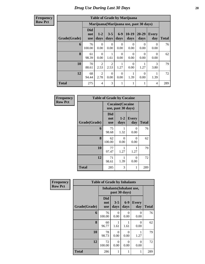| <b>Frequency</b> |
|------------------|
| <b>Row Pct</b>   |

| <b>Table of Grade by Marijuana</b> |                          |                                         |                  |                  |                  |                   |                     |              |  |  |  |
|------------------------------------|--------------------------|-----------------------------------------|------------------|------------------|------------------|-------------------|---------------------|--------------|--|--|--|
|                                    |                          | Marijuana (Marijuana use, past 30 days) |                  |                  |                  |                   |                     |              |  |  |  |
| Grade(Grade)                       | Did<br>not<br><b>use</b> | $1 - 2$<br>days                         | $3 - 5$<br>days  | $6-9$<br>days    | $10-19$<br>days  | $20 - 29$<br>days | <b>Every</b><br>day | <b>Total</b> |  |  |  |
| 6                                  | 76<br>100.00             | 0<br>0.00                               | $\Omega$<br>0.00 | $\Omega$<br>0.00 | 0<br>0.00        | $\Omega$<br>0.00  | 0<br>0.00           | 76           |  |  |  |
| 8                                  | 61<br>98.39              | $\Omega$<br>0.00                        | 1.61             | $\Omega$<br>0.00 | 0<br>0.00        | 0<br>0.00         | $\Omega$<br>0.00    | 62           |  |  |  |
| 10                                 | 70<br>88.61              | $\overline{2}$<br>2.53                  | 2<br>2.53        | 1.27             | $\theta$<br>0.00 | 1.27              | 3<br>3.80           | 79           |  |  |  |
| 12                                 | 68<br>94.44              | $\mathcal{D}_{\mathcal{A}}$<br>2.78     | $\Omega$<br>0.00 | $\Omega$<br>0.00 | 1<br>1.39        | 0<br>0.00         | 1.39                | 72           |  |  |  |
| <b>Total</b>                       | 275                      | 4                                       | 3                | 1                | 1                |                   | 4                   | 289          |  |  |  |

| Frequency      |              | <b>Table of Grade by Cocaine</b>              |                               |                     |              |  |
|----------------|--------------|-----------------------------------------------|-------------------------------|---------------------|--------------|--|
| <b>Row Pct</b> |              | <b>Cocaine</b> (Cocaine<br>use, past 30 days) |                               |                     |              |  |
|                | Grade(Grade) | <b>Did</b><br>not<br><b>use</b>               | $1-2$<br>days                 | <b>Every</b><br>day | <b>Total</b> |  |
|                | 6            | 75<br>98.68                                   | 1.32                          | $\Omega$<br>0.00    | 76           |  |
|                | 8            | 62<br>100.00                                  | 0<br>0.00                     | 0<br>0.00           | 62           |  |
|                | 10           | 77<br>97.47                                   | 1.27                          | 1.27                | 79           |  |
|                | 12           | 71<br>98.61                                   | 1<br>$\Omega$<br>0.00<br>1.39 |                     |              |  |
|                | <b>Total</b> | 285                                           | 3                             | 1                   | 289          |  |

| Frequency      | <b>Table of Grade by Inhalants</b> |                                 |                                                  |               |                     |              |  |  |  |  |
|----------------|------------------------------------|---------------------------------|--------------------------------------------------|---------------|---------------------|--------------|--|--|--|--|
| <b>Row Pct</b> |                                    |                                 | <b>Inhalants</b> (Inhalant use,<br>past 30 days) |               |                     |              |  |  |  |  |
|                | Grade(Grade)                       | <b>Did</b><br>not<br><b>use</b> | $3 - 5$<br>days                                  | $6-9$<br>days | <b>Every</b><br>day | <b>Total</b> |  |  |  |  |
|                | 6                                  | 76<br>100.00                    | 0<br>0.00                                        | 0<br>0.00     | 0<br>0.00           | 76           |  |  |  |  |
|                | 8                                  | 60<br>96.77                     | 1.61                                             | 1.61          | 0<br>0.00           | 62           |  |  |  |  |
|                | 10                                 | 78<br>98.73                     | $\Omega$<br>0.00                                 | 0<br>0.00     | 1.27                | 79           |  |  |  |  |
|                | 12                                 | 72<br>100.00                    | $\Omega$<br>0.00                                 | 0<br>0.00     | $\Omega$<br>0.00    | 72           |  |  |  |  |
|                | <b>Total</b>                       | 286                             | 1                                                | 1             | 1                   | 289          |  |  |  |  |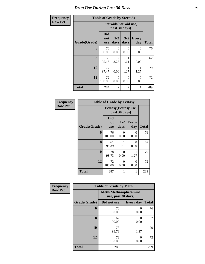### *Drug Use During Last 30 Days* **21**

| Frequency      |              | <b>Table of Grade by Steroids</b> |                                        |                  |                     |              |  |  |
|----------------|--------------|-----------------------------------|----------------------------------------|------------------|---------------------|--------------|--|--|
| <b>Row Pct</b> |              |                                   | Steroids(Steroid use,<br>past 30 days) |                  |                     |              |  |  |
|                | Grade(Grade) | <b>Did</b><br>not<br><b>use</b>   | $1-2$<br>days                          | $3 - 5$<br>days  | <b>Every</b><br>day | <b>Total</b> |  |  |
|                | 6            | 76<br>100.00                      | 0<br>0.00                              | 0<br>0.00        | 0<br>0.00           | 76           |  |  |
|                | 8            | 59<br>95.16                       | 2<br>3.23                              | 1.61             | $\Omega$<br>0.00    | 62           |  |  |
|                | 10           | 77<br>97.47                       | $\Omega$<br>0.00                       | 1.27             | 1.27                | 79           |  |  |
|                | 12           | 72<br>100.00                      | $\Omega$<br>0.00                       | $\Omega$<br>0.00 | $\Omega$<br>0.00    | 72           |  |  |
|                | <b>Total</b> | 284                               | 2                                      | $\overline{2}$   | 1                   | 289          |  |  |

| Frequency      | <b>Table of Grade by Ecstasy</b> |                                       |               |                     |              |  |  |  |  |
|----------------|----------------------------------|---------------------------------------|---------------|---------------------|--------------|--|--|--|--|
| <b>Row Pct</b> |                                  | Ecstasy(Ecstasy use,<br>past 30 days) |               |                     |              |  |  |  |  |
|                | Grade(Grade)                     | <b>Did</b><br>not<br><b>use</b>       | $1-2$<br>days | <b>Every</b><br>day | <b>Total</b> |  |  |  |  |
|                | 6                                | 76<br>100.00                          | 0<br>0.00     | 0<br>0.00           | 76           |  |  |  |  |
|                | 8                                | 61<br>98.39                           | 1<br>1.61     | 0<br>0.00           | 62           |  |  |  |  |
|                | 10                               | 78<br>98.73                           | 0<br>0.00     | 1.27                | 79           |  |  |  |  |
|                | 12                               | 72<br>100.00                          | 0<br>0.00     | 0<br>0.00           | 72           |  |  |  |  |
|                | <b>Total</b>                     | 287                                   | 1             | 1                   | 289          |  |  |  |  |

| Frequency      |              | <b>Table of Grade by Meth</b>                      |                  |              |
|----------------|--------------|----------------------------------------------------|------------------|--------------|
| <b>Row Pct</b> |              | <b>Meth</b> (Methamphetamine<br>use, past 30 days) |                  |              |
|                | Grade(Grade) | Did not use                                        | <b>Every day</b> | <b>Total</b> |
|                | 6            | 76<br>100.00                                       | 0<br>0.00        | 76           |
|                | 8            | 62<br>100.00                                       | 0<br>0.00        | 62           |
|                | 10           | 78<br>98.73                                        | 1.27             | 79           |
|                | 12           | 72<br>100.00                                       | $\Omega$<br>0.00 | 72           |
|                | <b>Total</b> | 288                                                | 1                | 289          |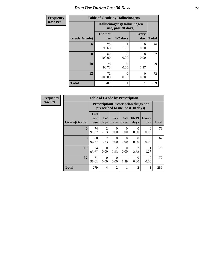| <b>Frequency</b> | <b>Table of Grade by Hallucinogens</b>                                     |              |                                                   |           |     |  |  |
|------------------|----------------------------------------------------------------------------|--------------|---------------------------------------------------|-----------|-----|--|--|
| <b>Row Pct</b>   |                                                                            |              | Hallucinogens (Hallucinogen<br>use, past 30 days) |           |     |  |  |
|                  | Did not<br><b>Every</b><br>Grade(Grade)<br>$1-2$ days<br>day<br><b>use</b> |              |                                                   |           |     |  |  |
|                  | 6                                                                          | 75<br>98.68  | 1.32                                              | 0<br>0.00 | 76  |  |  |
|                  | 8                                                                          | 62<br>100.00 | 0<br>0.00                                         | 0<br>0.00 | 62  |  |  |
|                  | 10                                                                         | 78<br>98.73  | 0<br>0.00                                         | 1.27      | 79  |  |  |
|                  | 12                                                                         | 72<br>100.00 | 0<br>0.00                                         | 0<br>0.00 | 72  |  |  |
|                  | <b>Total</b>                                                               | 287          |                                                   |           | 289 |  |  |

| <b>Frequency</b> |
|------------------|
| <b>Row Pct</b>   |

٦ r

| <b>Table of Grade by Prescription</b> |                                 |                                                                                                                 |                        |           |                        |                      |     |  |  |  |  |
|---------------------------------------|---------------------------------|-----------------------------------------------------------------------------------------------------------------|------------------------|-----------|------------------------|----------------------|-----|--|--|--|--|
|                                       |                                 | <b>Prescription</b> (Prescription drugs not<br>prescribed to me, past 30 days)                                  |                        |           |                        |                      |     |  |  |  |  |
| Grade(Grade)                          | <b>Did</b><br>not<br><b>use</b> | $10-19$<br>$3 - 5$<br>$6 - 9$<br>$1 - 2$<br><b>Every</b><br>days<br><b>Total</b><br>days<br>day<br>days<br>days |                        |           |                        |                      |     |  |  |  |  |
| 6                                     | 74<br>97.37                     | 2<br>2.63                                                                                                       | ∩<br>0.00              | 0<br>0.00 | 0<br>0.00              | $\mathbf{0}$<br>0.00 | 76  |  |  |  |  |
| 8                                     | 60<br>96.77                     | 2<br>3.23                                                                                                       | 0<br>0.00              | 0<br>0.00 | 0<br>0.00              | $\Omega$<br>0.00     | 62  |  |  |  |  |
| 10                                    | 74<br>93.67                     | $\Omega$<br>0.00                                                                                                | $\mathfrak{D}$<br>2.53 | 0<br>0.00 | $\overline{2}$<br>2.53 | 1.27                 | 79  |  |  |  |  |
| 12                                    | 71<br>98.61                     | $\Omega$<br>$\Omega$<br>0<br>0<br>0.00<br>1.39<br>0.00<br>0.00<br>0.00                                          |                        |           |                        |                      |     |  |  |  |  |
| <b>Total</b>                          | 279                             | $\overline{4}$                                                                                                  | $\overline{c}$         | 1         | 2                      |                      | 289 |  |  |  |  |

٦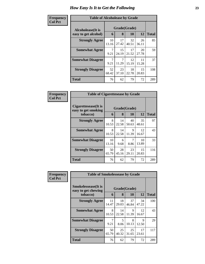#### **Frequency Col Pct**

| ncy | <b>Table of Alcoholease by Grade</b> |             |             |             |             |              |  |  |  |
|-----|--------------------------------------|-------------|-------------|-------------|-------------|--------------|--|--|--|
|     | Grade(Grade)<br>Alcoholease(It is    |             |             |             |             |              |  |  |  |
|     | easy to get alcohol)                 | 6           | 8           | 10          | 12          | <b>Total</b> |  |  |  |
|     | <b>Strongly Agree</b>                | 10<br>13.16 | 17<br>27.42 | 32<br>40.51 | 26<br>36.11 | 85           |  |  |  |
|     | <b>Somewhat Agree</b>                | 7<br>9.21   | 15<br>24.19 | 17<br>21.52 | 20<br>27.78 | 59           |  |  |  |
|     | <b>Somewhat Disagree</b>             | 7<br>9.21   | 11.29       | 12<br>15.19 | 11<br>15.28 | 37           |  |  |  |
|     | <b>Strongly Disagree</b>             | 52<br>68.42 | 23<br>37.10 | 18<br>22.78 | 15<br>20.83 | 108          |  |  |  |
|     | <b>Total</b>                         | 76          | 62          | 79          | 72          | 289          |  |  |  |

| Frequency      | <b>Table of Cigarettesease by Grade</b>                 |             |                   |             |             |              |
|----------------|---------------------------------------------------------|-------------|-------------------|-------------|-------------|--------------|
| <b>Col Pct</b> | Cigarettesease(It is<br>easy to get smoking<br>tobacco) | 6           | Grade(Grade)<br>8 | 10          | 12          | <b>Total</b> |
|                | <b>Strongly Agree</b>                                   | 8<br>10.53  | 14<br>22.58       | 40<br>50.63 | 35<br>48.61 | 97           |
|                | <b>Somewhat Agree</b>                                   | 8<br>10.53  | 14<br>22.58       | 9<br>11.39  | 12<br>16.67 | 43           |
|                | <b>Somewhat Disagree</b>                                | 10<br>13.16 | 6<br>9.68         | 7<br>8.86   | 10<br>13.89 | 33           |
|                | <b>Strongly Disagree</b>                                | 50<br>65.79 | 28<br>45.16       | 23<br>29.11 | 15<br>20.83 | 116          |
|                | Total                                                   | 76          | 62                | 79          | 72          | 289          |

| <b>Frequency</b> | <b>Table of Smokelessease by Grade</b>             |                        |                                  |             |             |              |
|------------------|----------------------------------------------------|------------------------|----------------------------------|-------------|-------------|--------------|
| <b>Col Pct</b>   | <b>Smokelessease</b> (It is<br>easy to get chewing |                        | Grade(Grade)                     |             |             |              |
|                  | tobacco)                                           | 6                      | 8                                | <b>10</b>   | 12          | <b>Total</b> |
|                  | <b>Strongly Agree</b>                              | 11<br>14.47            | 18<br>29.03                      | 37<br>46.84 | 34<br>47.22 | 100          |
|                  | <b>Somewhat Agree</b>                              | 8<br>10.53             | 14<br>22.58                      | 9<br>11.39  | 12<br>16.67 | 43           |
|                  | <b>Somewhat Disagree</b>                           | $\overline{7}$<br>9.21 | $\overline{\mathcal{L}}$<br>8.06 | 8<br>10.13  | 9<br>12.50  | 29           |
|                  | <b>Strongly Disagree</b>                           | 50<br>65.79            | 25<br>40.32                      | 25<br>31.65 | 17<br>23.61 | 117          |
|                  | <b>Total</b>                                       | 76                     | 62                               | 79          | 72          | 289          |

ń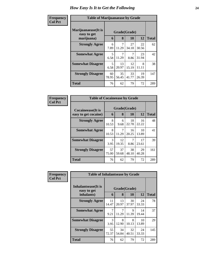| Frequency      | <b>Table of Marijuanaease by Grade</b>           |                                  |             |                           |             |              |  |
|----------------|--------------------------------------------------|----------------------------------|-------------|---------------------------|-------------|--------------|--|
| <b>Col Pct</b> | Marijuanaease(It is<br>easy to get<br>marijuana) | 6                                | 8           | Grade(Grade)<br><b>10</b> | 12          | <b>Total</b> |  |
|                | <b>Strongly Agree</b>                            | 6<br>7.89                        | 7<br>11.29  | 27<br>34.18               | 22<br>30.56 | 62           |  |
|                | <b>Somewhat Agree</b>                            | $\overline{\phantom{0}}$<br>6.58 | 7<br>11.29  | 7<br>8.86                 | 23<br>31.94 | 42           |  |
|                | <b>Somewhat Disagree</b>                         | 5<br>6.58                        | 13<br>20.97 | 12<br>15.19               | 8<br>11.11  | 38           |  |
|                | <b>Strongly Disagree</b>                         | 60<br>78.95                      | 35<br>56.45 | 33<br>41.77               | 19<br>26.39 | 147          |  |
|                | <b>Total</b>                                     | 76                               | 62          | 79                        | 72          | 289          |  |

| Frequency      | <b>Table of Cocaineease by Grade</b>              |             |             |                    |             |              |  |  |  |  |  |  |
|----------------|---------------------------------------------------|-------------|-------------|--------------------|-------------|--------------|--|--|--|--|--|--|
| <b>Col Pct</b> | <b>Cocaineease</b> (It is<br>easy to get cocaine) | 6           | 8           | Grade(Grade)<br>10 | 12          | <b>Total</b> |  |  |  |  |  |  |
|                | <b>Strongly Agree</b>                             | 8<br>10.53  | 6<br>9.68   | 18<br>22.78        | 16<br>22.22 | 48           |  |  |  |  |  |  |
|                | <b>Somewhat Agree</b>                             | 8<br>10.53  | 7<br>11.29  | 16<br>20.25        | 10<br>13.89 | 41           |  |  |  |  |  |  |
|                | <b>Somewhat Disagree</b>                          | 3<br>3.95   | 12<br>19.35 | 7<br>8.86          | 17<br>23.61 | 39           |  |  |  |  |  |  |
|                | <b>Strongly Disagree</b>                          | 57<br>75.00 | 37<br>59.68 | 38<br>48.10        | 29<br>40.28 | 161          |  |  |  |  |  |  |
|                | <b>Total</b>                                      | 76          | 62          | 79                 | 72          | 289          |  |  |  |  |  |  |

| <b>Frequency</b> | <b>Table of Inhalantsease by Grade</b> |              |             |             |             |              |  |  |  |  |  |  |
|------------------|----------------------------------------|--------------|-------------|-------------|-------------|--------------|--|--|--|--|--|--|
| <b>Col Pct</b>   | Inhalantsease(It is<br>easy to get     | Grade(Grade) |             |             |             |              |  |  |  |  |  |  |
|                  | inhalants)                             | 6            | 8           | 10          | 12          | <b>Total</b> |  |  |  |  |  |  |
|                  | <b>Strongly Agree</b>                  | 11<br>14.47  | 13<br>20.97 | 30<br>37.97 | 24<br>33.33 | 78           |  |  |  |  |  |  |
|                  | <b>Somewhat Agree</b>                  | 7<br>9.21    | 7<br>11.29  | 9<br>11.39  | 14<br>19.44 | 37           |  |  |  |  |  |  |
|                  | <b>Somewhat Disagree</b>               | 3<br>3.95    | 8<br>12.90  | 8<br>10.13  | 10<br>13.89 | 29           |  |  |  |  |  |  |
|                  | <b>Strongly Disagree</b>               | 55<br>72.37  | 34<br>54.84 | 32<br>40.51 | 24<br>33.33 | 145          |  |  |  |  |  |  |
|                  | <b>Total</b>                           | 76           | 62          | 79          | 72          | 289          |  |  |  |  |  |  |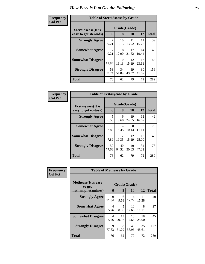| Frequency      | <b>Table of Steroidsease by Grade</b> |              |             |             |             |              |  |  |  |  |  |  |  |
|----------------|---------------------------------------|--------------|-------------|-------------|-------------|--------------|--|--|--|--|--|--|--|
| <b>Col Pct</b> | <b>Steroidsease</b> (It is            | Grade(Grade) |             |             |             |              |  |  |  |  |  |  |  |
|                | easy to get steroids)                 | 6            | 8           | 10          | 12          | <b>Total</b> |  |  |  |  |  |  |  |
|                | <b>Strongly Agree</b>                 | 7<br>9.21    | 10<br>16.13 | 11<br>13.92 | 11<br>15.28 | 39           |  |  |  |  |  |  |  |
|                | <b>Somewhat Agree</b>                 | 7<br>9.21    | 8<br>12.90  | 17<br>21.52 | 14<br>19.44 | 46           |  |  |  |  |  |  |  |
|                | <b>Somewhat Disagree</b>              | 9<br>11.84   | 10<br>16.13 | 12<br>15.19 | 17<br>23.61 | 48           |  |  |  |  |  |  |  |
|                | <b>Strongly Disagree</b>              | 53<br>69.74  | 34<br>54.84 | 39<br>49.37 | 30<br>41.67 | 156          |  |  |  |  |  |  |  |
|                | Total                                 | 76           | 62          | 79          | 72          | 289          |  |  |  |  |  |  |  |

| Frequency      | <b>Table of Ecstasyease by Grade</b>              |             |             |                    |             |              |  |  |  |  |  |  |  |
|----------------|---------------------------------------------------|-------------|-------------|--------------------|-------------|--------------|--|--|--|--|--|--|--|
| <b>Col Pct</b> | <b>Ecstasyease</b> (It is<br>easy to get ecstasy) | 6           | 8           | Grade(Grade)<br>10 | 12          | <b>Total</b> |  |  |  |  |  |  |  |
|                | <b>Strongly Agree</b>                             | 5<br>6.58   | 6<br>9.68   | 19<br>24.05        | 12<br>16.67 | 42           |  |  |  |  |  |  |  |
|                | <b>Somewhat Agree</b>                             | 6<br>7.89   | 4<br>6.45   | 8<br>10.13         | 8<br>11.11  | 26           |  |  |  |  |  |  |  |
|                | <b>Somewhat Disagree</b>                          | 6<br>7.89   | 12<br>19.35 | 12<br>15.19        | 18<br>25.00 | 48           |  |  |  |  |  |  |  |
|                | <b>Strongly Disagree</b>                          | 59<br>77.63 | 40<br>64.52 | 40<br>50.63        | 34<br>47.22 | 173          |  |  |  |  |  |  |  |
|                | Total                                             | 76          | 62          | 79                 | 72          | 289          |  |  |  |  |  |  |  |

| Frequency      | <b>Table of Methease by Grade</b>                          |             |             |                           |             |              |  |  |  |  |
|----------------|------------------------------------------------------------|-------------|-------------|---------------------------|-------------|--------------|--|--|--|--|
| <b>Col Pct</b> | <b>Methease</b> (It is easy<br>to get<br>methamphetamines) | 6           | 8           | Grade(Grade)<br><b>10</b> | 12          | <b>Total</b> |  |  |  |  |
|                | <b>Strongly Agree</b>                                      | 9<br>11.84  | 6<br>9.68   | 14<br>17.72               | 11<br>15.28 | 40           |  |  |  |  |
|                | <b>Somewhat Agree</b>                                      | 4<br>5.26   | 5<br>8.06   | 10<br>12.66               | 8<br>11.11  | 27           |  |  |  |  |
|                | <b>Somewhat Disagree</b>                                   | 4<br>5.26   | 13<br>20.97 | 10<br>12.66               | 18<br>25.00 | 45           |  |  |  |  |
|                | <b>Strongly Disagree</b>                                   | 59<br>77.63 | 38<br>61.29 | 45<br>56.96               | 35<br>48.61 | 177          |  |  |  |  |
|                | <b>Total</b>                                               | 76          | 62          | 79                        | 72          | 289          |  |  |  |  |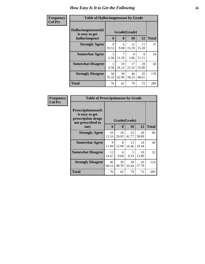| Frequency<br><b>Col Pct</b> | <b>Table of Hallucinogensease by Grade</b>               |             |                   |             |             |              |
|-----------------------------|----------------------------------------------------------|-------------|-------------------|-------------|-------------|--------------|
|                             | Hallucinogensease(It<br>is easy to get<br>hallucinogens) | 6           | Grade(Grade)<br>8 | <b>10</b>   | 12          | <b>Total</b> |
|                             | <b>Strongly Agree</b>                                    | 8<br>10.53  | 6<br>9.68         | 12<br>15.19 | 11<br>15.28 | 37           |
|                             | <b>Somewhat Agree</b>                                    | 5<br>6.58   | 11.29             | 4<br>5.06   | 8<br>11.11  | 24           |
|                             | <b>Somewhat Disagree</b>                                 | 5<br>6.58   | 10<br>16.13       | 17<br>21.52 | 18<br>25.00 | 50           |
|                             | <b>Strongly Disagree</b>                                 | 58<br>76.32 | 39<br>62.90       | 46<br>58.23 | 35<br>48.61 | 178          |
|                             | <b>Total</b>                                             | 76          | 62                | 79          | 72          | 289          |

| Frequency      | <b>Table of Prescriptionease by Grade</b>                                                |             |              |             |             |              |  |  |  |  |
|----------------|------------------------------------------------------------------------------------------|-------------|--------------|-------------|-------------|--------------|--|--|--|--|
| <b>Col Pct</b> | <b>Prescriptionease</b> (It<br>is easy to get<br>prescription drugs<br>not prescribed to |             | Grade(Grade) |             |             |              |  |  |  |  |
|                | me)                                                                                      | 6           | 8            | <b>10</b>   | 12          | <b>Total</b> |  |  |  |  |
|                | <b>Strongly Agree</b>                                                                    | 10<br>13.16 | 18<br>29.03  | 33<br>41.77 | 28<br>38.89 | 89           |  |  |  |  |
|                | <b>Somewhat Agree</b>                                                                    | 9<br>11.84  | 8<br>12.90   | 13<br>16.46 | 14<br>19.44 | 44           |  |  |  |  |
|                | <b>Somewhat Disagree</b>                                                                 | 11<br>14.47 | 6<br>9.68    | 5<br>6.33   | 10<br>13.89 | 32           |  |  |  |  |
|                | <b>Strongly Disagree</b>                                                                 | 46<br>60.53 | 30<br>48.39  | 28<br>35.44 | 20<br>27.78 | 124          |  |  |  |  |
|                | Total                                                                                    | 76          | 62           | 79          | 72          | 289          |  |  |  |  |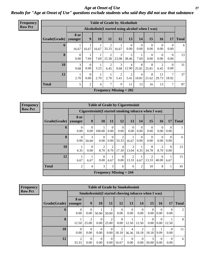*Age at Onset of Use* **27** *Results for "Age at Onset of Use" questions exclude students who said they did not use that substance*

| <b>Frequency</b> | <b>Table of Grade by Alcoholinit</b> |                  |                  |                |                                |            |                         |                         |                                                  |                        |                  |              |
|------------------|--------------------------------------|------------------|------------------|----------------|--------------------------------|------------|-------------------------|-------------------------|--------------------------------------------------|------------------------|------------------|--------------|
| <b>Row Pct</b>   |                                      |                  |                  |                |                                |            |                         |                         | Alcoholinit (I started using alcohol when I was) |                        |                  |              |
|                  |                                      | 8 or             |                  |                |                                |            |                         |                         |                                                  |                        |                  |              |
|                  | Grade(Grade)                         | younger          | 9                | 10             | 11                             | 12         | 13                      | 14                      | 15                                               | 16                     | <b>17</b>        | <b>Total</b> |
|                  | 6                                    | 16.67            | 16.67            | 16.67          | 2<br>33.33                     | 16.67      | $\overline{0}$<br>0.00  | $\Omega$<br>0.00        | $\theta$<br>0.00                                 | $\Omega$<br>0.00       | $\Omega$<br>0.00 | 6            |
|                  | 8                                    | $\Omega$<br>0.00 | 7.69             | 1<br>7.69      | 2<br>15.38                     | 3<br>23.08 | 5<br>38.46              | 7.69                    | $\Omega$<br>0.00                                 | $\Omega$<br>0.00       | $\Omega$<br>0.00 | 13           |
|                  | 10                                   | 3<br>9.68        | $\theta$<br>0.00 | 1<br>3.23      | 2<br>6.45                      | 3<br>9.68  | $\overline{4}$<br>12.90 | 8<br>25.81              | 8<br>25.81                                       | $\overline{2}$<br>6.45 | $\Omega$<br>0.00 | 31           |
|                  | 12                                   | 2.70             | $\theta$<br>0.00 | 1<br>2.70      | 2.70                           | 2<br>5.41  | 2<br>5.41               | $\overline{4}$<br>10.81 | 8<br>21.62                                       | 11<br>29.73            | 7<br>18.92       | 37           |
|                  | <b>Total</b>                         | 5                | $\overline{c}$   | $\overline{4}$ | 7                              | 9          | 11                      | 13                      | 16                                               | 13                     | 7                | 87           |
|                  |                                      |                  |                  |                | <b>Frequency Missing = 202</b> |            |                         |                         |                                                  |                        |                  |              |

**Frequency Row Pct**

| <b>Table of Grade by Cigarettesinit</b>                                                   |                                                      |                  |                                |                        |                         |                         |                  |                  |                        |           |              |
|-------------------------------------------------------------------------------------------|------------------------------------------------------|------------------|--------------------------------|------------------------|-------------------------|-------------------------|------------------|------------------|------------------------|-----------|--------------|
|                                                                                           | Cigarettesinit(I started smoking tobacco when I was) |                  |                                |                        |                         |                         |                  |                  |                        |           |              |
| Grade(Grade)   younger                                                                    | 8 or                                                 | 9                | 10                             | 11                     | 12                      | 13                      | 14               | 15               | <b>16</b>              | <b>17</b> | <b>Total</b> |
| 6                                                                                         | $\theta$<br>0.00                                     | $\Omega$<br>0.00 | 100.00                         | $\left($<br>0.00       | $\Omega$<br>0.00        | $\Omega$<br>0.00        | $\Omega$<br>0.00 | $\Omega$<br>0.00 | $\Omega$<br>0.00       | 0<br>0.00 |              |
| 8                                                                                         | $\Omega$<br>0.00                                     | 3<br>50.00       | $\Omega$<br>0.00               | $\Omega$<br>0.00       | $\mathfrak{D}$<br>33.33 | 16.67                   | $\Omega$<br>0.00 | $\Omega$<br>0.00 | $\Omega$<br>0.00       | 0<br>0.00 | 6            |
| 10                                                                                        | 4.35                                                 | 0<br>0.00        | $\mathfrak{D}$<br>8.70         | $\mathfrak{D}$<br>8.70 | $\overline{4}$<br>17.39 | 3<br>13.04              | 4.35             | 8<br>34.78       | $\mathfrak{D}$<br>8.70 | 0<br>0.00 | 23           |
| 12                                                                                        | 6.67                                                 | 6.67             | $\Omega$<br>0.00               | 6.67                   | $\Omega$<br>0.00        | $\overline{c}$<br>13.33 | 6.67             | 2<br>13.33       | 6<br>40.00             | 6.67      | 15           |
| <b>Total</b><br>3<br>3<br>$\overline{2}$<br>10<br>8<br>$\overline{2}$<br>4<br>6<br>1<br>6 |                                                      |                  |                                |                        |                         |                         |                  |                  |                        |           |              |
|                                                                                           |                                                      |                  | <b>Frequency Missing = 244</b> |                        |                         |                         |                  |                  |                        |           |              |

**Frequency Row Pct**

|              |                         |                                                                          |                  | <b>Table of Grade by Smokelessinit</b> |                  |                  |                         |                  |                      |                  |                |  |
|--------------|-------------------------|--------------------------------------------------------------------------|------------------|----------------------------------------|------------------|------------------|-------------------------|------------------|----------------------|------------------|----------------|--|
|              |                         | Smokelessinit(I started chewing tobacco when I was)                      |                  |                                        |                  |                  |                         |                  |                      |                  |                |  |
| Grade(Grade) | 8 or<br>younger         | 15<br>9<br><b>10</b><br>12<br>13<br>11<br>14<br>16<br><b>Total</b><br>17 |                  |                                        |                  |                  |                         |                  |                      |                  |                |  |
| 6            | $\theta$<br>0.00        | 0<br>0.00                                                                | 50.00            | 50.00                                  | $\Omega$<br>0.00 | $\Omega$<br>0.00 | $\Omega$<br>0.00        | $\Omega$<br>0.00 | $\mathbf{0}$<br>0.00 | 0.00             | $\mathfrak{D}$ |  |
| 8            | 12.50                   | 25.00                                                                    | 0<br>0.00        | $\overline{c}$<br>25.00                | 0.00             | 12.50            | 12.50                   | $\Omega$<br>0.00 | $\Omega$<br>0.00     | 12.50            | 8              |  |
| 10           | $\theta$<br>0.00        | $\theta$<br>0.00                                                         | 0<br>0.00        | $\Omega$<br>0.00                       | 18.18            | 4<br>36.36       | $\overline{c}$<br>18.18 | 18.18            | 9.09                 | $\Omega$<br>0.00 | 11             |  |
| 12           | $\mathfrak{D}$<br>33.33 | $\Omega$<br>0.00                                                         | $\Omega$<br>0.00 | $\Omega$<br>0.00                       | 16.67            | 0<br>0.00        | $\Omega$<br>0.00        | 3<br>50.00       | $\Omega$<br>0.00     | 0.00             | 6              |  |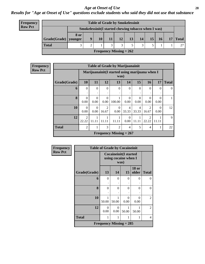#### *Results for "Age at Onset of Use" questions exclude students who said they did not use that substance*

| <b>Frequency</b> |
|------------------|
| <b>Row Pct</b>   |

| <b>Table of Grade by Smokelessinit</b> |              |                                                     |    |               |    |                 |               |    |    |  |              |
|----------------------------------------|--------------|-----------------------------------------------------|----|---------------|----|-----------------|---------------|----|----|--|--------------|
|                                        |              | Smokelessinit(I started chewing tobacco when I was) |    |               |    |                 |               |    |    |  |              |
| $Grade(Grade)$ younger                 | 8 or         | 9                                                   | 10 | 11            | 12 | 13 <sup>1</sup> | 14            | 15 | 16 |  | <b>Total</b> |
| <b>Total</b>                           | $\mathbf{z}$ | 2                                                   |    | $\mathcal{R}$ | 3  | 5               | $\mathcal{R}$ |    |    |  | 27           |
| Frequency Missing $= 262$              |              |                                                     |    |               |    |                 |               |    |    |  |              |

| <b>Frequency</b> | <b>Table of Grade by Marijuanainit</b> |                         |                  |                         |                                                         |                  |                         |                         |                  |                |
|------------------|----------------------------------------|-------------------------|------------------|-------------------------|---------------------------------------------------------|------------------|-------------------------|-------------------------|------------------|----------------|
| <b>Row Pct</b>   |                                        |                         |                  |                         | Marijuanainit (I started using marijuana when I<br>was) |                  |                         |                         |                  |                |
|                  | Grade(Grade)                           | 10                      | 11               | 12                      | 13                                                      | 14               | 15                      | 16                      | 17               | <b>Total</b>   |
|                  | 6                                      | $\Omega$                | $\theta$<br>٠    | $\Omega$                | $\Omega$                                                | $\Omega$         | $\Omega$                | $\Omega$                | $\Omega$         | $\overline{0}$ |
|                  | 8                                      | $\Omega$<br>0.00        | $\Omega$<br>0.00 | $\Omega$<br>0.00        | 100.00                                                  | $\Omega$<br>0.00 | $\Omega$<br>0.00        | $\Omega$<br>0.00        | $\Omega$<br>0.00 |                |
|                  | 10                                     | $\Omega$<br>0.00        | $\Omega$<br>0.00 | $\mathfrak{D}$<br>16.67 | $\Omega$<br>0.00                                        | 4<br>33.33       | $\overline{4}$<br>33.33 | $\mathfrak{D}$<br>16.67 | $\Omega$<br>0.00 | 12             |
|                  | 12                                     | $\mathfrak{D}$<br>22.22 | 11.11            | 11.11                   | 11.11                                                   | $\Omega$<br>0.00 | 11.11                   | $\mathfrak{D}$<br>22.22 | 11.11            | 9              |
|                  | <b>Total</b>                           | $\overline{2}$          |                  | 3                       | 2                                                       | $\overline{4}$   | 5                       | 4                       | 1                | 22             |
|                  |                                        |                         |                  |                         | Frequency Missing $= 267$                               |                  |                         |                         |                  |                |

| Frequency      | <b>Table of Grade by Cocaineinit</b> |                                                      |                  |                                |                       |                |
|----------------|--------------------------------------|------------------------------------------------------|------------------|--------------------------------|-----------------------|----------------|
| <b>Row Pct</b> |                                      | <b>Cocaineinit(I started</b><br>using cocaine when I |                  |                                |                       |                |
|                | Grade(Grade)                         | 13                                                   | 14               | 15                             | <b>18 or</b><br>older | <b>Total</b>   |
|                | 6                                    | $\theta$                                             | $\Omega$         | $\Omega$                       | 0                     | $\theta$       |
|                | 8                                    | $\Omega$                                             | $\theta$         | $\theta$                       | 0                     | 0              |
|                | 10                                   | 1<br>50.00                                           | 1<br>50.00       | $\Omega$<br>0.00               | 0<br>0.00             | $\overline{2}$ |
|                | 12                                   | $\Omega$<br>0.00                                     | $\Omega$<br>0.00 | 50.00                          | 50.00                 | 2              |
|                | <b>Total</b>                         | 1                                                    | 1                | 1                              | 1                     | 4              |
|                |                                      |                                                      |                  | <b>Frequency Missing = 285</b> |                       |                |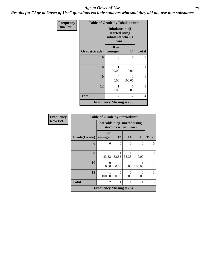*Results for "Age at Onset of Use" questions exclude students who said they did not use that substance*

| Frequency      | <b>Table of Grade by Inhalantsinit</b> |                                                              |                          |                |  |  |  |  |
|----------------|----------------------------------------|--------------------------------------------------------------|--------------------------|----------------|--|--|--|--|
| <b>Row Pct</b> |                                        | Inhalantsinit(I<br>started using<br>inhalants when I<br>was) |                          |                |  |  |  |  |
|                | Grade(Grade)                           | 8 or<br>younger                                              | 14                       | <b>Total</b>   |  |  |  |  |
|                | 6                                      | 0                                                            | 0                        | 0              |  |  |  |  |
|                | 8                                      | 1<br>100.00                                                  | 0<br>0.00                | 1              |  |  |  |  |
|                | 10                                     | $\theta$<br>0.00                                             | $\mathfrak{D}$<br>100.00 | $\overline{c}$ |  |  |  |  |
|                | 12                                     | 1<br>100.00                                                  | $\Omega$<br>0.00         | 1              |  |  |  |  |
|                | <b>Total</b>                           | 2                                                            | 2                        | 4              |  |  |  |  |
|                |                                        | Frequency Missing $= 285$                                    |                          |                |  |  |  |  |

| <b>Frequency</b> |                     | <b>Table of Grade by Steroidsinit</b> |                                                             |           |           |              |  |  |
|------------------|---------------------|---------------------------------------|-------------------------------------------------------------|-----------|-----------|--------------|--|--|
| <b>Row Pct</b>   |                     |                                       | <b>Steroidsinit(I started using</b><br>steroids when I was) |           |           |              |  |  |
|                  | <b>Grade(Grade)</b> | 8 or<br>younger                       | 12                                                          | 14        | 15        | <b>Total</b> |  |  |
|                  | 6                   | 0                                     | $\Omega$                                                    | $\theta$  | $\Omega$  | $\Omega$     |  |  |
|                  | 8                   | 33.33                                 | 33.33                                                       | 33.33     | 0<br>0.00 | 3            |  |  |
|                  | 10                  | 0<br>0.00                             | $\mathcal{O}$<br>0.00                                       | 0<br>0.00 | 100.00    |              |  |  |
|                  | 12                  | 100.00                                | 0.00                                                        | 0<br>0.00 | 0<br>0.00 |              |  |  |
|                  | <b>Total</b>        | $\overline{2}$                        | 1                                                           | 1         | 1         | 5            |  |  |
|                  |                     | <b>Frequency Missing = 284</b>        |                                                             |           |           |              |  |  |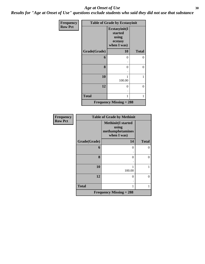*Results for "Age at Onset of Use" questions exclude students who said they did not use that substance*

| Frequency      |              | <b>Table of Grade by Ecstasyinit</b>                        |                |
|----------------|--------------|-------------------------------------------------------------|----------------|
| <b>Row Pct</b> |              | Ecstasyinit(I<br>started<br>using<br>ecstasy<br>when I was) |                |
|                | Grade(Grade) | 10                                                          | <b>Total</b>   |
|                | 6            | 0                                                           | $\overline{0}$ |
|                | 8            | $\theta$                                                    | $\theta$       |
|                | 10           | 1<br>100.00                                                 | 1              |
|                | 12           | 0                                                           | $\overline{0}$ |
|                | <b>Total</b> | 1                                                           | 1              |
|                |              | <b>Frequency Missing = 288</b>                              |                |

| Frequency      |              | <b>Table of Grade by Methinit</b>                                     |              |
|----------------|--------------|-----------------------------------------------------------------------|--------------|
| <b>Row Pct</b> |              | <b>Methinit(I started</b><br>using<br>methamphetamines<br>when I was) |              |
|                | Grade(Grade) | 14                                                                    | <b>Total</b> |
|                | 6            | $\theta$                                                              | $\Omega$     |
|                | 8            | $\theta$                                                              | $\Omega$     |
|                | 10           | 100.00                                                                |              |
|                | 12           | 0                                                                     | $\Omega$     |
|                | <b>Total</b> | 1                                                                     |              |
|                |              | <b>Frequency Missing = 288</b>                                        |              |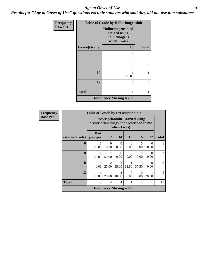*Results for "Age at Onset of Use" questions exclude students who said they did not use that substance*

| Frequency      |              | <b>Table of Grade by Hallucinogensinit</b>                           |              |
|----------------|--------------|----------------------------------------------------------------------|--------------|
| <b>Row Pct</b> |              | Hallucinogensinit(I<br>started using<br>hallucinogens<br>when I was) |              |
|                | Grade(Grade) | 15                                                                   | <b>Total</b> |
|                | 6            | $\Omega$                                                             | 0            |
|                | 8            | 0                                                                    | $\theta$     |
|                | 10           | 100.00                                                               | 1            |
|                | 12           | 0                                                                    | $\theta$     |
|                | <b>Total</b> | 1                                                                    | 1            |
|                |              | <b>Frequency Missing = 288</b>                                       |              |

| <b>Frequency</b> |  |
|------------------|--|
| <b>Row Pct</b>   |  |

| V. |                           | <b>Table of Grade by Prescriptioninit</b> |                                                                                                   |                         |           |                        |           |                |  |  |
|----|---------------------------|-------------------------------------------|---------------------------------------------------------------------------------------------------|-------------------------|-----------|------------------------|-----------|----------------|--|--|
|    |                           |                                           | <b>Prescriptioninit(I started using</b><br>prescription drugs not prescribed to me<br>when I was) |                         |           |                        |           |                |  |  |
|    | Grade(Grade)              | 8 or<br>younger                           | 12                                                                                                | 14                      | 15        | <b>16</b>              | 17        | <b>Total</b>   |  |  |
|    | 6                         | 100.00                                    | 0<br>0.00                                                                                         | 0<br>0.00               | 0<br>0.00 | 0<br>0.00              | 0<br>0.00 | 1              |  |  |
|    | 8                         | 50.00                                     | 50.00                                                                                             | 0<br>0.00               | ∩<br>0.00 | 0<br>0.00              | ∩<br>0.00 | $\overline{2}$ |  |  |
|    | 10                        | 0<br>0.00                                 | $\mathfrak{D}$<br>25.00                                                                           | $\mathfrak{D}$<br>25.00 | 12.50     | $\mathcal{R}$<br>37.50 | 0<br>0.00 | 8              |  |  |
|    | 12                        | 20.00                                     | 20.00                                                                                             | $\mathfrak{D}$<br>40.00 | 0<br>0.00 | 0<br>0.00              | 20.00     | 5              |  |  |
|    | <b>Total</b>              | 3                                         | 4                                                                                                 | $\overline{4}$          |           | 3                      | 1         | 16             |  |  |
|    | Frequency Missing $= 273$ |                                           |                                                                                                   |                         |           |                        |           |                |  |  |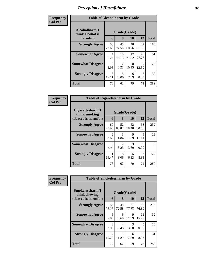| Frequency<br><b>Col Pct</b> | <b>Table of Alcoholharm by Grade</b>          |                                  |                        |             |             |              |  |  |
|-----------------------------|-----------------------------------------------|----------------------------------|------------------------|-------------|-------------|--------------|--|--|
|                             | Alcoholharm(I<br>think alcohol is<br>harmful) | 6                                | Grade(Grade)<br>8      | 10          | 12          | <b>Total</b> |  |  |
|                             | <b>Strongly Agree</b>                         | 56<br>73.68                      | 45<br>72.58            | 48<br>60.76 | 37<br>51.39 | 186          |  |  |
|                             | <b>Somewhat Agree</b>                         | $\overline{\mathcal{A}}$<br>5.26 | 10<br>16.13            | 17<br>21.52 | 20<br>27.78 | 51           |  |  |
|                             | <b>Somewhat Disagree</b>                      | 3<br>3.95                        | $\mathfrak{D}$<br>3.23 | 8<br>10.13  | 9<br>12.50  | 22           |  |  |
|                             | <b>Strongly Disagree</b>                      | 13<br>17.11                      | 5<br>8.06              | 6<br>7.59   | 6<br>8.33   | 30           |  |  |
|                             | Total                                         | 76                               | 62                     | 79          | 72          | 289          |  |  |

| Frequency      | <b>Table of Cigarettesharm by Grade</b>                  |                        |                        |                    |             |              |  |
|----------------|----------------------------------------------------------|------------------------|------------------------|--------------------|-------------|--------------|--|
| <b>Col Pct</b> | Cigarettesharm(I<br>think smoking<br>tobacco is harmful) | 6                      | 8                      | Grade(Grade)<br>10 | 12          | <b>Total</b> |  |
|                | <b>Strongly Agree</b>                                    | 60<br>78.95            | 52<br>83.87            | 62<br>78.48        | 58<br>80.56 | 232          |  |
|                | <b>Somewhat Agree</b>                                    | $\mathfrak{D}$<br>2.63 | $\mathcal{F}$<br>4.84  | 9<br>11.39         | 8<br>11.11  | 22           |  |
|                | <b>Somewhat Disagree</b>                                 | 3<br>3.95              | $\mathfrak{D}$<br>3.23 | 3<br>3.80          | 0.00        | 8            |  |
|                | <b>Strongly Disagree</b>                                 | 11<br>14.47            | 5<br>8.06              | 5<br>6.33          | 6<br>8.33   | 27           |  |
|                | <b>Total</b>                                             | 76                     | 62                     | 79                 | 72          | 289          |  |

| Frequency      | <b>Table of Smokelessharm by Grade</b> |                       |             |             |             |              |  |  |  |  |
|----------------|----------------------------------------|-----------------------|-------------|-------------|-------------|--------------|--|--|--|--|
| <b>Col Pct</b> | Smokelessharm(I<br>think chewing       | Grade(Grade)          |             |             |             |              |  |  |  |  |
|                | tobacco is harmful)                    | 6                     | 8           | 10          | 12          | <b>Total</b> |  |  |  |  |
|                | <b>Strongly Agree</b>                  | 55<br>72.37           | 45<br>72.58 | 61<br>77.22 | 55<br>76.39 | 216          |  |  |  |  |
|                | <b>Somewhat Agree</b>                  | 6<br>7.89             | 6<br>9.68   | 9<br>11.39  | 11<br>15.28 | 32           |  |  |  |  |
|                | <b>Somewhat Disagree</b>               | $\mathcal{E}$<br>3.95 | 4<br>6.45   | 3<br>3.80   | 0<br>0.00   | 10           |  |  |  |  |
|                | <b>Strongly Disagree</b>               | 12<br>15.79           | 7<br>11.29  | 6<br>7.59   | 6<br>8.33   | 31           |  |  |  |  |
|                | Total                                  | 76                    | 62          | 79          | 72          | 289          |  |  |  |  |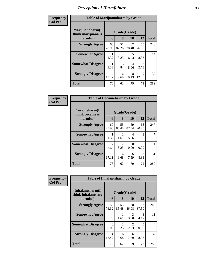| Frequency      | <b>Table of Marijuanaharm by Grade</b>            |             |                        |                    |                        |              |
|----------------|---------------------------------------------------|-------------|------------------------|--------------------|------------------------|--------------|
| <b>Col Pct</b> | Marijuanaharm(I<br>think marijuana is<br>harmful) | 6           | 8                      | Grade(Grade)<br>10 | 12                     | <b>Total</b> |
|                | <b>Strongly Agree</b>                             | 60<br>78.95 | 51<br>82.26            | 62<br>78.48        | 55<br>76.39            | 228          |
|                | <b>Somewhat Agree</b>                             | 1.32        | $\overline{2}$<br>3.23 | 5<br>6.33          | 6<br>8.33              | 14           |
|                | <b>Somewhat Disagree</b>                          | 1.32        | 3<br>4.84              | 4<br>5.06          | $\mathfrak{D}$<br>2.78 | 10           |
|                | <b>Strongly Disagree</b>                          | 14<br>18.42 | 6<br>9.68              | 8<br>10.13         | $\mathbf Q$<br>12.50   | 37           |
|                | <b>Total</b>                                      | 76          | 62                     | 79                 | 72                     | 289          |

| Frequency      | <b>Table of Cocaineharm by Grade</b>          |                       |                        |                           |             |              |
|----------------|-----------------------------------------------|-----------------------|------------------------|---------------------------|-------------|--------------|
| <b>Col Pct</b> | Cocaineharm(I<br>think cocaine is<br>harmful) | 6                     | Grade(Grade)<br>8      | 10                        | 12          | <b>Total</b> |
|                | <b>Strongly Agree</b>                         | 60<br>78.95           | 53<br>85.48            | 69<br>87.34               | 65<br>90.28 | 247          |
|                | <b>Somewhat Agree</b>                         | 1.32                  | 1.61                   | 4<br>5.06                 | 1.39        |              |
|                | <b>Somewhat Disagree</b>                      | $\mathcal{L}$<br>2.63 | $\mathfrak{D}$<br>3.23 | $\mathbf{\Omega}$<br>0.00 | ∩<br>0.00   | 4            |
|                | <b>Strongly Disagree</b>                      | 13<br>17.11           | 6<br>9.68              | 6<br>7.59                 | 6<br>8.33   | 31           |
|                | Total                                         | 76                    | 62                     | 79                        | 72          | 289          |

| Frequency      | <b>Table of Inhalantsharm by Grade</b>  |              |                        |                       |                           |                |  |
|----------------|-----------------------------------------|--------------|------------------------|-----------------------|---------------------------|----------------|--|
| <b>Col Pct</b> | Inhalantsharm(I)<br>think inhalants are | Grade(Grade) |                        |                       |                           |                |  |
|                | harmful)                                | 6            | 8                      | 10                    | 12                        | <b>Total</b>   |  |
|                | <b>Strongly Agree</b>                   | 58<br>76.32  | 53<br>85.48            | 68<br>86.08           | 63<br>87.50               | 242            |  |
|                | <b>Somewhat Agree</b>                   | 4<br>5.26    | 1.61                   | 3<br>3.80             | $\mathcal{R}$<br>4.17     | 11             |  |
|                | <b>Somewhat Disagree</b>                | 0<br>0.00    | $\overline{2}$<br>3.23 | $\mathcal{D}$<br>2.53 | $\mathbf{\Omega}$<br>0.00 | $\overline{4}$ |  |
|                | <b>Strongly Disagree</b>                | 14<br>18.42  | 6<br>9.68              | 6<br>7.59             | 6<br>8.33                 | 32             |  |
|                | <b>Total</b>                            | 76           | 62                     | 79                    | 72                        | 289            |  |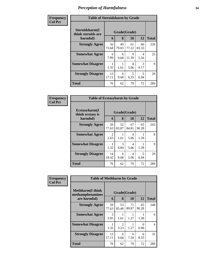| Frequency      | <b>Table of Steroidsharm by Grade</b>            |             |                   |             |                       |              |  |
|----------------|--------------------------------------------------|-------------|-------------------|-------------|-----------------------|--------------|--|
| <b>Col Pct</b> | Steroidsharm(I<br>think steroids are<br>harmful) | 6           | Grade(Grade)<br>8 | <b>10</b>   | 12                    | <b>Total</b> |  |
|                | <b>Strongly Agree</b>                            | 56<br>73.68 | 49<br>79.03       | 61<br>77.22 | 60<br>83.33           | 226          |  |
|                | <b>Somewhat Agree</b>                            | 6<br>7.89   | 6<br>9.68         | 9<br>11.39  | 4<br>5.56             | 25           |  |
|                | <b>Somewhat Disagree</b>                         | 1.32        | 1.61              | 4<br>5.06   | $\mathcal{R}$<br>4.17 | 9            |  |
|                | <b>Strongly Disagree</b>                         | 13<br>17.11 | 6<br>9.68         | 5<br>6.33   | 5<br>6.94             | 29           |  |
|                | Total                                            | 76          | 62                | 79          | 72                    | 289          |  |

| Frequency      | <b>Table of Ecstasyharm by Grade</b>                |                        |                   |             |             |              |
|----------------|-----------------------------------------------------|------------------------|-------------------|-------------|-------------|--------------|
| <b>Col Pct</b> | $E$ cstasyharm $(I$<br>think ecstasy is<br>harmful) | 6                      | Grade(Grade)<br>8 | 10          | 12          | <b>Total</b> |
|                | <b>Strongly Agree</b>                               | 59<br>77.63            | 52<br>83.87       | 67<br>84.81 | 65<br>90.28 | 243          |
|                | <b>Somewhat Agree</b>                               | $\mathfrak{D}$<br>2.63 | 1.61              | 4<br>5.06   | 1.39        | 8            |
|                | <b>Somewhat Disagree</b>                            | 1.32                   | 3<br>4.84         | 4<br>5.06   | 1.39        | 9            |
|                | <b>Strongly Disagree</b>                            | 14<br>18.42            | 6<br>9.68         | 4<br>5.06   | 5<br>6.94   | 29           |
|                | <b>Total</b>                                        | 76                     | 62                | 79          | 72          | 289          |

| Frequency      | <b>Table of Methharm by Grade</b>            |              |                        |             |             |                |  |  |
|----------------|----------------------------------------------|--------------|------------------------|-------------|-------------|----------------|--|--|
| <b>Col Pct</b> | <b>Methharm</b> (I think<br>methamphetamines | Grade(Grade) |                        |             |             |                |  |  |
|                | are harmful)                                 | 6            | 8                      | 10          | 12          | <b>Total</b>   |  |  |
|                | <b>Strongly Agree</b>                        | 59<br>77.63  | 53<br>85.48            | 71<br>89.87 | 65<br>90.28 | 248            |  |  |
|                | <b>Somewhat Agree</b>                        | 3<br>3.95    | 1.61                   | 1.27        | 1.39        | 6              |  |  |
|                | <b>Somewhat Disagree</b>                     | 1.32         | $\mathfrak{D}$<br>3.23 | 1.27        | 0.00        | $\overline{4}$ |  |  |
|                | <b>Strongly Disagree</b>                     | 13<br>17.11  | 6<br>9.68              | 6<br>7.59   | 6<br>8.33   | 31             |  |  |
|                | <b>Total</b>                                 | 76           | 62                     | 79          | 72          | 289            |  |  |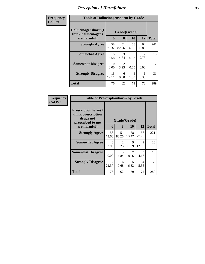| Frequency      | <b>Table of Hallucinogensharm by Grade</b>                 |             |                        |                           |                                     |                |
|----------------|------------------------------------------------------------|-------------|------------------------|---------------------------|-------------------------------------|----------------|
| <b>Col Pct</b> | Hallucinogensharm(I<br>think hallucinogens<br>are harmful) | 6           | 8                      | Grade(Grade)<br>10        | 12                                  | <b>Total</b>   |
|                | <b>Strongly Agree</b>                                      | 58<br>76.32 | 51<br>82.26            | 68<br>86.08               | 64<br>88.89                         | 241            |
|                | <b>Somewhat Agree</b>                                      | 5<br>6.58   | $\mathcal{R}$<br>4.84  | 5<br>6.33                 | $\mathcal{D}_{\mathcal{L}}$<br>2.78 | 15             |
|                | <b>Somewhat Disagree</b>                                   | 0<br>0.00   | $\mathfrak{D}$<br>3.23 | $\mathbf{\Omega}$<br>0.00 | ∩<br>0.00                           | $\overline{2}$ |
|                | <b>Strongly Disagree</b>                                   | 13<br>17.11 | 6<br>9.68              | 6<br>7.59                 | 6<br>8.33                           | 31             |
|                | <b>Total</b>                                               | 76          | 62                     | 79                        | 72                                  | 289            |

| Frequency      | <b>Table of Prescriptionharm by Grade</b>                                 |             |                        |             |             |              |  |
|----------------|---------------------------------------------------------------------------|-------------|------------------------|-------------|-------------|--------------|--|
| <b>Col Pct</b> | Prescriptionharm(I<br>think prescription<br>drugs not<br>prescribed to me |             | Grade(Grade)           |             |             |              |  |
|                | are harmful)                                                              | 6           | 8                      | 10          | 12          | <b>Total</b> |  |
|                | <b>Strongly Agree</b>                                                     | 56<br>73.68 | 51<br>82.26            | 58<br>73.42 | 56<br>77.78 | 221          |  |
|                | <b>Somewhat Agree</b>                                                     | 3<br>3.95   | $\mathfrak{D}$<br>3.23 | 9<br>11.39  | 9<br>12.50  | 23           |  |
|                | <b>Somewhat Disagree</b>                                                  | 0<br>0.00   | 3<br>4.84              | 7<br>8.86   | 3<br>4.17   | 13           |  |
|                | <b>Strongly Disagree</b>                                                  | 17<br>22.37 | 6<br>9.68              | 5<br>6.33   | 4<br>5.56   | 32           |  |
|                | Total                                                                     | 76          | 62                     | 79          | 72          | 289          |  |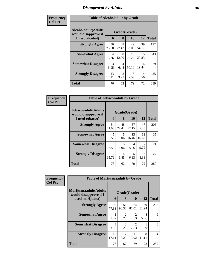### *Disapproval by Adults* **36**

| <b>Frequency</b> | <b>Table of Alcoholadult by Grade</b>              |             |                        |             |                        |              |
|------------------|----------------------------------------------------|-------------|------------------------|-------------|------------------------|--------------|
| <b>Col Pct</b>   | <b>Alcoholadult</b> (Adults<br>would disapprove if |             | Grade(Grade)           |             |                        |              |
|                  | I used alcohol)                                    | 6           | 8                      | 10          | 12                     | <b>Total</b> |
|                  | <b>Strongly Agree</b>                              | 56<br>73.68 | 48<br>77.42            | 49<br>62.03 | 39<br>54.17            | 192          |
|                  | <b>Somewhat Agree</b>                              | 4<br>5.26   | 8<br>12.90             | 16<br>20.25 | 15<br>20.83            | 43           |
|                  | <b>Somewhat Disagree</b>                           | 3<br>3.95   | 4<br>6.45              | 8<br>10.13  | 14<br>19.44            | 29           |
|                  | <b>Strongly Disagree</b>                           | 13<br>17.11 | $\mathfrak{D}$<br>3.23 | 6<br>7.59   | $\overline{4}$<br>5.56 | 25           |
|                  | <b>Total</b>                                       | 76          | 62                     | 79          | 72                     | 289          |

| Frequency      | <b>Table of Tobaccoadult by Grade</b>                                |             |             |                           |             |              |
|----------------|----------------------------------------------------------------------|-------------|-------------|---------------------------|-------------|--------------|
| <b>Col Pct</b> | <b>Tobaccoadult(Adults</b><br>would disapprove if<br>I used tobacco) | 6           | 8           | Grade(Grade)<br><b>10</b> | 12          | <b>Total</b> |
|                | <b>Strongly Agree</b>                                                | 54<br>71.05 | 48<br>77.42 | 57<br>72.15               | 47<br>65.28 | 206          |
|                | <b>Somewhat Agree</b>                                                | 5<br>6.58   | 5<br>8.06   | 13<br>16.46               | 12<br>16.67 | 35           |
|                | <b>Somewhat Disagree</b>                                             | 5<br>6.58   | 5<br>8.06   | 4<br>5.06                 | 9.72        | 21           |
|                | <b>Strongly Disagree</b>                                             | 12<br>15.79 | 4<br>6.45   | 5<br>6.33                 | 6<br>8.33   | 27           |
|                | <b>Total</b>                                                         | 76          | 62          | 79                        | 72          | 289          |

| Frequency      | <b>Table of Marijuanaadult by Grade</b>        |             |                        |                        |             |              |
|----------------|------------------------------------------------|-------------|------------------------|------------------------|-------------|--------------|
| <b>Col Pct</b> | Marijuanaadult(Adults<br>would disapprove if I |             | Grade(Grade)           |                        |             |              |
|                | used marijuana)                                | 6           | 8                      | 10                     | 12          | <b>Total</b> |
|                | <b>Strongly Agree</b>                          | 59<br>77.63 | 56<br>90.32            | 64<br>81.01            | 59<br>81.94 | 238          |
|                | <b>Somewhat Agree</b>                          | 1.32        | $\mathfrak{D}$<br>3.23 | $\mathfrak{D}$<br>2.53 | 4<br>5.56   | 9            |
|                | <b>Somewhat Disagree</b>                       | 3<br>3.95   | $\mathfrak{D}$<br>3.23 | $\overline{2}$<br>2.53 | 1.39        | 8            |
|                | <b>Strongly Disagree</b>                       | 13<br>17.11 | $\mathfrak{D}$<br>3.23 | 11<br>13.92            | 8<br>11.11  | 34           |
|                | <b>Total</b>                                   | 76          | 62                     | 79                     | 72          | 289          |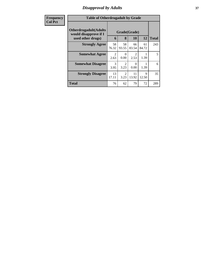## *Disapproval by Adults* **37**

| <b>Frequency</b> | <b>Table of Otherdrugadult by Grade</b>                |                        |                        |                        |             |              |  |
|------------------|--------------------------------------------------------|------------------------|------------------------|------------------------|-------------|--------------|--|
| <b>Col Pct</b>   | <b>Otherdrugadult</b> (Adults<br>would disapprove if I |                        | Grade(Grade)           |                        |             |              |  |
|                  | used other drugs)                                      | 6                      | 8                      | 10                     | 12          | <b>Total</b> |  |
|                  | <b>Strongly Agree</b>                                  | 58<br>76.32            | 58<br>93.55            | 66<br>83.54            | 61<br>84.72 | 243          |  |
|                  | <b>Somewhat Agree</b>                                  | $\overline{2}$<br>2.63 | $\Omega$<br>0.00       | $\mathfrak{D}$<br>2.53 | 1.39        | 5            |  |
|                  | <b>Somewhat Disagree</b>                               | 3<br>3.95              | $\mathfrak{D}$<br>3.23 | $\Omega$<br>0.00       | 1.39        | 6            |  |
|                  | <b>Strongly Disagree</b>                               | 13<br>17.11            | $\mathfrak{D}$<br>3.23 | 11<br>13.92            | 9<br>12.50  | 35           |  |
|                  | <b>Total</b>                                           | 76                     | 62                     | 79                     | 72          | 289          |  |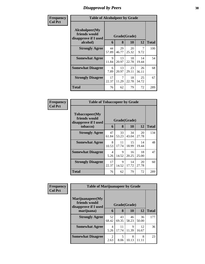# *Disapproval by Peers* **38**

| Frequency      | <b>Table of Alcoholpeer by Grade</b>                    |             |              |             |             |              |
|----------------|---------------------------------------------------------|-------------|--------------|-------------|-------------|--------------|
| <b>Col Pct</b> | Alcoholpeer(My<br>friends would<br>disapprove if I used |             | Grade(Grade) |             |             |              |
|                | alcohol)                                                | 6           | 8            | 10          | 12          | <b>Total</b> |
|                | <b>Strongly Agree</b>                                   | 44<br>57.89 | 29<br>46.77  | 20<br>25.32 | 7<br>9.72   | 100          |
|                | <b>Somewhat Agree</b>                                   | 9<br>11.84  | 13<br>20.97  | 18<br>22.78 | 14<br>19.44 | 54           |
|                | <b>Somewhat Disagree</b>                                | 6<br>7.89   | 13<br>20.97  | 23<br>29.11 | 26<br>36.11 | 68           |
|                | <b>Strongly Disagree</b>                                | 17<br>22.37 | 7<br>11.29   | 18<br>22.78 | 25<br>34.72 | 67           |
|                | Total                                                   | 76          | 62           | 79          | 72          | 289          |

| Frequency      | <b>Table of Tobaccopeer by Grade</b>                    |             |              |             |             |              |  |  |
|----------------|---------------------------------------------------------|-------------|--------------|-------------|-------------|--------------|--|--|
| <b>Col Pct</b> | Tobaccopeer(My<br>friends would<br>disapprove if I used |             | Grade(Grade) |             |             |              |  |  |
|                | tobacco)                                                | 6           | 8            | 10          | 12          | <b>Total</b> |  |  |
|                | <b>Strongly Agree</b>                                   | 47<br>61.84 | 33<br>53.23  | 34<br>43.04 | 20<br>27.78 | 134          |  |  |
|                | <b>Somewhat Agree</b>                                   | 8<br>10.53  | 11<br>17.74  | 15<br>18.99 | 14<br>19.44 | 48           |  |  |
|                | <b>Somewhat Disagree</b>                                | 4<br>5.26   | 9<br>14.52   | 16<br>20.25 | 18<br>25.00 | 47           |  |  |
|                | <b>Strongly Disagree</b>                                | 17<br>22.37 | 9<br>14.52   | 14<br>17.72 | 20<br>27.78 | 60           |  |  |
|                | <b>Total</b>                                            | 76          | 62           | 79          | 72          | 289          |  |  |

| Frequency      | <b>Table of Marijuanapeer by Grade</b>                    |                        |             |             |             |              |  |  |  |
|----------------|-----------------------------------------------------------|------------------------|-------------|-------------|-------------|--------------|--|--|--|
| <b>Col Pct</b> | Marijuanapeer(My<br>friends would<br>disapprove if I used | Grade(Grade)           |             |             |             |              |  |  |  |
|                | marijuana)                                                | 6                      | 8           | 10          | 12          | <b>Total</b> |  |  |  |
|                | <b>Strongly Agree</b>                                     | 52<br>68.42            | 43<br>69.35 | 46<br>58.23 | 36<br>50.00 | 177          |  |  |  |
|                | <b>Somewhat Agree</b>                                     | 4<br>5.26              | 11<br>17.74 | 9<br>11.39  | 12<br>16.67 | 36           |  |  |  |
|                | <b>Somewhat Disagree</b>                                  | $\mathfrak{D}$<br>2.63 | 5<br>8.06   | 8<br>10.13  | 8<br>11.11  | 23           |  |  |  |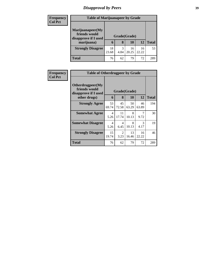# *Disapproval by Peers* **39**

| <b>Frequency</b> | <b>Table of Marijuanapeer by Grade</b>                    |              |           |             |             |              |
|------------------|-----------------------------------------------------------|--------------|-----------|-------------|-------------|--------------|
| <b>Col Pct</b>   | Marijuanapeer(My<br>friends would<br>disapprove if I used | Grade(Grade) |           |             |             |              |
|                  | marijuana)                                                | 6            | 8         | 10          | 12          | <b>Total</b> |
|                  | <b>Strongly Disagree</b>                                  | 18<br>23.68  | 3<br>4.84 | 16<br>20.25 | 16<br>22.22 | 53           |
|                  | <b>Total</b>                                              | 76           | 62        | 79          | 72          | 289          |

| Frequency      | <b>Table of Otherdrugpeer by Grade</b>                                    |             |                        |             |             |              |
|----------------|---------------------------------------------------------------------------|-------------|------------------------|-------------|-------------|--------------|
| <b>Col Pct</b> | Otherdrugpeer(My<br>friends would<br>disapprove if I used<br>other drugs) | 6           | Grade(Grade)<br>8      | 10          | 12          | <b>Total</b> |
|                | <b>Strongly Agree</b>                                                     | 53<br>69.74 | 45<br>72.58            | 50<br>63.29 | 46<br>63.89 | 194          |
|                | <b>Somewhat Agree</b>                                                     | 4<br>5.26   | 11<br>17.74            | 8<br>10.13  | 7<br>9.72   | 30           |
|                | <b>Somewhat Disagree</b>                                                  | 4<br>5.26   | 4<br>6.45              | 8<br>10.13  | 3<br>4.17   | 19           |
|                | <b>Strongly Disagree</b>                                                  | 15<br>19.74 | $\mathfrak{D}$<br>3.23 | 13<br>16.46 | 16<br>22.22 | 46           |
|                | Total                                                                     | 76          | 62                     | 79          | 72          | 289          |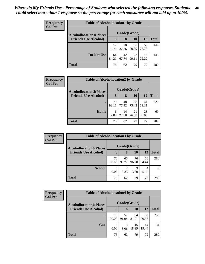| Frequency<br><b>Col Pct</b> | <b>Table of Alcohollocation1 by Grade</b> |             |              |             |             |              |  |
|-----------------------------|-------------------------------------------|-------------|--------------|-------------|-------------|--------------|--|
|                             | <b>Alcohollocation1(Places</b>            |             | Grade(Grade) |             |             |              |  |
|                             | <b>Friends Use Alcohol)</b>               | 6           | 8            | 10          | 12          | <b>Total</b> |  |
|                             |                                           | 12<br>15.79 | 20<br>32.26  | 56<br>70.89 | 56<br>77.78 | 144          |  |
|                             | Do Not Use                                | 64<br>84.21 | 42<br>67.74  | 23<br>29.11 | 16<br>22.22 | 145          |  |
|                             | <b>Total</b>                              | 76          | 62           | 79          | 72          | 289          |  |

| Frequency      | <b>Table of Alcohollocation2 by Grade</b> |              |                   |             |             |              |
|----------------|-------------------------------------------|--------------|-------------------|-------------|-------------|--------------|
| <b>Col Pct</b> | <b>Alcohollocation2(Places</b>            | Grade(Grade) |                   |             |             |              |
|                | <b>Friends Use Alcohol)</b>               | 6            | 8                 | <b>10</b>   | 12          | <b>Total</b> |
|                |                                           | 70<br>92.11  | 48<br>77.42 73.42 | 58          | 44<br>61.11 | 220          |
|                | Home                                      | 6<br>7.89    | 14<br>22.58       | 21<br>26.58 | 28<br>38.89 | 69           |
|                | <b>Total</b>                              | 76           | 62                | 79          | 72          | 289          |

| <b>Frequency</b> | <b>Table of Alcohollocation 3 by Grade</b> |                  |              |             |             |              |  |
|------------------|--------------------------------------------|------------------|--------------|-------------|-------------|--------------|--|
| <b>Col Pct</b>   | <b>Alcohollocation3(Places</b>             |                  | Grade(Grade) |             |             |              |  |
|                  | <b>Friends Use Alcohol)</b>                | 6                | 8            | 10          | <b>12</b>   | <b>Total</b> |  |
|                  |                                            | 76<br>100.00     | 60<br>96.77  | 76<br>96.20 | 68<br>94.44 | 280          |  |
|                  | <b>School</b>                              | $\Omega$<br>0.00 | 3.23         | 3.80        | 4<br>5.56   | 9            |  |
|                  | <b>Total</b>                               | 76               | 62           | 79          | 72          | 289          |  |

| Frequency      | <b>Table of Alcohollocation4 by Grade</b> |              |             |             |             |              |  |
|----------------|-------------------------------------------|--------------|-------------|-------------|-------------|--------------|--|
| <b>Col Pct</b> | <b>Alcohollocation4(Places</b>            | Grade(Grade) |             |             |             |              |  |
|                | <b>Friends Use Alcohol)</b>               | 6            | 8           | <b>10</b>   | 12          | <b>Total</b> |  |
|                |                                           | 76<br>100.00 | 57<br>91.94 | 64<br>81.01 | 58<br>80.56 | 255          |  |
|                | Car                                       | 0.00         | 5<br>8.06   | 15<br>18.99 | 14<br>19.44 | 34           |  |
|                | <b>Total</b>                              | 76           | 62          | 79          | 72          | 289          |  |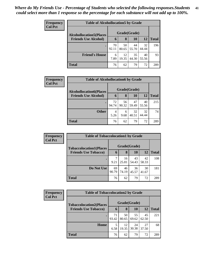| <b>Frequency</b> | <b>Table of Alcohollocation5 by Grade</b> |              |             |             |             |       |  |
|------------------|-------------------------------------------|--------------|-------------|-------------|-------------|-------|--|
| <b>Col Pct</b>   | <b>Alcohollocation5(Places</b>            | Grade(Grade) |             |             |             |       |  |
|                  | <b>Friends Use Alcohol)</b>               | $\mathbf b$  | 8           | 10          | 12          | Total |  |
|                  |                                           | 70<br>92.11  | 50<br>80.65 | 44<br>55.70 | 32<br>44.44 | 196   |  |
|                  | <b>Friend's House</b>                     | 6<br>7.89    | 12<br>19.35 | 35<br>44.30 | 40<br>55.56 | 93    |  |
|                  | <b>Total</b>                              | 76           | 62          | 79          | 72          | 289   |  |

| Frequency      | <b>Table of Alcohollocation6 by Grade</b> |              |             |             |             |              |
|----------------|-------------------------------------------|--------------|-------------|-------------|-------------|--------------|
| <b>Col Pct</b> | <b>Alcohollocation6(Places</b>            | Grade(Grade) |             |             |             |              |
|                | <b>Friends Use Alcohol)</b>               | 6            | 8           | <b>10</b>   | <b>12</b>   | <b>Total</b> |
|                |                                           | 72<br>94.74  | 56<br>90.32 | 47<br>59.49 | 40<br>55.56 | 215          |
|                | <b>Other</b>                              | 4<br>5.26    | 6<br>9.68   | 32<br>40.51 | 32<br>44.44 | 74           |
|                | <b>Total</b>                              | 76           | 62          | 79          | 72          | 289          |

| Frequency      | <b>Table of Tobaccolocation1 by Grade</b> |              |             |             |             |              |
|----------------|-------------------------------------------|--------------|-------------|-------------|-------------|--------------|
| <b>Col Pct</b> | <b>Tobaccolocation1(Places</b>            | Grade(Grade) |             |             |             |              |
|                | <b>Friends Use Tobacco)</b>               | 6            | 8           | 10          | 12          | <b>Total</b> |
|                |                                           | 9.21         | 16<br>25.81 | 43<br>54.43 | 42<br>58.33 | 108          |
|                | Do Not Use                                | 69<br>90.79  | 46<br>74.19 | 36<br>45.57 | 30<br>41.67 | 181          |
|                | <b>Total</b>                              | 76           | 62          | 79          | 72          | 289          |

| Frequency      | <b>Table of Tobaccolocation2 by Grade</b> |              |             |             |             |              |  |  |
|----------------|-------------------------------------------|--------------|-------------|-------------|-------------|--------------|--|--|
| <b>Col Pct</b> | <b>Tobaccolocation2(Places</b>            | Grade(Grade) |             |             |             |              |  |  |
|                | <b>Friends Use Tobacco)</b>               | 6            | 8           | 10          | 12          | <b>Total</b> |  |  |
|                |                                           | 71<br>93.42  | 50<br>80.65 | 55<br>69.62 | 45<br>62.50 | 221          |  |  |
|                | Home                                      | 5<br>6.58    | 12<br>19.35 | 24<br>30.38 | 27<br>37.50 | 68           |  |  |
|                | <b>Total</b>                              | 76           | 62          | 79          | 72          | 289          |  |  |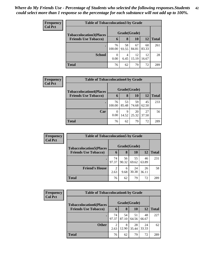| <b>Frequency</b> | <b>Table of Tobaccolocation 3 by Grade</b> |              |             |             |             |              |
|------------------|--------------------------------------------|--------------|-------------|-------------|-------------|--------------|
| <b>Col Pct</b>   | <b>Tobaccolocation3(Places</b>             | Grade(Grade) |             |             |             |              |
|                  | <b>Friends Use Tobacco)</b>                | $\mathbf b$  | 8           | 10          | 12          | <b>Total</b> |
|                  |                                            | 76<br>100.00 | 58<br>93.55 | 67<br>84.81 | 60<br>83.33 | 261          |
|                  | <b>School</b>                              | 0<br>0.00    | 4<br>6.45   | 12<br>15.19 | 12<br>16.67 | 28           |
|                  | Total                                      | 76           | 62          | 79          | 72          | 289          |

| <b>Frequency</b> |                                | <b>Table of Tobaccolocation4 by Grade</b> |             |             |             |              |  |  |  |
|------------------|--------------------------------|-------------------------------------------|-------------|-------------|-------------|--------------|--|--|--|
| <b>Col Pct</b>   | <b>Tobaccolocation4(Places</b> | Grade(Grade)                              |             |             |             |              |  |  |  |
|                  | <b>Friends Use Tobacco)</b>    | 6                                         | 8           | <b>10</b>   | 12          | <b>Total</b> |  |  |  |
|                  |                                | 76<br>100.00                              | 53<br>85.48 | 59<br>74.68 | 45<br>62.50 | 233          |  |  |  |
|                  | Car                            | 0<br>0.00                                 | 9<br>14.52  | 20<br>25.32 | 27<br>37.50 | 56           |  |  |  |
|                  | <b>Total</b>                   | 76                                        | 62          | 79          | 72          | 289          |  |  |  |

| Frequency      |                                | <b>Table of Tobaccolocation5 by Grade</b> |             |             |             |              |  |  |  |
|----------------|--------------------------------|-------------------------------------------|-------------|-------------|-------------|--------------|--|--|--|
| <b>Col Pct</b> | <b>Tobaccolocation5(Places</b> | Grade(Grade)                              |             |             |             |              |  |  |  |
|                | <b>Friends Use Tobacco)</b>    | 6                                         | 8           | 10          | 12          | <b>Total</b> |  |  |  |
|                |                                | 74<br>97.37                               | 56<br>90.32 | 55<br>69.62 | 46<br>63.89 | 231          |  |  |  |
|                | <b>Friend's House</b>          | 2<br>2.63                                 | 6<br>9.68   | 24<br>30.38 | 26<br>36.11 | 58           |  |  |  |
|                | <b>Total</b>                   | 76                                        | 62          | 79          | 72          | 289          |  |  |  |

| Frequency      |                                | <b>Table of Tobaccolocation6 by Grade</b> |             |             |             |              |  |  |  |  |
|----------------|--------------------------------|-------------------------------------------|-------------|-------------|-------------|--------------|--|--|--|--|
| <b>Col Pct</b> | <b>Tobaccolocation6(Places</b> | Grade(Grade)                              |             |             |             |              |  |  |  |  |
|                | <b>Friends Use Tobacco)</b>    | 6                                         | 8           | 10          | 12          | <b>Total</b> |  |  |  |  |
|                |                                | 74<br>97.37                               | 54<br>87.10 | 51<br>64.56 | 48<br>66.67 | 227          |  |  |  |  |
|                | <b>Other</b>                   | $\mathfrak{D}$<br>2.63                    | 8<br>12.90  | 28<br>35.44 | 24<br>33.33 | 62           |  |  |  |  |
|                | <b>Total</b>                   | 76                                        | 62          | 79          | 72          | 289          |  |  |  |  |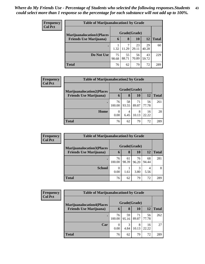| <b>Frequency</b> | <b>Table of Marijuanalocation1 by Grade</b> |              |             |             |             |              |  |  |  |
|------------------|---------------------------------------------|--------------|-------------|-------------|-------------|--------------|--|--|--|
| <b>Col Pct</b>   | <b>Marijuanalocation1(Places</b>            | Grade(Grade) |             |             |             |              |  |  |  |
|                  | <b>Friends Use Marijuana</b> )              | $\mathbf b$  | 8           | 10          | 12          | <b>Total</b> |  |  |  |
|                  |                                             | 1.32         | 11.29       | 23<br>29.11 | 29<br>40.28 | 60           |  |  |  |
|                  | Do Not Use                                  | 75<br>98.68  | 55<br>88.71 | 56<br>70.89 | 43<br>59.72 | 229          |  |  |  |
|                  | <b>Total</b>                                | 76           | 62          | 79          | 72          | 289          |  |  |  |

| Frequency      | <b>Table of Marijuanalocation2 by Grade</b> |              |             |             |             |              |
|----------------|---------------------------------------------|--------------|-------------|-------------|-------------|--------------|
| <b>Col Pct</b> | <b>Marijuanalocation2(Places)</b>           | Grade(Grade) |             |             |             |              |
|                | <b>Friends Use Marijuana</b> )              | 6            | 8           | 10          | 12          | <b>Total</b> |
|                |                                             | 76<br>100.00 | 58<br>93.55 | 71<br>89.87 | 56<br>77.78 | 261          |
|                | Home                                        | 0.00         | 4<br>6.45   | 8<br>10.13  | 16<br>22.22 | 28           |
|                | <b>Total</b>                                | 76           | 62          | 79          | 72          | 289          |

| Frequency      |                                  |                  |             |             | <b>Table of Marijuanalocation3 by Grade</b> |              |  |  |  |  |  |  |
|----------------|----------------------------------|------------------|-------------|-------------|---------------------------------------------|--------------|--|--|--|--|--|--|
| <b>Col Pct</b> | <b>Marijuanalocation3(Places</b> | Grade(Grade)     |             |             |                                             |              |  |  |  |  |  |  |
|                | <b>Friends Use Marijuana</b> )   | $\mathbf b$      | 8           | 10          | 12                                          | <b>Total</b> |  |  |  |  |  |  |
|                |                                  | 76<br>100.00     | 61<br>98.39 | 76<br>96.20 | 68<br>94.44                                 | 281          |  |  |  |  |  |  |
|                | <b>School</b>                    | $\Omega$<br>0.00 | 1.61        | 3.80        | 4<br>5.56                                   | 8            |  |  |  |  |  |  |
|                | <b>Total</b>                     | 76               | 62          | 79          | 72                                          | 289          |  |  |  |  |  |  |

| Frequency      |                                  | <b>Table of Marijuanalocation4 by Grade</b> |             |             |             |              |  |  |  |  |
|----------------|----------------------------------|---------------------------------------------|-------------|-------------|-------------|--------------|--|--|--|--|
| <b>Col Pct</b> | <b>Marijuanalocation4(Places</b> | Grade(Grade)                                |             |             |             |              |  |  |  |  |
|                | <b>Friends Use Marijuana</b> )   | 6                                           | 8           | 10          | 12          | <b>Total</b> |  |  |  |  |
|                |                                  | 76<br>100.00                                | 59<br>95.16 | 71<br>89.87 | 56<br>77.78 | 262          |  |  |  |  |
|                | Car                              | 0<br>0.00                                   | 3<br>4.84   | 8<br>10.13  | 16<br>22.22 | 27           |  |  |  |  |
|                | <b>Total</b>                     | 76                                          | 62          | 79          | 72          | 289          |  |  |  |  |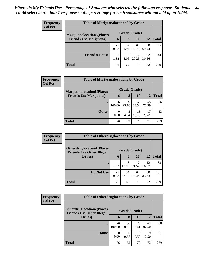| <b>Frequency</b> | <b>Table of Marijuanalocation5 by Grade</b> |              |             |             |             |              |  |  |
|------------------|---------------------------------------------|--------------|-------------|-------------|-------------|--------------|--|--|
| <b>Col Pct</b>   | <b>Marijuanalocation5</b> (Places           | Grade(Grade) |             |             |             |              |  |  |
|                  | <b>Friends Use Marijuana</b> )              | $\mathbf b$  | 8           | 10          | 12          | <b>Total</b> |  |  |
|                  |                                             | 75<br>98.68  | 57<br>91.94 | 63<br>79.75 | 50<br>69.44 | 245          |  |  |
|                  | <b>Friend's House</b>                       | 1.32         | 5<br>8.06   | 16<br>20.25 | 22<br>30.56 | 44           |  |  |
|                  | <b>Total</b>                                | 76           | 62          | 79          | 72          | 289          |  |  |

| Frequency      |                                  |                  |             |             | <b>Table of Marijuanalocation6 by Grade</b> |              |  |  |  |  |  |  |
|----------------|----------------------------------|------------------|-------------|-------------|---------------------------------------------|--------------|--|--|--|--|--|--|
| <b>Col Pct</b> | <b>Marijuanalocation6(Places</b> | Grade(Grade)     |             |             |                                             |              |  |  |  |  |  |  |
|                | <b>Friends Use Marijuana</b> )   | $\mathbf 6$      | 8           | 10          | 12                                          | <b>Total</b> |  |  |  |  |  |  |
|                |                                  | 76<br>100.00     | 59<br>95.16 | 66<br>83.54 | 55<br>76.39                                 | 256          |  |  |  |  |  |  |
|                | <b>Other</b>                     | $\Omega$<br>0.00 | 3<br>4.84   | 13<br>16.46 | 17<br>23.61                                 | 33           |  |  |  |  |  |  |
|                | <b>Total</b>                     | 76               | 62          | 79          | 72                                          | 289          |  |  |  |  |  |  |

| Frequency      |                                                                      | <b>Table of Otherdruglocation1 by Grade</b> |             |             |             |              |  |
|----------------|----------------------------------------------------------------------|---------------------------------------------|-------------|-------------|-------------|--------------|--|
| <b>Col Pct</b> | <b>Otherdruglocation1(Places</b><br><b>Friends Use Other Illegal</b> | Grade(Grade)                                |             |             |             |              |  |
|                | Drugs)                                                               | 6                                           | 8           | <b>10</b>   | 12          | <b>Total</b> |  |
|                |                                                                      | 1.32                                        | 8<br>12.90  | 17<br>21.52 | 12<br>16.67 | 38           |  |
|                | Do Not Use                                                           | 75<br>98.68                                 | 54<br>87.10 | 62<br>78.48 | 60<br>83.33 | 251          |  |
|                | <b>Total</b>                                                         | 76                                          | 62          | 79          | 72          | 289          |  |

| <b>Frequency</b> |                                                                       | <b>Table of Otherdruglocation2 by Grade</b> |             |             |             |              |  |
|------------------|-----------------------------------------------------------------------|---------------------------------------------|-------------|-------------|-------------|--------------|--|
| <b>Col Pct</b>   | <b>Otherdruglocation2(Places)</b><br><b>Friends Use Other Illegal</b> | Grade(Grade)                                |             |             |             |              |  |
|                  | Drugs)                                                                | 6                                           | 8           | 10          | 12          | <b>Total</b> |  |
|                  |                                                                       | 76<br>100.00                                | 56<br>90.32 | 73<br>92.41 | 63<br>87.50 | 268          |  |
|                  | Home                                                                  | $\Omega$<br>0.00                            | 6<br>9.68   | 6<br>7.59   | Q<br>12.50  | 21           |  |
|                  | <b>Total</b>                                                          | 76                                          | 62          | 79          | 72          | 289          |  |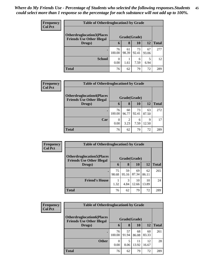| <b>Frequency</b> | <b>Table of Otherdruglocation 3 by Grade</b>                          |              |             |             |             |              |  |
|------------------|-----------------------------------------------------------------------|--------------|-------------|-------------|-------------|--------------|--|
| <b>Col Pct</b>   | <b>Otherdruglocation3(Places)</b><br><b>Friends Use Other Illegal</b> | Grade(Grade) |             |             |             |              |  |
|                  | Drugs)                                                                | 6            | 8           | 10          | 12          | <b>Total</b> |  |
|                  |                                                                       | 76<br>100.00 | 61<br>98.39 | 73<br>92.41 | 67<br>93.06 | 277          |  |
|                  | <b>School</b>                                                         | 0.00         | 1.61        | 6<br>7.59   | 5<br>6.94   | 12           |  |
|                  | <b>Total</b>                                                          | 76           | 62          | 79          | 72          | 289          |  |

| <b>Frequency</b> | <b>Table of Otherdruglocation4 by Grade</b>                           |              |                        |             |             |              |  |
|------------------|-----------------------------------------------------------------------|--------------|------------------------|-------------|-------------|--------------|--|
| <b>Col Pct</b>   | <b>Otherdruglocation4(Places)</b><br><b>Friends Use Other Illegal</b> | Grade(Grade) |                        |             |             |              |  |
|                  | Drugs)                                                                | 6            | 8                      | 10          | 12          | <b>Total</b> |  |
|                  | $\bullet$                                                             | 76<br>100.00 | 60<br>96.77            | 73<br>92.41 | 63<br>87.50 | 272          |  |
|                  | Car                                                                   | 0.00         | $\mathfrak{D}$<br>3.23 | 6<br>7.59   | 9<br>12.50  | 17           |  |
|                  | <b>Total</b>                                                          | 76           | 62                     | 79          | 72          | 289          |  |

| Frequency<br><b>Col Pct</b> | <b>Table of Otherdruglocation5 by Grade</b>                           |              |             |             |             |              |  |  |
|-----------------------------|-----------------------------------------------------------------------|--------------|-------------|-------------|-------------|--------------|--|--|
|                             | <b>Otherdruglocation5(Places)</b><br><b>Friends Use Other Illegal</b> | Grade(Grade) |             |             |             |              |  |  |
|                             | Drugs)                                                                | 6            | 8           | <b>10</b>   | 12          | <b>Total</b> |  |  |
|                             |                                                                       | 75<br>98.68  | 59<br>95.16 | 69<br>87.34 | 62<br>86.11 | 265          |  |  |
|                             | <b>Friend's House</b>                                                 | 1.32         | 3<br>4.84   | 10<br>12.66 | 10<br>13.89 | 24           |  |  |
|                             | <b>Total</b>                                                          | 76           | 62          | 79          | 72          | 289          |  |  |

| <b>Frequency</b> | <b>Table of Otherdruglocation6 by Grade</b>                          |                  |             |             |             |              |  |
|------------------|----------------------------------------------------------------------|------------------|-------------|-------------|-------------|--------------|--|
| <b>Col Pct</b>   | <b>Otherdruglocation6(Places</b><br><b>Friends Use Other Illegal</b> | Grade(Grade)     |             |             |             |              |  |
|                  | Drugs)                                                               | 6                | 8           | 10          | 12          | <b>Total</b> |  |
|                  |                                                                      | 76<br>100.00     | 57<br>91.94 | 68<br>86.08 | 60<br>83.33 | 261          |  |
|                  | <b>Other</b>                                                         | $\theta$<br>0.00 | 5<br>8.06   | 11<br>13.92 | 12<br>16.67 | 28           |  |
|                  | <b>Total</b>                                                         | 76               | 62          | 79          | 72          | 289          |  |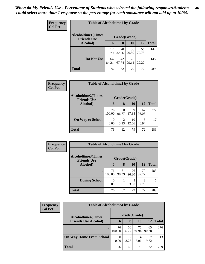| <b>Frequency</b> | <b>Table of Alcoholtime1 by Grade</b>           |              |             |             |             |              |  |  |
|------------------|-------------------------------------------------|--------------|-------------|-------------|-------------|--------------|--|--|
| <b>Col Pct</b>   | <b>Alcoholtime1(Times</b><br><b>Friends Use</b> | Grade(Grade) |             |             |             |              |  |  |
|                  | Alcohol)                                        | 6            | 8           | <b>10</b>   | 12          | <b>Total</b> |  |  |
|                  |                                                 | 12<br>15.79  | 20<br>32.26 | 56<br>70.89 | 56<br>77.78 | 144          |  |  |
|                  | Do Not Use                                      | 64<br>84.21  | 42<br>67.74 | 23<br>29.11 | 16<br>22.22 | 145          |  |  |
|                  | <b>Total</b>                                    | 76           | 62          | 79          | 72          | 289          |  |  |

| Frequency<br><b>Col Pct</b> | <b>Table of Alcoholtime2 by Grade</b>           |              |             |             |             |              |  |  |
|-----------------------------|-------------------------------------------------|--------------|-------------|-------------|-------------|--------------|--|--|
|                             | <b>Alcoholtime2(Times</b><br><b>Friends Use</b> | Grade(Grade) |             |             |             |              |  |  |
|                             | Alcohol)                                        | 6            | 8           | 10          | 12          | <b>Total</b> |  |  |
|                             | $\bullet$                                       | 76<br>100.00 | 60<br>96.77 | 69<br>87.34 | 67<br>93.06 | 272          |  |  |
|                             | <b>On Way to School</b>                         | 0<br>0.00    | 2<br>3.23   | 10<br>12.66 | 5<br>6.94   | 17           |  |  |
|                             | <b>Total</b>                                    | 76           | 62          | 79          | 72          | 289          |  |  |

| Frequency<br><b>Col Pct</b> | <b>Table of Alcoholtime3 by Grade</b>           |              |             |             |                        |              |  |  |
|-----------------------------|-------------------------------------------------|--------------|-------------|-------------|------------------------|--------------|--|--|
|                             | <b>Alcoholtime3(Times</b><br><b>Friends Use</b> | Grade(Grade) |             |             |                        |              |  |  |
|                             | Alcohol)                                        | 6            | 8           | 10          | 12                     | <b>Total</b> |  |  |
|                             | ٠                                               | 76<br>100.00 | 61<br>98.39 | 76<br>96.20 | 70<br>97.22            | 283          |  |  |
|                             | <b>During School</b>                            | 0.00         | 1.61        | 3<br>3.80   | $\mathfrak{D}$<br>2.78 | 6            |  |  |
|                             | <b>Total</b>                                    | 76           | 62          | 79          | 72                     | 289          |  |  |

| <b>Frequency</b> | <b>Table of Alcoholtime4 by Grade</b> |              |             |             |             |              |  |
|------------------|---------------------------------------|--------------|-------------|-------------|-------------|--------------|--|
| <b>Col Pct</b>   | <b>Alcoholtime4(Times</b>             | Grade(Grade) |             |             |             |              |  |
|                  | <b>Friends Use Alcohol)</b>           | 6            | 8           | <b>10</b>   | 12          | <b>Total</b> |  |
|                  | ٠                                     | 76<br>100.00 | 60<br>96.77 | 75<br>94.94 | 65<br>90.28 | 276          |  |
|                  | <b>On Way Home From School</b>        | 0.00         | 3.23        | 4<br>5.06   | 7<br>9.72   | 13           |  |
|                  | <b>Total</b>                          | 76           | 62          | 79          | 72          | 289          |  |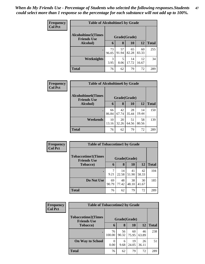| Frequency      | <b>Table of Alcoholtime5 by Grade</b>           |              |             |             |             |              |  |  |  |
|----------------|-------------------------------------------------|--------------|-------------|-------------|-------------|--------------|--|--|--|
| <b>Col Pct</b> | <b>Alcoholtime5(Times</b><br><b>Friends Use</b> | Grade(Grade) |             |             |             |              |  |  |  |
|                | Alcohol)                                        | 6            | 8           | 10          | 12          | <b>Total</b> |  |  |  |
|                |                                                 | 73<br>96.05  | 57<br>91.94 | 65<br>82.28 | 60<br>83.33 | 255          |  |  |  |
|                | Weeknights                                      | 3<br>3.95    | 5<br>8.06   | 14<br>17.72 | 12<br>16.67 | 34           |  |  |  |
|                | <b>Total</b>                                    | 76           | 62          | 79          | 72          | 289          |  |  |  |

| <b>Frequency</b><br><b>Col Pct</b> | <b>Table of Alcoholtime6 by Grade</b>           |              |             |             |             |              |  |  |  |
|------------------------------------|-------------------------------------------------|--------------|-------------|-------------|-------------|--------------|--|--|--|
|                                    | <b>Alcoholtime6(Times</b><br><b>Friends Use</b> | Grade(Grade) |             |             |             |              |  |  |  |
|                                    | Alcohol)                                        | 6            | 8           | 10          | 12          | <b>Total</b> |  |  |  |
|                                    |                                                 | 66<br>86.84  | 42<br>67.74 | 28<br>35.44 | 14<br>19.44 | 150          |  |  |  |
|                                    | Weekends                                        | 10<br>13.16  | 20<br>32.26 | 51<br>64.56 | 58<br>80.56 | 139          |  |  |  |
|                                    | <b>Total</b>                                    | 76           | 62          | 79          | 72          | 289          |  |  |  |

| Frequency      | <b>Table of Tobaccotime1 by Grade</b>           |              |             |             |             |              |  |  |
|----------------|-------------------------------------------------|--------------|-------------|-------------|-------------|--------------|--|--|
| <b>Col Pct</b> | <b>Tobaccotime1(Times</b><br><b>Friends Use</b> | Grade(Grade) |             |             |             |              |  |  |
|                | <b>Tobacco</b> )                                | 6            | 8           | 10          | 12          | <b>Total</b> |  |  |
|                |                                                 | 7<br>9.21    | 14<br>22.58 | 41<br>51.90 | 42<br>58.33 | 104          |  |  |
|                | Do Not Use                                      | 69<br>90.79  | 48<br>77.42 | 38<br>48.10 | 30<br>41.67 | 185          |  |  |
|                | <b>Total</b>                                    | 76           | 62          | 79          | 72          | 289          |  |  |

| <b>Frequency</b> |                                                 | <b>Table of Tobaccotime2 by Grade</b> |             |             |             |              |  |  |  |
|------------------|-------------------------------------------------|---------------------------------------|-------------|-------------|-------------|--------------|--|--|--|
| <b>Col Pct</b>   | <b>Tobaccotime2(Times</b><br><b>Friends Use</b> | Grade(Grade)                          |             |             |             |              |  |  |  |
|                  | <b>Tobacco</b> )                                | 6                                     | 8           | 10          | 12          | <b>Total</b> |  |  |  |
|                  |                                                 | 76<br>100.00                          | 56<br>90.32 | 60<br>75.95 | 46<br>63.89 | 238          |  |  |  |
|                  | <b>On Way to School</b>                         | 0<br>0.00                             | 6<br>9.68   | 19<br>24.05 | 26<br>36.11 | 51           |  |  |  |
|                  | <b>Total</b>                                    | 76                                    | 62          | 79          | 72          | 289          |  |  |  |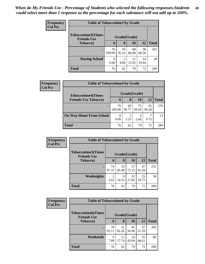| <b>Frequency</b> | <b>Table of Tobaccotime3 by Grade</b>           |                     |             |             |             |              |  |
|------------------|-------------------------------------------------|---------------------|-------------|-------------|-------------|--------------|--|
| <b>Col Pct</b>   | <b>Tobaccotime3(Times</b><br><b>Friends Use</b> | Grade(Grade)        |             |             |             |              |  |
|                  | <b>Tobacco</b> )                                | $\ddot{\mathbf{6}}$ | 8           | 10          | <b>12</b>   | <b>Total</b> |  |
|                  |                                                 | 76<br>100.00        | 59<br>95.16 | 68<br>86.08 | 58<br>80.56 | 261          |  |
|                  | <b>During School</b>                            | 0<br>0.00           | 3<br>4.84   | 11<br>13.92 | 14<br>19.44 | 28           |  |
|                  | <b>Total</b>                                    | 76                  | 62          | 79          | 72          | 289          |  |

| Frequency      | <b>Table of Tobaccotime4 by Grade</b> |              |             |             |             |              |  |  |  |
|----------------|---------------------------------------|--------------|-------------|-------------|-------------|--------------|--|--|--|
| <b>Col Pct</b> | <b>Tobaccotime4(Times</b>             | Grade(Grade) |             |             |             |              |  |  |  |
|                | <b>Friends Use Tobacco)</b>           | 6            | 8           | 10          | 12          | <b>Total</b> |  |  |  |
|                |                                       | 76<br>100.00 | 60<br>96.77 | 75<br>94.94 | 65<br>90.28 | 276          |  |  |  |
|                | <b>On Way Home From School</b>        | 0.00         | 3.23        | 4<br>5.06   | ┑<br>9.72   | 13           |  |  |  |
|                | <b>Total</b>                          | 76           | 62          | 79          | 72          | 289          |  |  |  |

| <b>Frequency</b> | <b>Table of Tobaccotime5 by Grade</b>            |                        |             |             |             |              |  |  |
|------------------|--------------------------------------------------|------------------------|-------------|-------------|-------------|--------------|--|--|
| <b>Col Pct</b>   | <b>Tobaccotime5</b> (Times<br><b>Friends Use</b> | Grade(Grade)           |             |             |             |              |  |  |
|                  | Tobacco)                                         | 6                      | 8           | 10          | 12          | <b>Total</b> |  |  |
|                  |                                                  | 74<br>97.37            | 53<br>85.48 | 57<br>72.15 | 47<br>65.28 | 231          |  |  |
|                  | Weeknights                                       | $\overline{2}$<br>2.63 | 9<br>14.52  | 22<br>27.85 | 25<br>34.72 | 58           |  |  |
|                  | <b>Total</b>                                     | 76                     | 62          | 79          | 72          | 289          |  |  |

| Frequency      | <b>Table of Tobaccotime6 by Grade</b>           |              |             |             |             |              |  |  |
|----------------|-------------------------------------------------|--------------|-------------|-------------|-------------|--------------|--|--|
| <b>Col Pct</b> | <b>Tobaccotime6(Times</b><br><b>Friends Use</b> | Grade(Grade) |             |             |             |              |  |  |
|                | <b>Tobacco</b> )                                | 6            | 8           | 10          | 12          | <b>Total</b> |  |  |
|                |                                                 | 70<br>92.11  | 51<br>82.26 | 45<br>56.96 | 37<br>51.39 | 203          |  |  |
|                | Weekends                                        | 6<br>7.89    | 11<br>17.74 | 34<br>43.04 | 35<br>48.61 | 86           |  |  |
|                | <b>Total</b>                                    | 76           | 62          | 79          | 72          | 289          |  |  |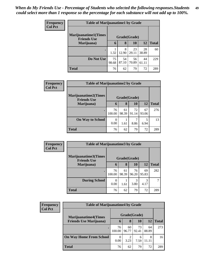| <b>Frequency</b> | <b>Table of Marijuanatime1 by Grade</b>           |              |             |             |             |              |  |
|------------------|---------------------------------------------------|--------------|-------------|-------------|-------------|--------------|--|
| <b>Col Pct</b>   | <b>Marijuanatime1(Times</b><br><b>Friends Use</b> | Grade(Grade) |             |             |             |              |  |
|                  | Marijuana)                                        | 6            | 8           | 10          | 12          | <b>Total</b> |  |
|                  |                                                   | 1.32         | 8<br>12.90  | 23<br>29.11 | 28<br>38.89 | 60           |  |
|                  | Do Not Use                                        | 75<br>98.68  | 54<br>87.10 | 56<br>70.89 | 44<br>61.11 | 229          |  |
|                  | <b>Total</b>                                      | 76           | 62          | 79          | 72          | 289          |  |

| Frequency      |                                                   | <b>Table of Marijuanatime2 by Grade</b> |             |             |             |              |  |  |  |
|----------------|---------------------------------------------------|-----------------------------------------|-------------|-------------|-------------|--------------|--|--|--|
| <b>Col Pct</b> | <b>Marijuanatime2(Times</b><br><b>Friends Use</b> | Grade(Grade)                            |             |             |             |              |  |  |  |
|                | Marijuana)                                        | 6                                       | 8           | <b>10</b>   | 12          | <b>Total</b> |  |  |  |
|                |                                                   | 76<br>100.00                            | 61<br>98.39 | 72<br>91.14 | 67<br>93.06 | 276          |  |  |  |
|                | <b>On Way to School</b>                           | $\mathbf{\Omega}$<br>0.00               | 1.61        | 8.86        | 5<br>6.94   | 13           |  |  |  |
|                | <b>Total</b>                                      | 76                                      | 62          | 79          | 72          | 289          |  |  |  |

| Frequency      | <b>Table of Marijuanatime3 by Grade</b>    |              |             |             |             |              |  |  |
|----------------|--------------------------------------------|--------------|-------------|-------------|-------------|--------------|--|--|
| <b>Col Pct</b> | Marijuanatime3(Times<br><b>Friends Use</b> | Grade(Grade) |             |             |             |              |  |  |
|                | Marijuana)                                 | 6            | 8           | 10          | <b>12</b>   | <b>Total</b> |  |  |
|                |                                            | 76<br>100.00 | 61<br>98.39 | 76<br>96.20 | 69<br>95.83 | 282          |  |  |
|                | <b>During School</b>                       | 0.00         | 1.61        | 3<br>3.80   | 3<br>4.17   | 7            |  |  |
|                | <b>Total</b>                               | 76           | 62          | 79          | 72          | 289          |  |  |

| <b>Frequency</b><br><b>Col Pct</b> | <b>Table of Marijuanatime4 by Grade</b> |              |             |             |             |              |  |
|------------------------------------|-----------------------------------------|--------------|-------------|-------------|-------------|--------------|--|
|                                    | <b>Marijuanatime4</b> (Times            | Grade(Grade) |             |             |             |              |  |
|                                    | <b>Friends Use Marijuana</b> )          | $\mathbf b$  | 8           | 10          | 12          | <b>Total</b> |  |
|                                    | $\bullet$                               | 76<br>100.00 | 60<br>96.77 | 73<br>92.41 | 64<br>88.89 | 273          |  |
|                                    | <b>On Way Home From School</b>          | 0.00         | 2<br>3.23   | 6<br>7.59   | 8<br>11 11  | 16           |  |
|                                    | <b>Total</b>                            | 76           | 62          | 79          | 72          | 289          |  |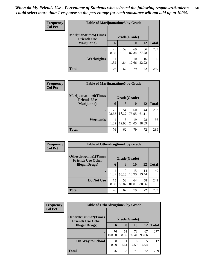| <b>Frequency</b> | <b>Table of Marijuanatime5 by Grade</b>            |              |             |             |             |              |  |
|------------------|----------------------------------------------------|--------------|-------------|-------------|-------------|--------------|--|
| <b>Col Pct</b>   | <b>Marijuanatime5</b> (Times<br><b>Friends Use</b> | Grade(Grade) |             |             |             |              |  |
|                  | Marijuana)                                         | 6            | 8           | 10          | 12          | <b>Total</b> |  |
|                  |                                                    | 75<br>98.68  | 59<br>95.16 | 69<br>87.34 | 56<br>77.78 | 259          |  |
|                  | Weeknights                                         | 1.32         | 3<br>4.84   | 10<br>12.66 | 16<br>22.22 | 30           |  |
|                  | <b>Total</b>                                       | 76           | 62          | 79          | 72          | 289          |  |

| Frequency | <b>Table of Marijuanatime6 by Grade</b>           |              |             |             |             |              |  |  |
|-----------|---------------------------------------------------|--------------|-------------|-------------|-------------|--------------|--|--|
| Col Pct   | <b>Marijuanatime6(Times</b><br><b>Friends Use</b> | Grade(Grade) |             |             |             |              |  |  |
|           | Marijuana)                                        | 6            | 8           | 10          | 12          | <b>Total</b> |  |  |
|           |                                                   | 75<br>98.68  | 54<br>87.10 | 60<br>75.95 | 44<br>61.11 | 233          |  |  |
|           | Weekends                                          | 1.32         | 8<br>12.90  | 19<br>24.05 | 28<br>38.89 | 56           |  |  |
|           | <b>Total</b>                                      | 76           | 62          | 79          | 72          | 289          |  |  |

| Frequency<br><b>Col Pct</b> | <b>Table of Otherdrugtime1 by Grade</b>                  |              |             |             |             |              |  |
|-----------------------------|----------------------------------------------------------|--------------|-------------|-------------|-------------|--------------|--|
|                             | <b>Otherdrugtime1</b> (Times<br><b>Friends Use Other</b> | Grade(Grade) |             |             |             |              |  |
|                             | <b>Illegal Drugs</b> )                                   | 6            | 8           | 10          | 12          | <b>Total</b> |  |
|                             | ٠                                                        | 1.32         | 10<br>16.13 | 15<br>18.99 | 14<br>19.44 | 40           |  |
|                             | Do Not Use                                               | 75<br>98.68  | 52<br>83.87 | 64<br>81.01 | 58<br>80.56 | 249          |  |
|                             | <b>Total</b>                                             | 76           | 62          | 79          | 72          | 289          |  |

| Frequency      |                                                         | <b>Table of Otherdrugtime2 by Grade</b> |             |             |             |              |  |
|----------------|---------------------------------------------------------|-----------------------------------------|-------------|-------------|-------------|--------------|--|
| <b>Col Pct</b> | <b>Otherdrugtime2(Times</b><br><b>Friends Use Other</b> | Grade(Grade)                            |             |             |             |              |  |
|                | <b>Illegal Drugs</b> )                                  | 6                                       | 8           | <b>10</b>   | 12          | <b>Total</b> |  |
|                |                                                         | 76<br>100.00                            | 61<br>98.39 | 73<br>92.41 | 67<br>93.06 | 277          |  |
|                | <b>On Way to School</b>                                 | 0.00                                    | 1.61        | 6<br>7.59   | 6.94        | 12           |  |
|                | <b>Total</b>                                            | 76                                      | 62          | 79          | 72          | 289          |  |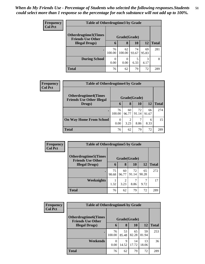*When do My Friends Use - Percentage of Students who selected the following responses.Students could select more than 1 response so the percentage for each substance will not add up to 100%.* **51**

| <b>Frequency</b> | <b>Table of Otherdrugtime3 by Grade</b>                  |              |                  |             |             |              |  |
|------------------|----------------------------------------------------------|--------------|------------------|-------------|-------------|--------------|--|
| <b>Col Pct</b>   | <b>Otherdrugtime3</b> (Times<br><b>Friends Use Other</b> | Grade(Grade) |                  |             |             |              |  |
|                  | <b>Illegal Drugs</b> )                                   | 6            | 8                | 10          | 12          | <b>Total</b> |  |
|                  |                                                          | 76<br>100.00 | 62<br>100.00     | 74<br>93.67 | 69<br>95.83 | 281          |  |
|                  | <b>During School</b>                                     | 0.00         | $\theta$<br>0.00 | 6.33        | 3<br>4.17   | 8            |  |
|                  | <b>Total</b>                                             | 76           | 62               | 79          | 72          | 289          |  |

| Frequency      | <b>Table of Otherdrugtime4 by Grade</b>                         |              |             |             |             |              |  |
|----------------|-----------------------------------------------------------------|--------------|-------------|-------------|-------------|--------------|--|
| <b>Col Pct</b> | <b>Otherdrugtime4(Times</b><br><b>Friends Use Other Illegal</b> | Grade(Grade) |             |             |             |              |  |
|                | Drugs)                                                          | 6            | 8           | <b>10</b>   | 12          | <b>Total</b> |  |
|                |                                                                 | 76<br>100.00 | 60<br>96.77 | 72<br>91.14 | 66<br>91.67 | 274          |  |
|                | <b>On Way Home From School</b>                                  | 0.00         | 3.23        | 8.86        | 6<br>8.33   | 15           |  |
|                | <b>Total</b>                                                    | 76           | 62          | 79          | 72          | 289          |  |

| Frequency      | <b>Table of Otherdrugtime5 by Grade</b>                  |              |             |             |             |              |  |
|----------------|----------------------------------------------------------|--------------|-------------|-------------|-------------|--------------|--|
| <b>Col Pct</b> | <b>Otherdrugtime5</b> (Times<br><b>Friends Use Other</b> | Grade(Grade) |             |             |             |              |  |
|                | <b>Illegal Drugs</b> )                                   | 6            | 8           | 10          | 12          | <b>Total</b> |  |
|                | $\bullet$                                                | 75<br>98.68  | 60<br>96.77 | 72<br>91.14 | 65<br>90.28 | 272          |  |
|                | Weeknights                                               | 1.32         | 2<br>3.23   | 8.86        | 9.72        | 17           |  |
|                | <b>Total</b>                                             | 76           | 62          | 79          | 72          | 289          |  |

| <b>Frequency</b> | <b>Table of Otherdrugtime6 by Grade</b>                 |              |             |             |             |              |  |
|------------------|---------------------------------------------------------|--------------|-------------|-------------|-------------|--------------|--|
| <b>Col Pct</b>   | <b>Otherdrugtime6(Times</b><br><b>Friends Use Other</b> | Grade(Grade) |             |             |             |              |  |
|                  | <b>Illegal Drugs</b> )                                  | 6            | 8           | 10          | <b>12</b>   | <b>Total</b> |  |
|                  |                                                         | 76<br>100.00 | 53<br>85.48 | 65<br>82.28 | 59<br>81.94 | 253          |  |
|                  | Weekends                                                | 0.00         | 9<br>14.52  | 14<br>17.72 | 13<br>18.06 | 36           |  |
|                  | <b>Total</b>                                            | 76           | 62          | 79          | 72          | 289          |  |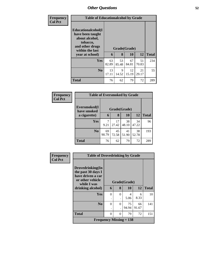| <b>Frequency</b> | <b>Table of Educationalcohol by Grade</b>                                                                                     |             |                   |             |             |              |
|------------------|-------------------------------------------------------------------------------------------------------------------------------|-------------|-------------------|-------------|-------------|--------------|
| <b>Col Pct</b>   | Educationalcohol(I<br>have been taught<br>about alcohol,<br>tobacco,<br>and other drugs<br>within the last<br>year at school) | 6           | Grade(Grade)<br>8 | 10          | 12          | <b>Total</b> |
|                  | Yes                                                                                                                           | 63<br>82.89 | 53<br>85.48       | 67<br>84.81 | 51<br>70.83 | 234          |
|                  | No                                                                                                                            | 13<br>17.11 | 9<br>14.52        | 12<br>15.19 | 21<br>29.17 | 55           |
|                  | <b>Total</b>                                                                                                                  | 76          | 62                | 79          | 72          | 289          |

| Frequency      |                                             | <b>Table of Eversmoked by Grade</b> |             |             |             |              |  |  |  |
|----------------|---------------------------------------------|-------------------------------------|-------------|-------------|-------------|--------------|--|--|--|
| <b>Col Pct</b> | Eversmoked(I<br>Grade(Grade)<br>have smoked |                                     |             |             |             |              |  |  |  |
|                | a cigarette)                                | 6                                   | 8           | 10          | 12          | <b>Total</b> |  |  |  |
|                | Yes                                         | 9.21                                | 17<br>27.42 | 38<br>48.10 | 34<br>47.22 | 96           |  |  |  |
|                | N <sub>0</sub>                              | 69<br>90.79                         | 45<br>72.58 | 41<br>51.90 | 38<br>52.78 | 193          |  |  |  |
|                | <b>Total</b>                                | 76                                  | 62          | 79          | 72          | 289          |  |  |  |

| Frequency      | <b>Table of Drovedrinking by Grade</b>                                                         |          |              |             |             |              |
|----------------|------------------------------------------------------------------------------------------------|----------|--------------|-------------|-------------|--------------|
| <b>Col Pct</b> | Drovedrinking(In<br>the past 30 days I<br>have driven a car<br>or other vehicle<br>while I was |          | Grade(Grade) |             |             |              |
|                | drinking alcohol)                                                                              | 6        | 8            | 10          | 12          | <b>Total</b> |
|                | Yes                                                                                            | $\Omega$ | $\Omega$     | 4<br>5.06   | 6<br>8.33   | 10           |
|                | No                                                                                             | $\Omega$ | $\theta$     | 75<br>94.94 | 66<br>91.67 | 141          |
|                | <b>Total</b>                                                                                   | 0        | $\Omega$     | 79          | 72          | 151          |
|                | <b>Frequency Missing = 138</b>                                                                 |          |              |             |             |              |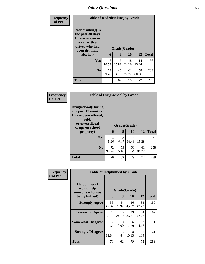| <b>Frequency</b> | <b>Table of Rodedrinking by Grade</b>                                                                                  |             |                   |             |             |              |  |  |
|------------------|------------------------------------------------------------------------------------------------------------------------|-------------|-------------------|-------------|-------------|--------------|--|--|
| <b>Col Pct</b>   | Rodedrinking(In<br>the past 30 days<br>I have ridden in<br>a car with a<br>driver who had<br>been drinking<br>alcohol) | 6           | Grade(Grade)<br>8 | 10          | 12          | <b>Total</b> |  |  |
|                  | <b>Yes</b>                                                                                                             | 8<br>10.53  | 16<br>25.81       | 18<br>22.78 | 14<br>19.44 | 56           |  |  |
|                  | N <sub>0</sub>                                                                                                         | 68<br>89.47 | 46<br>74.19       | 61<br>77.22 | 58<br>80.56 | 233          |  |  |
|                  | <b>Total</b>                                                                                                           | 76          | 62                | 79          | 72          | 289          |  |  |

| <b>Frequency</b> | <b>Table of Drugsschool by Grade</b>                                                                                                   |             |             |                    |             |              |
|------------------|----------------------------------------------------------------------------------------------------------------------------------------|-------------|-------------|--------------------|-------------|--------------|
| <b>Col Pct</b>   | <b>Drugsschool</b> (During<br>the past 12 months,<br>I have been offered,<br>sold,<br>or given illegal<br>drugs on school<br>property) | 6           | 8           | Grade(Grade)<br>10 | 12          | <b>Total</b> |
|                  | Yes                                                                                                                                    | 4<br>5.26   | 3<br>4.84   | 13<br>16.46        | 11<br>15.28 | 31           |
|                  | N <sub>0</sub>                                                                                                                         | 72<br>94.74 | 59<br>95.16 | 66<br>83.54        | 61<br>84.72 | 258          |
|                  | <b>Total</b>                                                                                                                           | 76          | 62          | 79                 | 72          | 289          |

| <b>Frequency</b> | <b>Table of Helpbullied by Grade</b>           |              |                       |             |                       |              |
|------------------|------------------------------------------------|--------------|-----------------------|-------------|-----------------------|--------------|
| <b>Col Pct</b>   | Helpbullied(I<br>would help<br>someone who was | Grade(Grade) |                       |             |                       |              |
|                  | being bullied)                                 | 6            | 8                     | 10          | 12                    | <b>Total</b> |
|                  | <b>Strongly Agree</b>                          | 36<br>47.37  | 44<br>70.97           | 36<br>45.57 | 34<br>47.22           | 150          |
|                  | <b>Somewhat Agree</b>                          | 29<br>38.16  | 15<br>24.19           | 29<br>36.71 | 34<br>47.22           | 107          |
|                  | <b>Somewhat Disagree</b>                       | 2<br>2.63    | 0<br>0.00             | 6<br>7.59   | $\mathcal{R}$<br>4.17 | 11           |
|                  | <b>Strongly Disagree</b>                       | 9<br>11.84   | $\mathcal{F}$<br>4.84 | 8<br>10.13  | 1.39                  | 21           |
|                  | Total                                          | 76           | 62                    | 79          | 72                    | 289          |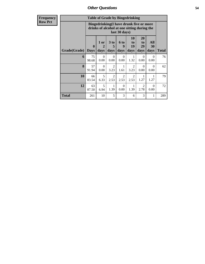| <b>requency</b> |  |
|-----------------|--|
| <b>Row Pct</b>  |  |

| <b>Table of Grade by Bingedrinking</b> |                  |                                                                                                         |                        |                          |                        |                        |                   |              |  |
|----------------------------------------|------------------|---------------------------------------------------------------------------------------------------------|------------------------|--------------------------|------------------------|------------------------|-------------------|--------------|--|
|                                        |                  | Bingedrinking(I have drunk five or more<br>drinks of alcohol at one sitting during the<br>last 30 days) |                        |                          |                        |                        |                   |              |  |
| Grade(Grade)                           | 0<br><b>Days</b> | 1 or<br>2<br>days                                                                                       | 3 to<br>5<br>days      | <b>6 to</b><br>9<br>days | 10<br>to<br>19<br>days | 20<br>to<br>29<br>days | All<br>30<br>days | <b>Total</b> |  |
| 6                                      | 75<br>98.68      | $\Omega$<br>0.00                                                                                        | $\Omega$<br>0.00       | $\Omega$<br>0.00         | 1<br>1.32              | $\Omega$<br>0.00       | 0<br>0.00         | 76           |  |
| 8                                      | 57<br>91.94      | $\Omega$<br>0.00                                                                                        | $\overline{2}$<br>3.23 | 1.61                     | $\overline{2}$<br>3.23 | $\Omega$<br>0.00       | $\Omega$<br>0.00  | 62           |  |
| 10                                     | 66<br>83.54      | 5<br>6.33                                                                                               | 2<br>2.53              | $\mathfrak{D}$<br>2.53   | $\mathfrak{D}$<br>2.53 | 1.27                   | 1.27              | 79           |  |
| 12                                     | 63<br>87.50      | 5<br>6.94                                                                                               | 1<br>1.39              | $\Omega$<br>0.00         | 1<br>1.39              | $\mathfrak{D}$<br>2.78 | 0<br>0.00         | 72           |  |
| Total                                  | 261              | 10                                                                                                      | 5                      | 3                        | 6                      | 3                      | 1                 | 289          |  |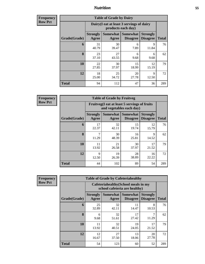**Frequency Row Pct**

| <b>Table of Grade by Dairy</b> |                          |                                                                 |                                    |                                    |              |  |  |  |
|--------------------------------|--------------------------|-----------------------------------------------------------------|------------------------------------|------------------------------------|--------------|--|--|--|
|                                |                          | Dairy (I eat at least 3 servings of dairy<br>products each day) |                                    |                                    |              |  |  |  |
| Grade(Grade)                   | <b>Strongly</b><br>Agree | <b>Somewhat</b><br>Agree                                        | <b>Somewhat</b><br><b>Disagree</b> | <b>Strongly</b><br><b>Disagree</b> | <b>Total</b> |  |  |  |
| 6                              | 31<br>40.79              | 30<br>39.47                                                     | 6<br>7.89                          | 9<br>11.84                         | 76           |  |  |  |
| 8                              | 23<br>37.10              | 27<br>43.55                                                     | 6<br>9.68                          | 6<br>9.68                          | 62           |  |  |  |
| 10                             | 22<br>27.85              | 30<br>37.97                                                     | 15<br>18.99                        | 12<br>15.19                        | 79           |  |  |  |
| 12                             | 18<br>25.00              | 25<br>34.72                                                     | 20<br>27.78                        | 9<br>12.50                         | 72           |  |  |  |
| <b>Total</b>                   | 94                       | 112                                                             | 47                                 | 36                                 | 289          |  |  |  |

**Frequency Row Pct**

| <b>Table of Grade by Fruitveg</b> |                          |                                                                          |                             |                                    |              |  |  |  |
|-----------------------------------|--------------------------|--------------------------------------------------------------------------|-----------------------------|------------------------------------|--------------|--|--|--|
|                                   |                          | Fruitveg(I eat at least 5 servings of fruits<br>and vegetables each day) |                             |                                    |              |  |  |  |
| Grade(Grade)                      | <b>Strongly</b><br>Agree | Somewhat  <br>Agree                                                      | Somewhat<br><b>Disagree</b> | <b>Strongly</b><br><b>Disagree</b> | <b>Total</b> |  |  |  |
| 6                                 | 17<br>22.37              | 32<br>42.11                                                              | 15<br>19.74                 | 12<br>15.79                        | 76           |  |  |  |
| 8                                 | 7<br>11.29               | 30<br>48.39                                                              | 16<br>25.81                 | 9<br>14.52                         | 62           |  |  |  |
| 10                                | 11<br>13.92              | 21<br>26.58                                                              | 30<br>37.97                 | 17<br>21.52                        | 79           |  |  |  |
| 12                                | 9<br>12.50               | 19<br>26.39                                                              | 28<br>38.89                 | 16<br>22.22                        | 72           |  |  |  |
| <b>Total</b>                      | 44                       | 102                                                                      | 89                          | 54                                 | 289          |  |  |  |

| <b>Table of Grade by Cafeteriahealthy</b> |                          |                                                                       |                                    |                                    |              |  |  |  |  |
|-------------------------------------------|--------------------------|-----------------------------------------------------------------------|------------------------------------|------------------------------------|--------------|--|--|--|--|
|                                           |                          | Cafeteriahealthy (School meals in my<br>school cafeteria are healthy) |                                    |                                    |              |  |  |  |  |
| Grade(Grade)                              | <b>Strongly</b><br>Agree | <b>Somewhat</b><br>Agree                                              | <b>Somewhat</b><br><b>Disagree</b> | <b>Strongly</b><br><b>Disagree</b> | <b>Total</b> |  |  |  |  |
| 6                                         | 25<br>32.89              | 32<br>42.11                                                           | 11<br>14.47                        | 8<br>10.53                         | 76           |  |  |  |  |
| 8                                         | 6<br>9.68                | 32<br>51.61                                                           | 17<br>27.42                        | 7<br>11.29                         | 62           |  |  |  |  |
| 10                                        | 11<br>13.92              | 32<br>40.51                                                           | 19<br>24.05                        | 17<br>21.52                        | 79           |  |  |  |  |
| 12                                        | 12<br>16.67              | 27<br>37.50                                                           | 13<br>18.06                        | 20<br>27.78                        | 72           |  |  |  |  |
| <b>Total</b>                              | 54                       | 123                                                                   | 60                                 | 52                                 | 289          |  |  |  |  |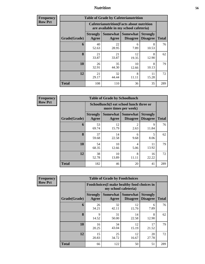| <b>Frequency</b><br>Row Pct |
|-----------------------------|
|                             |

| <b>Table of Grade by Cafeterianutrition</b> |                          |                                                                                           |                             |                                    |              |  |  |  |
|---------------------------------------------|--------------------------|-------------------------------------------------------------------------------------------|-----------------------------|------------------------------------|--------------|--|--|--|
|                                             |                          | <b>Cafeterianutrition</b> (Facts about nutrition<br>are available in my school cafeteria) |                             |                                    |              |  |  |  |
| Grade(Grade)                                | <b>Strongly</b><br>Agree | <b>Somewhat</b><br>Agree                                                                  | Somewhat<br><b>Disagree</b> | <b>Strongly</b><br><b>Disagree</b> | <b>Total</b> |  |  |  |
| 6                                           | 40<br>52.63              | 22<br>28.95                                                                               | 6<br>7.89                   | 8<br>10.53                         | 76           |  |  |  |
| 8                                           | 21<br>33.87              | 21<br>33.87                                                                               | 12<br>19.35                 | 8<br>12.90                         | 62           |  |  |  |
| 10                                          | 26<br>32.91              | 35<br>44.30                                                                               | 10<br>12.66                 | 8<br>10.13                         | 79           |  |  |  |
| 12                                          | 21<br>29.17              | 32<br>44.44                                                                               | 8<br>11.11                  | 11<br>15.28                        | 72           |  |  |  |
| <b>Total</b>                                | 108                      | 110                                                                                       | 36                          | 35                                 | 289          |  |  |  |

**Frequency Row Pct**

| <b>Table of Grade by Schoollunch</b> |                          |                                                                 |                                        |                                    |              |  |  |  |
|--------------------------------------|--------------------------|-----------------------------------------------------------------|----------------------------------------|------------------------------------|--------------|--|--|--|
|                                      |                          | Schoollunch(I eat school lunch three or<br>more times per week) |                                        |                                    |              |  |  |  |
| Grade(Grade)                         | <b>Strongly</b><br>Agree | Agree                                                           | Somewhat   Somewhat<br><b>Disagree</b> | <b>Strongly</b><br><b>Disagree</b> | <b>Total</b> |  |  |  |
| 6                                    | 53<br>69.74              | 12<br>15.79                                                     | 2<br>2.63                              | 9<br>11.84                         | 76           |  |  |  |
| 8                                    | 37<br>59.68              | 14<br>22.58                                                     | 6<br>9.68                              | 5<br>8.06                          | 62           |  |  |  |
| 10                                   | 54<br>68.35              | 10<br>12.66                                                     | 4<br>5.06                              | 11<br>13.92                        | 79           |  |  |  |
| 12                                   | 38<br>52.78              | 10<br>13.89                                                     | 8<br>11.11                             | 16<br>22.22                        | 72           |  |  |  |
| <b>Total</b>                         | 182                      | 46                                                              | 20                                     | 41                                 | 289          |  |  |  |

| <b>Table of Grade by Foodchoices</b> |                          |                                                                    |                             |                                    |              |  |  |  |
|--------------------------------------|--------------------------|--------------------------------------------------------------------|-----------------------------|------------------------------------|--------------|--|--|--|
|                                      |                          | Foodchoices(I make healthy food choices in<br>my school cafeteria) |                             |                                    |              |  |  |  |
| Grade(Grade)                         | <b>Strongly</b><br>Agree | <b>Somewhat</b><br>Agree                                           | Somewhat<br><b>Disagree</b> | <b>Strongly</b><br><b>Disagree</b> | <b>Total</b> |  |  |  |
| 6                                    | 26<br>34.21              | 32<br>42.11                                                        | 12<br>15.79                 | 6<br>7.89                          | 76           |  |  |  |
| 8                                    | 9<br>14.52               | 31<br>50.00                                                        | 14<br>22.58                 | 8<br>12.90                         | 62           |  |  |  |
| 10                                   | 16<br>20.25              | 34<br>43.04                                                        | 12<br>15.19                 | 17<br>21.52                        | 79           |  |  |  |
| 12                                   | 15<br>20.83              | 25<br>34.72                                                        | 12<br>16.67                 | 20<br>27.78                        | 72           |  |  |  |
| <b>Total</b>                         | 66                       | 122                                                                | 50                          | 51                                 | 289          |  |  |  |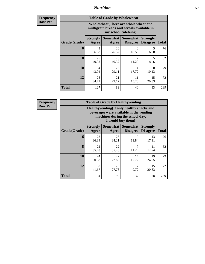**Frequency Row Pct**

| <b>Table of Grade by Wholewheat</b> |                                                                                                             |                          |                             |                                    |              |  |  |  |
|-------------------------------------|-------------------------------------------------------------------------------------------------------------|--------------------------|-----------------------------|------------------------------------|--------------|--|--|--|
|                                     | Wholewheat (There are whole wheat and<br>multigrain breads and cereals available in<br>my school cafeteria) |                          |                             |                                    |              |  |  |  |
| Grade(Grade)                        | <b>Strongly</b><br>Agree                                                                                    | <b>Somewhat</b><br>Agree | Somewhat<br><b>Disagree</b> | <b>Strongly</b><br><b>Disagree</b> | <b>Total</b> |  |  |  |
| 6                                   | 43<br>56.58                                                                                                 | 20<br>26.32              | 8<br>10.53                  | 5<br>6.58                          | 76           |  |  |  |
| 8                                   | 25<br>40.32                                                                                                 | 25<br>40.32              | 7<br>11.29                  | 5<br>8.06                          | 62           |  |  |  |
| <b>10</b>                           | 34<br>43.04                                                                                                 | 23<br>29.11              | 14<br>17.72                 | 8<br>10.13                         | 79           |  |  |  |
| 12                                  | 25<br>34.72                                                                                                 | 21<br>29.17              | 11<br>15.28                 | 15<br>20.83                        | 72           |  |  |  |
| <b>Total</b>                        | 127                                                                                                         | 89                       | 40                          | 33                                 | 289          |  |  |  |

| <b>Table of Grade by Healthyvending</b> |                                                                                                                                               |                     |                                    |                                    |              |  |  |  |
|-----------------------------------------|-----------------------------------------------------------------------------------------------------------------------------------------------|---------------------|------------------------------------|------------------------------------|--------------|--|--|--|
|                                         | Healthyvending (If only healthy snacks and<br>beverages were available in the vending<br>machines during the school day,<br>I would buy them) |                     |                                    |                                    |              |  |  |  |
| Grade(Grade)                            | <b>Strongly</b><br>Agree                                                                                                                      | Somewhat  <br>Agree | <b>Somewhat</b><br><b>Disagree</b> | <b>Strongly</b><br><b>Disagree</b> | <b>Total</b> |  |  |  |
| 6                                       | 28<br>36.84                                                                                                                                   | 26<br>34.21         | 9<br>11.84                         | 13<br>17.11                        | 76           |  |  |  |
| 8                                       | 22<br>35.48                                                                                                                                   | 22<br>35.48         | 7<br>11.29                         | 11<br>17.74                        | 62           |  |  |  |
| 10                                      | 24<br>30.38                                                                                                                                   | 22<br>27.85         | 14<br>17.72                        | 19<br>24.05                        | 79           |  |  |  |
| 12                                      | 30<br>41.67                                                                                                                                   | 20<br>27.78         | 7<br>9.72                          | 15<br>20.83                        | 72           |  |  |  |
| <b>Total</b>                            | 104                                                                                                                                           | 90                  | 37                                 | 58                                 | 289          |  |  |  |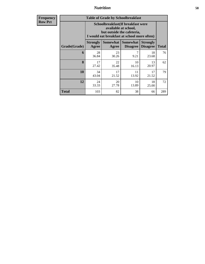| <b>Table of Grade by Schoolbreakfast</b> |                                                                                                                                        |             |                                      |                                    |              |  |  |  |  |
|------------------------------------------|----------------------------------------------------------------------------------------------------------------------------------------|-------------|--------------------------------------|------------------------------------|--------------|--|--|--|--|
|                                          | Schoolbreakfast(If breakfast were<br>available at school,<br>but outside the cafeteria,<br>I would eat breakfast at school more often) |             |                                      |                                    |              |  |  |  |  |
| Grade(Grade)                             | <b>Strongly</b><br>Agree                                                                                                               | Agree       | Somewhat Somewhat<br><b>Disagree</b> | <b>Strongly</b><br><b>Disagree</b> | <b>Total</b> |  |  |  |  |
| 6                                        | 28<br>36.84                                                                                                                            | 23<br>30.26 | 7<br>9.21                            | 18<br>23.68                        | 76           |  |  |  |  |
| 8                                        | 17<br>27.42                                                                                                                            | 22<br>35.48 | 10<br>16.13                          | 13<br>20.97                        | 62           |  |  |  |  |
| 10                                       | 34<br>43.04                                                                                                                            | 17<br>21.52 | 11<br>13.92                          | 17<br>21.52                        | 79           |  |  |  |  |
| 12                                       | 24<br>33.33                                                                                                                            | 20<br>27.78 | 10<br>13.89                          | 18<br>25.00                        | 72           |  |  |  |  |
| <b>Total</b>                             | 103                                                                                                                                    | 82          | 38                                   | 66                                 | 289          |  |  |  |  |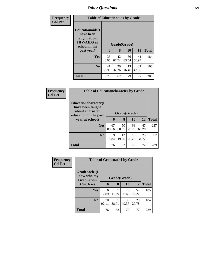| <b>Frequency</b> |                                                                                             | <b>Table of Educationaids by Grade</b> |              |             |             |              |  |  |  |
|------------------|---------------------------------------------------------------------------------------------|----------------------------------------|--------------|-------------|-------------|--------------|--|--|--|
| <b>Col Pct</b>   | <b>Educationaids</b> (I<br>have been<br>taught about<br><b>HIV/AIDS</b> at<br>school in the |                                        | Grade(Grade) |             |             |              |  |  |  |
|                  | past year)                                                                                  | 6                                      | 8            | 10          | 12          | <b>Total</b> |  |  |  |
|                  | <b>Yes</b>                                                                                  | 35                                     | 42           | 66          | 41          | 184          |  |  |  |
|                  |                                                                                             | 46.05                                  | 67.74        | 83.54       | 56.94       |              |  |  |  |
|                  | N <sub>0</sub>                                                                              | 41<br>53.95                            | 20<br>32.26  | 13<br>16.46 | 31<br>43.06 | 105          |  |  |  |
|                  | <b>Total</b>                                                                                | 76                                     | 62           | 79          | 72          | 289          |  |  |  |

| Frequency      | <b>Table of Educationcharacter by Grade</b>                                                  |              |             |             |             |              |
|----------------|----------------------------------------------------------------------------------------------|--------------|-------------|-------------|-------------|--------------|
| <b>Col Pct</b> | <b>Educationcharacter(I)</b><br>have been taught<br>about character<br>education in the past | Grade(Grade) |             |             |             |              |
|                | year at school)                                                                              | 6            | 8           | 10          | 12          | <b>Total</b> |
|                | <b>Yes</b>                                                                                   | 67<br>88.16  | 50<br>80.65 | 63<br>79.75 | 47<br>65.28 | 227          |
|                | No.                                                                                          | 9<br>11.84   | 12<br>19.35 | 16<br>20.25 | 25<br>34.72 | 62           |
|                | <b>Total</b>                                                                                 | 76           | 62          | 79          | 72          | 289          |

| Frequency      |                                                  | <b>Table of Gradcoach1 by Grade</b> |              |             |             |              |  |  |
|----------------|--------------------------------------------------|-------------------------------------|--------------|-------------|-------------|--------------|--|--|
| <b>Col Pct</b> | Gradcoach1(I<br>know who my<br><b>Graduation</b> |                                     | Grade(Grade) |             |             |              |  |  |
|                | Coach is)                                        | 6                                   | 8            | 10          | 12          | <b>Total</b> |  |  |
|                | <b>Yes</b>                                       | 6<br>7.89                           | 7<br>11.29   | 40<br>50.63 | 52<br>72.22 | 105          |  |  |
|                | N <sub>0</sub>                                   | 70<br>92.11                         | 55<br>88.71  | 39<br>49.37 | 20<br>27.78 | 184          |  |  |
|                | <b>Total</b>                                     | 76                                  | 62           | 79          | 72          | 289          |  |  |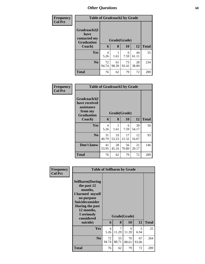| Frequency<br><b>Col Pct</b> |                                                           | <b>Table of Gradcoach2 by Grade</b> |             |             |             |              |  |  |  |
|-----------------------------|-----------------------------------------------------------|-------------------------------------|-------------|-------------|-------------|--------------|--|--|--|
|                             | Gradcoach2(I<br>have<br>contacted my<br><b>Graduation</b> | Grade(Grade)                        |             |             |             |              |  |  |  |
|                             | Coach)                                                    | 6                                   | 8           | 10          | 12          | <b>Total</b> |  |  |  |
|                             | <b>Yes</b>                                                | 4<br>5.26                           | 1.61        | 6<br>7.59   | 44<br>61.11 | 55           |  |  |  |
|                             | N <sub>o</sub>                                            | 72<br>94.74                         | 61<br>98.39 | 73<br>92.41 | 28<br>38.89 | 234          |  |  |  |
|                             | <b>Total</b>                                              | 76                                  | 62          | 79          | 72          | 289          |  |  |  |

| Frequency<br><b>Col Pct</b> |                                                                             | <b>Table of Gradcoach3 by Grade</b> |              |             |             |              |  |  |  |
|-----------------------------|-----------------------------------------------------------------------------|-------------------------------------|--------------|-------------|-------------|--------------|--|--|--|
|                             | Gradcoach3(I<br>have received<br>assistance<br>from my<br><b>Graduation</b> |                                     | Grade(Grade) |             |             |              |  |  |  |
|                             | Coach)                                                                      | 6                                   | 8            | <b>10</b>   | 12          | <b>Total</b> |  |  |  |
|                             | Yes                                                                         | $\overline{4}$<br>5.26              | 1.61         | 6<br>7.59   | 39<br>54.17 | 50           |  |  |  |
|                             | N <sub>o</sub>                                                              | 31<br>40.79                         | 33<br>53.23  | 17<br>21.52 | 12<br>16.67 | 93           |  |  |  |
|                             | Don't know                                                                  | 41<br>53.95                         | 28<br>45.16  | 56<br>70.89 | 21<br>29.17 | 146          |  |  |  |
|                             | <b>Total</b>                                                                | 76                                  | 62           | 79          | 72          | 289          |  |  |  |

|                | <b>Table of Selfharm by Grade</b>      |       |                |              |       |              |  |  |  |  |
|----------------|----------------------------------------|-------|----------------|--------------|-------|--------------|--|--|--|--|
| Frequency      |                                        |       |                |              |       |              |  |  |  |  |
| <b>Col Pct</b> |                                        |       |                |              |       |              |  |  |  |  |
|                | <b>Selfharm</b> (During<br>the past 12 |       |                |              |       |              |  |  |  |  |
|                | months,                                |       |                |              |       |              |  |  |  |  |
|                | I harmed myself                        |       |                |              |       |              |  |  |  |  |
|                | on purpose                             |       |                |              |       |              |  |  |  |  |
|                | <b>Suicideconsider</b>                 |       |                |              |       |              |  |  |  |  |
|                | During the past                        |       |                |              |       |              |  |  |  |  |
|                | 12 months,<br>I seriously              |       |                |              |       |              |  |  |  |  |
|                | considered                             |       |                | Grade(Grade) |       |              |  |  |  |  |
|                | suicide)                               | 6     | 8              | <b>10</b>    | 12    | <b>Total</b> |  |  |  |  |
|                | Yes                                    | 4     | $\overline{7}$ | 9            | 5     | 25           |  |  |  |  |
|                |                                        | 5.26  | 11.29          | 11.39        | 6.94  |              |  |  |  |  |
|                | N <sub>0</sub>                         | 72    | 55             | 70           | 67    | 264          |  |  |  |  |
|                |                                        | 94.74 | 88.71          | 88.61        | 93.06 |              |  |  |  |  |
|                | <b>Total</b>                           | 76    | 62             | 79           | 72    | 289          |  |  |  |  |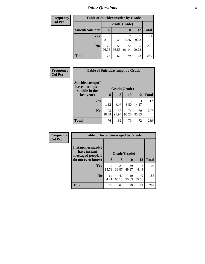| Frequency      | <b>Table of Suicideconsider by Grade</b> |             |              |             |             |              |  |
|----------------|------------------------------------------|-------------|--------------|-------------|-------------|--------------|--|
| <b>Col Pct</b> |                                          |             | Grade(Grade) |             |             |              |  |
|                | Suicideconsider                          | 6           | 8            | 10          | 12          | <b>Total</b> |  |
|                | Yes                                      | 3.95        | 4<br>6.45    | 8.86        | 9.72        | 21           |  |
|                | N <sub>0</sub>                           | 73<br>96.05 | 58<br>93.55  | 72<br>91.14 | 65<br>90.28 | 268          |  |
|                | <b>Total</b>                             | 76          | 62           | 79          | 72          | 289          |  |

| <b>Frequency</b> | <b>Table of Suicideattempt by Grade</b>              |              |             |             |             |              |
|------------------|------------------------------------------------------|--------------|-------------|-------------|-------------|--------------|
| <b>Col Pct</b>   | Suicideattempt(I<br>have attempted<br>suicide in the | Grade(Grade) |             |             |             |              |
|                  | last year)                                           | 6            | 8           | 10          | 12          | <b>Total</b> |
|                  | <b>Yes</b>                                           | 1.32         | 5<br>8.06   | 3<br>3.80   | 3<br>4.17   | 12           |
|                  | N <sub>o</sub>                                       | 75<br>98.68  | 57<br>91.94 | 76<br>96.20 | 69<br>95.83 | 277          |
|                  | <b>Total</b>                                         | 76           | 62          | 79          | 72          | 289          |

| Frequency      | <b>Table of Instantmessaged by Grade</b> |             |              |             |             |              |
|----------------|------------------------------------------|-------------|--------------|-------------|-------------|--------------|
| <b>Col Pct</b> | Instantmessaged(I<br>have instant        |             | Grade(Grade) |             |             |              |
|                | messaged people I<br>do not even know)   | 6           | 8            | 10          | 12          | <b>Total</b> |
|                | <b>Yes</b>                               | 12<br>15.79 | 21<br>33.87  | 39<br>49.37 | 32<br>44.44 | 104          |
|                | N <sub>o</sub>                           | 64<br>84.21 | 41<br>66.13  | 40<br>50.63 | 40<br>55.56 | 185          |
|                | <b>Total</b>                             | 76          | 62           | 79          | 72          | 289          |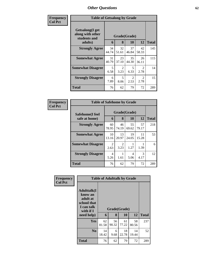| Frequency      | <b>Table of Getsalong by Grade</b>                  |              |             |                        |                        |              |  |
|----------------|-----------------------------------------------------|--------------|-------------|------------------------|------------------------|--------------|--|
| <b>Col Pct</b> | Getsalong(I get<br>along with other<br>students and | Grade(Grade) |             |                        |                        |              |  |
|                | adults)                                             | 6            | 8           | 10                     | 12                     | <b>Total</b> |  |
|                | <b>Strongly Agree</b>                               | 34<br>44.74  | 32<br>51.61 | 37<br>46.84            | 42<br>58.33            | 145          |  |
|                | <b>Somewhat Agree</b>                               | 31<br>40.79  | 23<br>37.10 | 35<br>44.30            | 26<br>36.11            | 115          |  |
|                | <b>Somewhat Disagree</b>                            | 5<br>6.58    | 2<br>3.23   | 5<br>6.33              | $\mathfrak{D}$<br>2.78 | 14           |  |
|                | <b>Strongly Disagree</b>                            | 6<br>7.89    | 5<br>8.06   | $\mathfrak{D}$<br>2.53 | $\mathfrak{D}$<br>2.78 | 15           |  |
|                | <b>Total</b>                                        | 76           | 62          | 79                     | 72                     | 289          |  |

| Frequency      | <b>Table of Safehome by Grade</b> |                        |              |             |                       |     |  |  |
|----------------|-----------------------------------|------------------------|--------------|-------------|-----------------------|-----|--|--|
| <b>Col Pct</b> | Safehome(I feel<br>safe at home)  | Grade(Grade)<br>6      | <b>Total</b> |             |                       |     |  |  |
|                | <b>Strongly Agree</b>             | 60<br>78.95            | 46<br>74.19  | 55<br>69.62 | 57<br>79.17           | 218 |  |  |
|                | <b>Somewhat Agree</b>             | 10<br>13.16            | 13<br>20.97  | 19<br>24.05 | 11<br>15.28           | 53  |  |  |
|                | <b>Somewhat Disagree</b>          | $\mathfrak{D}$<br>2.63 | 2<br>3.23    | 1.27        | 1.39                  | 6   |  |  |
|                | <b>Strongly Disagree</b>          | 4<br>5.26              | 1.61         | 4<br>5.06   | $\mathcal{R}$<br>4.17 | 12  |  |  |
|                | <b>Total</b>                      | 76                     | 62           | 79          | 72                    | 289 |  |  |

| Frequency      |                                                                                     | <b>Table of Adulttalk by Grade</b> |             |              |             |              |
|----------------|-------------------------------------------------------------------------------------|------------------------------------|-------------|--------------|-------------|--------------|
| <b>Col Pct</b> | <b>Adulttalk(I</b><br>know an<br>adult at<br>school that<br>I can talk<br>with if I |                                    |             | Grade(Grade) |             |              |
|                | need help)                                                                          | 6                                  | 8           | 10           | 12          | <b>Total</b> |
|                | <b>Yes</b>                                                                          | 62<br>81.58                        | 56<br>90.32 | 61<br>77.22  | 58<br>80.56 | 237          |
|                | N <sub>0</sub>                                                                      | 14<br>18.42                        | 6<br>9.68   | 18<br>22.78  | 14<br>19.44 | 52           |
|                | <b>Total</b>                                                                        | 76                                 | 62          | 79           | 72          | 289          |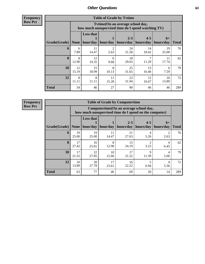**Frequency Row Pct**

| <b>Table of Grade by Tvtime</b> |             |                                                                                        |             |                      |                      |                   |              |  |  |
|---------------------------------|-------------|----------------------------------------------------------------------------------------|-------------|----------------------|----------------------|-------------------|--------------|--|--|
|                                 |             | Tvtime(On an average school day,<br>how much unsupervised time do I spend watching TV) |             |                      |                      |                   |              |  |  |
| Grade(Grade)                    | None        | <b>Less that</b><br>hour/day                                                           | hour/day    | $2 - 3$<br>hours/day | $4 - 5$<br>hours/day | $6+$<br>hours/day | <b>Total</b> |  |  |
| 6                               | 6<br>7.89   | 11<br>14.47                                                                            | っ<br>2.63   | 24<br>31.58          | 14<br>18.42          | 19<br>25.00       | 76           |  |  |
| 8                               | 8<br>12.90  | 12<br>19.35                                                                            | 6<br>9.68   | 18<br>29.03          | 11.29                | 11<br>17.74       | 62           |  |  |
| 10                              | 12<br>15.19 | 15<br>18.99                                                                            | 8<br>10.13  | 25<br>31.65          | 13<br>16.46          | 6<br>7.59         | 79           |  |  |
| 12                              | 8<br>11.11  | 8<br>11.11                                                                             | 11<br>15.28 | 23<br>31.94          | 12<br>16.67          | 10<br>13.89       | 72           |  |  |
| <b>Total</b>                    | 34          | 46                                                                                     | 27          | 90                   | 46                   | 46                | 289          |  |  |

| <b>Table of Grade by Computertime</b> |             |                                                                                                  |             |                      |                       |                   |              |  |  |
|---------------------------------------|-------------|--------------------------------------------------------------------------------------------------|-------------|----------------------|-----------------------|-------------------|--------------|--|--|
|                                       |             | Computertime(On an average school day,<br>how much unsupervised time do I spend on the computer) |             |                      |                       |                   |              |  |  |
| Grade(Grade)                          | <b>None</b> | <b>Less that</b><br>hour/day                                                                     | hour/day    | $2 - 3$<br>hours/day | $4 - 5$<br>hours/day  | $6+$<br>hours/day | <b>Total</b> |  |  |
| 6                                     | 19<br>25.00 | 19<br>25.00                                                                                      | 11<br>14.47 | 21<br>27.63          | 4<br>5.26             | 2<br>2.63         | 76           |  |  |
| 8                                     | 17<br>27.42 | 16<br>25.81                                                                                      | 8<br>12.90  | 15<br>24.19          | $\mathcal{D}$<br>3.23 | 4<br>6.45         | 62           |  |  |
| 10                                    | 17<br>21.52 | 22<br>27.85                                                                                      | 10<br>12.66 | 17<br>21.52          | $\mathbf Q$<br>11.39  | 4<br>5.06         | 79           |  |  |
| 12                                    | 10<br>13.89 | 20<br>27.78                                                                                      | 17<br>23.61 | 16<br>22.22          | 6.94                  | 4<br>5.56         | 72           |  |  |
| <b>Total</b>                          | 63          | 77                                                                                               | 46          | 69                   | 20                    | 14                | 289          |  |  |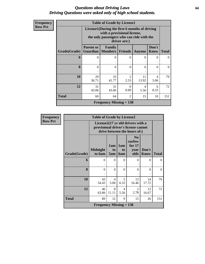### *Questions about Driving Laws* **64** *Driving Questions were asked only of high school students.*

| <b>Frequency</b> |        |
|------------------|--------|
| <b>Row Pct</b>   | Licens |
|                  | the c  |
|                  | $ -$   |

| <b>Table of Grade by License1</b> |                                                                                                                                           |                                 |                  |               |               |              |  |  |
|-----------------------------------|-------------------------------------------------------------------------------------------------------------------------------------------|---------------------------------|------------------|---------------|---------------|--------------|--|--|
|                                   | License1(During the first 6 months of driving<br>with a provisional license,<br>the only passengers who can ride with the<br>driver are:) |                                 |                  |               |               |              |  |  |
| Grade(Grade)                      | <b>Parent or</b><br>Guardian                                                                                                              | <b>Family</b><br><b>Members</b> | <b>Friends</b>   | <b>Anyone</b> | Don't<br>Know | <b>Total</b> |  |  |
| 6                                 | 0                                                                                                                                         | $\Omega$                        | $\Omega$         | 0             | $\Omega$      | 0            |  |  |
| 8                                 | 0                                                                                                                                         | 0                               | $\Omega$         | 0             | $\Omega$      | 0            |  |  |
| 10                                | 29<br>36.71                                                                                                                               | 33<br>41.77                     | 2<br>2.53        | 11<br>13.92   | 4<br>5.06     | 79           |  |  |
| 12                                | 31<br>43.06                                                                                                                               | 31<br>43.06                     | $\Omega$<br>0.00 | 4<br>5.56     | 6<br>8.33     | 72           |  |  |
| <b>Total</b>                      | 60                                                                                                                                        | 64                              | 2                | 15            | 10            | 151          |  |  |
|                                   |                                                                                                                                           | Frequency Missing $= 138$       |                  |               |               |              |  |  |

| Frequency      | <b>Table of Grade by License2</b> |                           |                  |                         |                                                                                                          |                      |              |  |
|----------------|-----------------------------------|---------------------------|------------------|-------------------------|----------------------------------------------------------------------------------------------------------|----------------------|--------------|--|
| <b>Row Pct</b> |                                   |                           |                  |                         | License2(17 yr old drivers with a<br>provisional driver's license cannot<br>drive between the hours of:) |                      |              |  |
|                | Grade(Grade)                      | Midnight<br>to 6am        | 1am<br>to<br>5am | 1am<br>to<br><b>6am</b> | N <sub>0</sub><br>curfew<br>for 17<br>year<br>olds                                                       | Don't<br><b>Know</b> | <b>Total</b> |  |
|                | 6                                 | $\Omega$                  | $\theta$         | $\theta$                | $\theta$                                                                                                 | 0                    | $\Omega$     |  |
|                | 8                                 | $\theta$                  | $\theta$         | $\Omega$                | $\overline{0}$                                                                                           | $\Omega$             | $\theta$     |  |
|                | 10                                | 43<br>54.43               | 4<br>5.06        | 5<br>6.33               | 13<br>16.46                                                                                              | 14<br>17.72          | 79           |  |
|                | 12                                | 46<br>63.89               | 8<br>11.11       | 4<br>5.56               | $\overline{c}$<br>2.78                                                                                   | 12<br>16.67          | 72           |  |
|                | <b>Total</b>                      | 89                        | 12               | 9                       | 15                                                                                                       | 26                   | 151          |  |
|                |                                   | Frequency Missing $= 138$ |                  |                         |                                                                                                          |                      |              |  |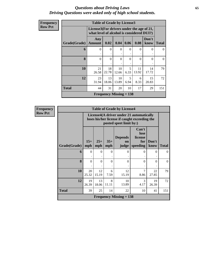#### *Questions about Driving Laws* **65** *Driving Questions were asked only of high school students.*

| Frequency      |              | <b>Table of Grade by License3</b>                                                      |                                |             |           |             |               |                  |
|----------------|--------------|----------------------------------------------------------------------------------------|--------------------------------|-------------|-----------|-------------|---------------|------------------|
| <b>Row Pct</b> |              | License3(For drivers under the age of 21,<br>what level of alcohol is considered DUI?) |                                |             |           |             |               |                  |
|                | Grade(Grade) | Any<br><b>Amount</b>                                                                   | 0.02                           | 0.04        | 0.06      | 0.08        | Don't<br>know | <b>Total</b>     |
|                | 6            | $\Omega$                                                                               | $\Omega$<br>٠                  | $\Omega$    | $\Omega$  | 0           | $\Omega$      | $\theta$         |
|                | 8            | $\theta$                                                                               | $\theta$                       | $\theta$    | $\Omega$  | $\theta$    | $\theta$      | $\boldsymbol{0}$ |
|                | 10           | 21<br>26.58                                                                            | 18<br>22.78                    | 10<br>12.66 | 5<br>6.33 | 11<br>13.92 | 14<br>17.72   | 79               |
|                | 12           | 23<br>31.94                                                                            | 13<br>18.06                    | 10<br>13.89 | 5<br>6.94 | 6<br>8.33   | 15<br>20.83   | 72               |
|                | <b>Total</b> | 44                                                                                     | 31                             | 20          | 10        | 17          | 29            | 151              |
|                |              |                                                                                        | <b>Frequency Missing = 138</b> |             |           |             |               |                  |

**Frequency Row Pct**

| <b>Table of Grade by License4</b> |                           |                                                                                                                      |              |                               |                                             |               |          |  |
|-----------------------------------|---------------------------|----------------------------------------------------------------------------------------------------------------------|--------------|-------------------------------|---------------------------------------------|---------------|----------|--|
|                                   |                           | License4(A driver under 21 automatically<br>loses his/her license if caught exceeding the<br>posted speet limit by:) |              |                               |                                             |               |          |  |
| Grade(Grade)                      | $15+$<br>mph              | $25+$<br>mph                                                                                                         | $35+$<br>mph | <b>Depends</b><br>on<br>judge | Can't<br>lose<br>license<br>for<br>speeding | Don't<br>know | Total    |  |
| 6                                 | $\theta$                  | 0                                                                                                                    | 0            | 0                             | $\Omega$                                    | 0             | 0        |  |
| 8                                 | $\theta$                  | $\Omega$                                                                                                             | $\theta$     | $\Omega$                      | $\Omega$                                    | $\Omega$      | $\Omega$ |  |
| 10                                | 20<br>25.32               | 12<br>15.19                                                                                                          | 6<br>7.59    | 12<br>15.19                   | 7<br>8.86                                   | 22<br>27.85   | 79       |  |
| 12                                | 19<br>26.39               | 13<br>18.06                                                                                                          | 8<br>11.11   | 10<br>13.89                   | 3<br>4.17                                   | 19<br>26.39   | 72       |  |
| <b>Total</b>                      | 39                        | 25                                                                                                                   | 14           | 22                            | 10                                          | 41            | 151      |  |
|                                   | Frequency Missing $= 138$ |                                                                                                                      |              |                               |                                             |               |          |  |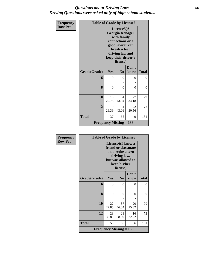### *Questions about Driving Laws* **66** *Driving Questions were asked only of high school students.*

| Frequency      | <b>Table of Grade by License5</b> |                                |                                                                                                                                                            |               |              |  |  |
|----------------|-----------------------------------|--------------------------------|------------------------------------------------------------------------------------------------------------------------------------------------------------|---------------|--------------|--|--|
| <b>Row Pct</b> |                                   |                                | License5(A<br>Georgia teenager<br>with family<br>connections or a<br>good lawyer can<br>break a teen<br>driving law and<br>keep their driver's<br>license) |               |              |  |  |
|                | Grade(Grade)                      | Yes                            | N <sub>o</sub>                                                                                                                                             | Don't<br>know | <b>Total</b> |  |  |
|                | 6                                 | $\theta$                       | $\Omega$                                                                                                                                                   | 0             | $\Omega$     |  |  |
|                | 8                                 | $\overline{0}$                 | $\theta$                                                                                                                                                   | $\theta$      | $\Omega$     |  |  |
|                | 10                                | 18<br>22.78                    | 34<br>43.04                                                                                                                                                | 27<br>34.18   | 79           |  |  |
|                | 12                                | 19<br>26.39                    | 31<br>43.06                                                                                                                                                | 22<br>30.56   | 72           |  |  |
|                | <b>Total</b>                      | 37                             | 65                                                                                                                                                         | 49            | 151          |  |  |
|                |                                   | <b>Frequency Missing = 138</b> |                                                                                                                                                            |               |              |  |  |

| <b>Frequency</b> | <b>Table of Grade by License6</b> |                           |                                                                                                                                              |               |              |
|------------------|-----------------------------------|---------------------------|----------------------------------------------------------------------------------------------------------------------------------------------|---------------|--------------|
| <b>Row Pct</b>   |                                   |                           | License <sub>6</sub> (I know a<br>friend or classmate<br>that broke a teen<br>driving law,<br>but was allowed to<br>keep his/her<br>license) |               |              |
|                  | Grade(Grade)                      | Yes                       | N <sub>0</sub>                                                                                                                               | Don't<br>know | <b>Total</b> |
|                  | 6                                 | $\theta$                  | 0                                                                                                                                            | 0             | 0            |
|                  | 8                                 | $\theta$                  | 0                                                                                                                                            | 0             | 0            |
|                  | 10                                | 22<br>27.85               | 37<br>46.84                                                                                                                                  | 20<br>25.32   | 79           |
|                  | 12                                | 28<br>38.89               | 28<br>38.89                                                                                                                                  | 16<br>22.22   | 72           |
|                  | <b>Total</b>                      | 50                        | 65                                                                                                                                           | 36            | 151          |
|                  |                                   | Frequency Missing $= 138$ |                                                                                                                                              |               |              |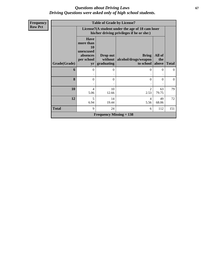### *Questions about Driving Laws* **67** *Driving Questions were asked only of high school students.*

| <b>Frequency</b> |              |                                                                              | <b>Table of Grade by License7</b> |                                                                                               |                        |                |
|------------------|--------------|------------------------------------------------------------------------------|-----------------------------------|-----------------------------------------------------------------------------------------------|------------------------|----------------|
| <b>Row Pct</b>   |              |                                                                              |                                   | License7(A student under the age of 18 cam loser<br>his/her driving privileges if he or she:) |                        |                |
|                  | Grade(Grade) | <b>Have</b><br>more than<br><b>10</b><br>unexcused<br>absences<br>per school | Drop out<br>without<br>graduating | <b>Bring</b><br>alcohol/drugs/weapon<br>to school                                             | All of<br>the<br>above | <b>Total</b>   |
|                  |              | yr                                                                           |                                   |                                                                                               |                        |                |
|                  | 6            | $\theta$                                                                     | $\Omega$                          | $\theta$                                                                                      | $\theta$               | $\overline{0}$ |
|                  | 8            | $\theta$                                                                     | $\Omega$                          | $\Omega$                                                                                      | 0                      | $\overline{0}$ |
|                  | 10           | 4<br>5.06                                                                    | 10<br>12.66                       | $\overline{c}$<br>2.53                                                                        | 63<br>79.75            | 79             |
|                  | 12           | 5<br>6.94                                                                    | 14<br>19.44                       | 4<br>5.56                                                                                     | 49<br>68.06            | 72             |
|                  | <b>Total</b> | 9                                                                            | 24                                | 6                                                                                             | 112                    | 151            |
|                  |              |                                                                              | Frequency Missing $= 138$         |                                                                                               |                        |                |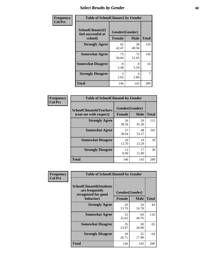## *Select Results by Gender* **68**

| Frequency      |                                                   | <b>Table of SchoolClimate2 by Gender</b> |             |              |  |  |  |  |
|----------------|---------------------------------------------------|------------------------------------------|-------------|--------------|--|--|--|--|
| <b>Col Pct</b> | SchoolClimate2(I<br>feel successful at<br>school) | Gender(Gender)<br><b>Female</b>          | <b>Male</b> | <b>Total</b> |  |  |  |  |
|                | <b>Strongly Agree</b>                             | 62<br>42.47                              | 58<br>40.56 | 120          |  |  |  |  |
|                | <b>Somewhat Agree</b>                             | 73<br>50.00                              | 73<br>51.05 | 146          |  |  |  |  |
|                | <b>Somewhat Disagree</b>                          | 8<br>5.48                                | 8<br>5.59   | 16           |  |  |  |  |
|                | <b>Strongly Disagree</b>                          | 3<br>2.05                                | 4<br>2.80   | 7            |  |  |  |  |
|                | <b>Total</b>                                      | 146                                      | 143         | 289          |  |  |  |  |

| <b>Frequency</b> | <b>Table of SchoolClimate6 by Gender</b>                 |                                 |             |              |  |  |  |
|------------------|----------------------------------------------------------|---------------------------------|-------------|--------------|--|--|--|
| <b>Col Pct</b>   | <b>SchoolClimate6(Teachers</b><br>treat me with respect) | Gender(Gender)<br><b>Female</b> | <b>Male</b> | <b>Total</b> |  |  |  |
|                  | <b>Strongly Agree</b>                                    | 56<br>38.36                     | 59<br>41.26 | 115          |  |  |  |
|                  | <b>Somewhat Agree</b>                                    | 57<br>39.04                     | 48<br>33.57 | 105          |  |  |  |
|                  | <b>Somewhat Disagree</b>                                 | 20<br>13.70                     | 19<br>13.29 | 39           |  |  |  |
|                  | <b>Strongly Disagree</b>                                 | 13<br>8.90                      | 17<br>11.89 | 30           |  |  |  |
|                  | <b>Total</b>                                             | 146                             | 143         | 289          |  |  |  |

| <b>Frequency</b> | <b>Table of SchoolClimate8 by Gender</b>                                             |               |                               |              |  |
|------------------|--------------------------------------------------------------------------------------|---------------|-------------------------------|--------------|--|
| <b>Col Pct</b>   | <b>SchoolClimate8(Students</b><br>are frequently<br>recognized for good<br>behavior) | <b>Female</b> | Gender(Gender)<br><b>Male</b> | <b>Total</b> |  |
|                  | <b>Strongly Agree</b>                                                                | 20<br>13.70   | 24<br>16.78                   | 44           |  |
|                  | <b>Somewhat Agree</b>                                                                | 52<br>35.62   | 64<br>44.76                   | 116          |  |
|                  | <b>Somewhat Disagree</b>                                                             | 35<br>23.97   | 30<br>20.98                   | 65           |  |
|                  | <b>Strongly Disagree</b>                                                             | 39<br>26.71   | 25<br>17.48                   | 64           |  |
|                  | Total                                                                                | 146           | 143                           | 289          |  |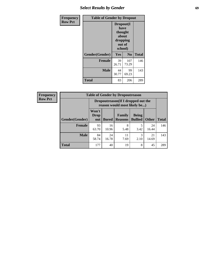## *Select Results by Gender* **69**

| <b>Frequency</b> | <b>Table of Gender by Dropout</b> |                                                              |                |              |
|------------------|-----------------------------------|--------------------------------------------------------------|----------------|--------------|
| <b>Row Pct</b>   |                                   | Dropout(I<br>have<br>thought<br>about<br>dropping<br>school) | out of         |              |
|                  | Gender(Gender)                    | Yes                                                          | N <sub>0</sub> | <b>Total</b> |
|                  | <b>Female</b>                     | 39<br>26.71                                                  | 107<br>73.29   | 146          |
|                  | <b>Male</b>                       | 44<br>30.77                                                  | 99<br>69.23    | 143          |
|                  | <b>Total</b>                      | 83                                                           | 206            | 289          |

| <b>Frequency</b> | <b>Table of Gender by Dropoutreason</b> |                                                                    |              |                          |                                |              |              |
|------------------|-----------------------------------------|--------------------------------------------------------------------|--------------|--------------------------|--------------------------------|--------------|--------------|
| <b>Row Pct</b>   |                                         | Dropoutreason(If I dropped out the<br>reason would most likely be) |              |                          |                                |              |              |
|                  | <b>Gender</b> (Gender)                  | Won't<br><b>Drop</b><br>out                                        | <b>Bored</b> | Family<br><b>Reasons</b> | <b>Being</b><br><b>Bullied</b> | <b>Other</b> | <b>Total</b> |
|                  | <b>Female</b>                           | 93<br>63.70                                                        | 16<br>10.96  | 8<br>5.48                | 3.42                           | 24<br>16.44  | 146          |
|                  | <b>Male</b>                             | 84<br>58.74                                                        | 24<br>16.78  | 11<br>7.69               | 2.10                           | 21<br>14.69  | 143          |
|                  | <b>Total</b>                            | 177                                                                | 40           | 19                       | 8                              | 45           | 289          |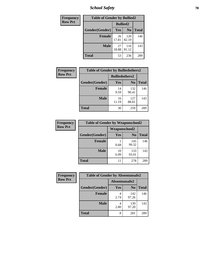*School Safety* **70**

| Frequency      | <b>Table of Gender by Bullied2</b> |                 |                |              |
|----------------|------------------------------------|-----------------|----------------|--------------|
| <b>Row Pct</b> |                                    | <b>Bullied2</b> |                |              |
|                | Gender(Gender)                     | Yes             | N <sub>0</sub> | <b>Total</b> |
|                | <b>Female</b>                      | 26<br>17.81     | 120<br>82.19   | 146          |
|                | <b>Male</b>                        | 27<br>18.88     | 116<br>81.12   | 143          |
|                | <b>Total</b>                       | 53              | 236            | 289          |

| Frequency      | <b>Table of Gender by Bulliedothers2</b> |                       |                |              |
|----------------|------------------------------------------|-----------------------|----------------|--------------|
| <b>Row Pct</b> |                                          | <b>Bulliedothers2</b> |                |              |
|                | Gender(Gender)                           | Yes                   | N <sub>0</sub> | <b>Total</b> |
|                | <b>Female</b>                            | 14<br>9.59            | 132<br>90.41   | 146          |
|                | <b>Male</b>                              | 16<br>11.19           | 127<br>88.81   | 143          |
|                | <b>Total</b>                             | 30                    | 259            | 289          |

| Frequency      | <b>Table of Gender by Weaponschool2</b> |                      |                |              |
|----------------|-----------------------------------------|----------------------|----------------|--------------|
| <b>Row Pct</b> |                                         | <b>Weaponschool2</b> |                |              |
|                | Gender(Gender)                          | Yes                  | N <sub>0</sub> | <b>Total</b> |
|                | <b>Female</b>                           | 0.68                 | 145<br>99.32   | 146          |
|                | <b>Male</b>                             | 10<br>6.99           | 133<br>93.01   | 143          |
|                | <b>Total</b>                            | 11                   | 278            | 289          |

| Frequency      | <b>Table of Gender by Absentunsafe2</b> |               |                |              |
|----------------|-----------------------------------------|---------------|----------------|--------------|
| <b>Row Pct</b> |                                         | Absentunsafe2 |                |              |
|                | Gender(Gender)                          | Yes           | N <sub>0</sub> | <b>Total</b> |
|                | <b>Female</b>                           | 4<br>2.74     | 142<br>97.26   | 146          |
|                | <b>Male</b>                             | 4<br>2.80     | 139<br>97.20   | 143          |
|                | <b>Total</b>                            | 8             | 281            | 289          |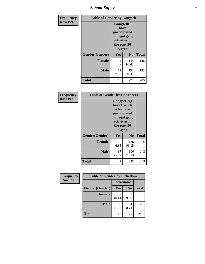*School Safety* **71**

| Frequency      | <b>Table of Gender by Gangself</b> |                                                                                                |                |              |
|----------------|------------------------------------|------------------------------------------------------------------------------------------------|----------------|--------------|
| <b>Row Pct</b> |                                    | Gangself(I<br>have<br>participated<br>in illegal gang<br>activities in<br>the past 30<br>days) |                |              |
|                | Gender(Gender)                     | Yes                                                                                            | N <sub>0</sub> | <b>Total</b> |
|                | <b>Female</b>                      | 2<br>1.37                                                                                      | 144<br>98.63   | 146          |
|                | <b>Male</b>                        | 11<br>7.69                                                                                     | 132<br>92.31   | 143          |
|                | <b>Total</b>                       | 13                                                                                             | 276            | 289          |

| Frequency      | <b>Table of Gender by Gangpeers</b> |                                                                                                                             |                |              |
|----------------|-------------------------------------|-----------------------------------------------------------------------------------------------------------------------------|----------------|--------------|
| <b>Row Pct</b> |                                     | <b>Gangpeers</b> (I<br>have friends<br>who have<br>participated<br>in illegal gang<br>activities in<br>the past 30<br>days) |                |              |
|                | Gender(Gender)                      | Yes                                                                                                                         | N <sub>0</sub> | <b>Total</b> |
|                | <b>Female</b>                       | 10<br>6.85                                                                                                                  | 136<br>93.15   | 146          |
|                | <b>Male</b>                         | 37<br>25.87                                                                                                                 | 106<br>74.13   | 143          |
|                | Total                               | 47                                                                                                                          | 242            | 289          |

| Frequency      | <b>Table of Gender by Pickedon2</b> |             |                |              |
|----------------|-------------------------------------|-------------|----------------|--------------|
| <b>Row Pct</b> |                                     | Pickedon2   |                |              |
|                | Gender(Gender)                      | Yes         | N <sub>0</sub> | <b>Total</b> |
|                | <b>Female</b>                       | 59<br>40.41 | 87<br>59.59    | 146          |
|                | <b>Male</b>                         | 59<br>41.26 | 84<br>58.74    | 143          |
|                | <b>Total</b>                        | 118         | 171            | 289          |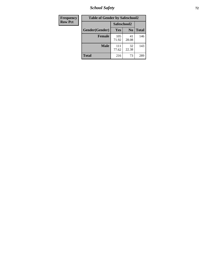*School Safety* **72**

| Frequency      | <b>Table of Gender by Safeschool2</b> |              |                |              |
|----------------|---------------------------------------|--------------|----------------|--------------|
| <b>Row Pct</b> |                                       | Safeschool2  |                |              |
|                | Gender(Gender)                        | Yes          | N <sub>0</sub> | <b>Total</b> |
|                | <b>Female</b>                         | 105<br>71.92 | 41<br>28.08    | 146          |
|                | <b>Male</b>                           | 111<br>77.62 | 32<br>22.38    | 143          |
|                | <b>Total</b>                          | 216          | 73             | 289          |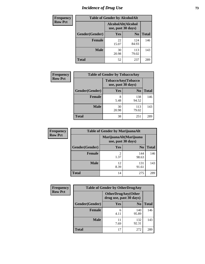# *Incidence of Drug Use* 73

| <b>Frequency</b> | <b>Table of Gender by AlcoholAlt</b> |                                          |                |              |
|------------------|--------------------------------------|------------------------------------------|----------------|--------------|
| <b>Row Pct</b>   |                                      | AlcoholAlt(Alcohol<br>use, past 30 days) |                |              |
|                  | Gender(Gender)                       | <b>Yes</b>                               | N <sub>0</sub> | <b>Total</b> |
|                  | <b>Female</b>                        | 22<br>15.07                              | 124<br>84.93   | 146          |
|                  | <b>Male</b>                          | 30<br>20.98                              | 113<br>79.02   | 143          |
|                  | <b>Total</b>                         | 52                                       | 237            | 289          |

| <b>Frequency</b> | <b>Table of Gender by TobaccoAny</b> |                    |                    |              |
|------------------|--------------------------------------|--------------------|--------------------|--------------|
| <b>Row Pct</b>   |                                      | use, past 30 days) | TobaccoAny(Tobacco |              |
|                  | Gender(Gender)                       | Yes                | N <sub>0</sub>     | <b>Total</b> |
|                  | <b>Female</b>                        | 8<br>5.48          | 138<br>94.52       | 146          |
|                  | <b>Male</b>                          | 30<br>20.98        | 113<br>79.02       | 143          |
|                  | <b>Total</b>                         | 38                 | 251                | 289          |

| <b>Frequency</b> | <b>Table of Gender by MarijuanaAlt</b> |            |                                              |       |
|------------------|----------------------------------------|------------|----------------------------------------------|-------|
| <b>Row Pct</b>   |                                        |            | MarijuanaAlt(Marijuana<br>use, past 30 days) |       |
|                  | Gender(Gender)                         | <b>Yes</b> | N <sub>0</sub>                               | Total |
|                  | Female                                 | 2<br>1.37  | 144<br>98.63                                 | 146   |
|                  | <b>Male</b>                            | 12<br>8.39 | 131<br>91.61                                 | 143   |
|                  | <b>Total</b>                           | 14         | 275                                          | 289   |

| <b>Frequency</b> | <b>Table of Gender by OtherDrugAny</b> |                         |                           |              |
|------------------|----------------------------------------|-------------------------|---------------------------|--------------|
| <b>Row Pct</b>   |                                        | drug use, past 30 days) | <b>OtherDrugAny(Other</b> |              |
|                  | <b>Gender</b> (Gender)                 | <b>Yes</b>              | N <sub>0</sub>            | <b>Total</b> |
|                  | <b>Female</b>                          | 6<br>4.11               | 140<br>95.89              | 146          |
|                  | <b>Male</b>                            | 7.69                    | 132<br>92.31              | 143          |
|                  | <b>Total</b>                           | 17                      | 272                       | 289          |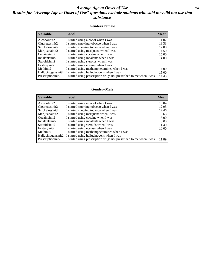## *Average Age at Onset of Use* **74** *Results for "Average Age at Onset of Use" questions exclude students who said they did not use that substance*

### **Gender=Female**

| <i><b>Variable</b></i> | <b>Label</b>                                                       | <b>Mean</b> |
|------------------------|--------------------------------------------------------------------|-------------|
| Alcoholinit2           | I started using alcohol when I was                                 | 14.02       |
| Cigarettesinit2        | I started smoking tobacco when I was                               | 13.33       |
| Smokelessinit2         | I started chewing tobacco when I was                               | 12.00       |
| Marijuanainit2         | I started using marijuana when I was                               | 14.50       |
| Cocaineinit2           | I started using cocaine when I was                                 | 15.00       |
| Inhalantsinit2         | I started using inhalants when I was                               | 14.00       |
| Steroidsinit2          | I started using steroids when I was                                |             |
| Ecstasyinit2           | I started using ecstasy when I was                                 |             |
| Methinit2              | I started using methamphetamines when I was                        | 14.00       |
| Hallucinogensinit2     | I started using hallucinogens when I was                           | 15.00       |
| Prescription in t2     | I started using prescription drugs not prescribed to me when I was | 14.43       |

### **Gender=Male**

| <b>Variable</b>                 | Label                                                              | <b>Mean</b> |
|---------------------------------|--------------------------------------------------------------------|-------------|
| Alcoholinit2                    | I started using alcohol when I was                                 | 13.04       |
| Cigarettesinit2                 | I started smoking tobacco when I was                               | 12.93       |
| Smokelessinit2                  | I started chewing tobacco when I was                               | 12.46       |
| Marijuanainit2                  | I started using marijuana when I was                               | 13.63       |
| Cocaineinit2                    | I started using cocaine when I was                                 | 15.00       |
| Inhalantsinit2                  | I started using inhalants when I was                               | 8.00        |
| Steroidsinit2                   | I started using steroids when I was                                | 11.40       |
| Ecstasyinit2                    | I started using ecstasy when I was                                 | 10.00       |
| Methinit2                       | I started using methamphetamines when I was                        |             |
| Hallucinogensinit2              | I started using hallucinogens when I was                           |             |
| Prescription in it <sub>2</sub> | I started using prescription drugs not prescribed to me when I was | 11.89       |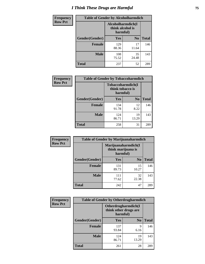# *I Think These Drugs are Harmful* **75**

| <b>Frequency</b> | <b>Table of Gender by Alcoholharmdich</b> |                                                   |                |              |
|------------------|-------------------------------------------|---------------------------------------------------|----------------|--------------|
| <b>Row Pct</b>   |                                           | Alcoholharmdich(I<br>think alcohol is<br>harmful) |                |              |
|                  | Gender(Gender)                            | <b>Yes</b>                                        | N <sub>0</sub> | <b>Total</b> |
|                  | <b>Female</b>                             | 129<br>88.36                                      | 17<br>11.64    | 146          |
|                  | <b>Male</b>                               | 108<br>75.52                                      | 35<br>24.48    | 143          |
|                  | <b>Total</b>                              | 237                                               | 52             | 289          |

| Frequency      | <b>Table of Gender by Tobaccoharmdich</b> |                                                   |                |              |
|----------------|-------------------------------------------|---------------------------------------------------|----------------|--------------|
| <b>Row Pct</b> |                                           | Tobaccoharmdich(I<br>think tobacco is<br>harmful) |                |              |
|                | Gender(Gender)                            | Yes                                               | N <sub>0</sub> | <b>Total</b> |
|                | <b>Female</b>                             | 134<br>91.78                                      | 12<br>8.22     | 146          |
|                | <b>Male</b>                               | 124<br>86.71                                      | 19<br>13.29    | 143          |
|                | <b>Total</b>                              | 258                                               | 31             | 289          |

| Frequency      | <b>Table of Gender by Marijuanaharmdich</b> |              |                                           |              |  |
|----------------|---------------------------------------------|--------------|-------------------------------------------|--------------|--|
| <b>Row Pct</b> |                                             | harmful)     | Marijuanaharmdich(I<br>think marijuana is |              |  |
|                | Gender(Gender)                              | <b>Yes</b>   | N <sub>0</sub>                            | <b>Total</b> |  |
|                | <b>Female</b>                               | 131<br>89.73 | 15<br>10.27                               | 146          |  |
|                | <b>Male</b>                                 | 111<br>77.62 | 32<br>22.38                               | 143          |  |
|                | <b>Total</b>                                | 242          | 47                                        | 289          |  |

| Frequency      | <b>Table of Gender by Otherdrugharmdich</b> |                                                          |                |              |
|----------------|---------------------------------------------|----------------------------------------------------------|----------------|--------------|
| <b>Row Pct</b> |                                             | Otherdrugharmdich(I<br>think other drugs are<br>harmful) |                |              |
|                | Gender(Gender)                              | <b>Yes</b>                                               | N <sub>0</sub> | <b>Total</b> |
|                | <b>Female</b>                               | 137<br>93.84                                             | 9<br>6.16      | 146          |
|                | <b>Male</b>                                 | 124<br>86.71                                             | 19<br>13.29    | 143          |
|                | <b>Total</b>                                | 261                                                      | 28             | 289          |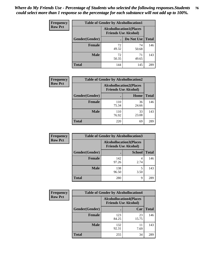| <b>Frequency</b> | <b>Table of Gender by Alcohollocation1</b> |                                                               |             |              |
|------------------|--------------------------------------------|---------------------------------------------------------------|-------------|--------------|
| <b>Row Pct</b>   |                                            | <b>Alcohollocation1(Places</b><br><b>Friends Use Alcohol)</b> |             |              |
|                  | Gender(Gender)                             |                                                               | Do Not Use  | <b>Total</b> |
|                  | <b>Female</b>                              | 72<br>49.32                                                   | 74<br>50.68 | 146          |
|                  | <b>Male</b>                                | 72<br>50.35                                                   | 71<br>49.65 | 143          |
|                  | <b>Total</b>                               | 144                                                           | 145         | 289          |

| <b>Frequency</b> | <b>Table of Gender by Alcohollocation2</b> |                                                               |             |              |
|------------------|--------------------------------------------|---------------------------------------------------------------|-------------|--------------|
| <b>Row Pct</b>   |                                            | <b>Alcohollocation2(Places</b><br><b>Friends Use Alcohol)</b> |             |              |
|                  | Gender(Gender)                             |                                                               | Home        | <b>Total</b> |
|                  | <b>Female</b>                              | 110<br>75.34                                                  | 36<br>24.66 | 146          |
|                  | <b>Male</b>                                | 110<br>76.92                                                  | 33<br>23.08 | 143          |
|                  | <b>Total</b>                               | 220                                                           | 69          | 289          |

| Frequency      | <b>Table of Gender by Alcohollocation3</b> |                                                               |               |              |
|----------------|--------------------------------------------|---------------------------------------------------------------|---------------|--------------|
| <b>Row Pct</b> |                                            | <b>Alcohollocation3(Places</b><br><b>Friends Use Alcohol)</b> |               |              |
|                | Gender(Gender)                             |                                                               | <b>School</b> | <b>Total</b> |
|                | <b>Female</b>                              | 142<br>97.26                                                  | 2.74          | 146          |
|                | <b>Male</b>                                | 138<br>96.50                                                  | 3.50          | 143          |
|                | <b>Total</b>                               | 280                                                           | 9             | 289          |

| Frequency      | <b>Table of Gender by Alcohollocation4</b> |              |                                                               |              |
|----------------|--------------------------------------------|--------------|---------------------------------------------------------------|--------------|
| <b>Row Pct</b> |                                            |              | <b>Alcohollocation4(Places</b><br><b>Friends Use Alcohol)</b> |              |
|                | Gender(Gender)                             |              | Car                                                           | <b>Total</b> |
|                | <b>Female</b>                              | 123<br>84.25 | 23<br>15.75                                                   | 146          |
|                | <b>Male</b>                                | 132<br>92.31 | 11<br>7.69                                                    | 143          |
|                | <b>Total</b>                               | 255          | 34                                                            | 289          |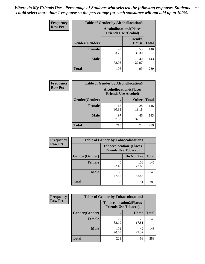| <b>Frequency</b> | <b>Table of Gender by Alcohollocation5</b> |                                                                |                                 |              |
|------------------|--------------------------------------------|----------------------------------------------------------------|---------------------------------|--------------|
| <b>Row Pct</b>   |                                            | <b>Alcohollocation5</b> (Places<br><b>Friends Use Alcohol)</b> |                                 |              |
|                  | Gender(Gender)                             |                                                                | <b>Friend's</b><br><b>House</b> | <b>Total</b> |
|                  | <b>Female</b>                              | 93<br>63.70                                                    | 53<br>36.30                     | 146          |
|                  | <b>Male</b>                                | 103<br>72.03                                                   | 40<br>27.97                     | 143          |
|                  | <b>Total</b>                               | 196                                                            | 93                              | 289          |

| <b>Frequency</b> | <b>Table of Gender by Alcohollocation6</b> |              |                                                               |              |
|------------------|--------------------------------------------|--------------|---------------------------------------------------------------|--------------|
| <b>Row Pct</b>   |                                            |              | <b>Alcohollocation6(Places</b><br><b>Friends Use Alcohol)</b> |              |
|                  | Gender(Gender)                             |              | <b>Other</b>                                                  | <b>Total</b> |
|                  | <b>Female</b>                              | 118<br>80.82 | 28<br>19.18                                                   | 146          |
|                  | <b>Male</b>                                | 97<br>67.83  | 46<br>32.17                                                   | 143          |
|                  | <b>Total</b>                               | 215          | 74                                                            | 289          |

| Frequency      | <b>Table of Gender by Tobaccolocation1</b>                    |             |              |              |  |
|----------------|---------------------------------------------------------------|-------------|--------------|--------------|--|
| <b>Row Pct</b> | <b>Tobaccolocation1(Places</b><br><b>Friends Use Tobacco)</b> |             |              |              |  |
|                | Gender(Gender)                                                |             | Do Not Use   | <b>Total</b> |  |
|                | Female                                                        | 40<br>27.40 | 106<br>72.60 | 146          |  |
|                | <b>Male</b>                                                   | 68<br>47.55 | 75<br>52.45  | 143          |  |
|                | <b>Total</b>                                                  | 108         | 181          | 289          |  |

| <b>Frequency</b> | <b>Table of Gender by Tobaccolocation2</b> |              |                                                               |              |
|------------------|--------------------------------------------|--------------|---------------------------------------------------------------|--------------|
| <b>Row Pct</b>   |                                            |              | <b>Tobaccolocation2(Places</b><br><b>Friends Use Tobacco)</b> |              |
|                  | Gender(Gender)                             |              | <b>Home</b>                                                   | <b>Total</b> |
|                  | Female                                     | 120<br>82.19 | 26<br>17.81                                                   | 146          |
|                  | <b>Male</b>                                | 101<br>70.63 | 42<br>29.37                                                   | 143          |
|                  | <b>Total</b>                               | 221          | 68                                                            | 289          |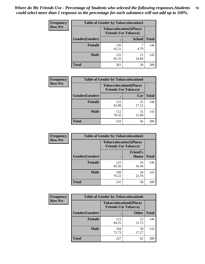| <b>Frequency</b> | <b>Table of Gender by Tobaccolocation3</b> |              |                                                               |              |
|------------------|--------------------------------------------|--------------|---------------------------------------------------------------|--------------|
| <b>Row Pct</b>   |                                            |              | <b>Tobaccolocation3(Places</b><br><b>Friends Use Tobacco)</b> |              |
|                  | Gender(Gender)                             |              | <b>School</b>                                                 | <b>Total</b> |
|                  | <b>Female</b>                              | 139<br>95.21 | 4.79                                                          | 146          |
|                  | <b>Male</b>                                | 122<br>85.31 | 21<br>14.69                                                   | 143          |
|                  | <b>Total</b>                               | 261          | 28                                                            | 289          |

| <b>Frequency</b> | <b>Table of Gender by Tobaccolocation4</b> |                                                               |             |              |
|------------------|--------------------------------------------|---------------------------------------------------------------|-------------|--------------|
| <b>Row Pct</b>   |                                            | <b>Tobaccolocation4(Places</b><br><b>Friends Use Tobacco)</b> |             |              |
|                  | Gender(Gender)                             |                                                               | Car         | <b>Total</b> |
|                  | <b>Female</b>                              | 121<br>82.88                                                  | 25<br>17.12 | 146          |
|                  | <b>Male</b>                                | 112<br>78.32                                                  | 31<br>21.68 | 143          |
|                  | <b>Total</b>                               | 233                                                           | 56          | 289          |

| <b>Frequency</b> | <b>Table of Gender by Tobaccolocation5</b> |                                                               |                          |              |
|------------------|--------------------------------------------|---------------------------------------------------------------|--------------------------|--------------|
| <b>Row Pct</b>   |                                            | <b>Tobaccolocation5(Places</b><br><b>Friends Use Tobacco)</b> |                          |              |
|                  | <b>Gender(Gender)</b>                      |                                                               | <b>Friend's</b><br>House | <b>Total</b> |
|                  | <b>Female</b>                              | 122<br>83.56                                                  | 24<br>16.44              | 146          |
|                  | <b>Male</b>                                | 109<br>76.22                                                  | 34<br>23.78              | 143          |
|                  | <b>Total</b>                               | 231                                                           | 58                       | 289          |

| <b>Frequency</b> | <b>Table of Gender by Tobaccolocation6</b> |                                                               |              |              |
|------------------|--------------------------------------------|---------------------------------------------------------------|--------------|--------------|
| <b>Row Pct</b>   |                                            | <b>Tobaccolocation6(Places</b><br><b>Friends Use Tobacco)</b> |              |              |
|                  | Gender(Gender)                             |                                                               | <b>Other</b> | <b>Total</b> |
|                  | Female                                     | 123<br>84.25                                                  | 23<br>15.75  | 146          |
|                  | <b>Male</b>                                | 104<br>72.73                                                  | 39<br>27.27  | 143          |
|                  | <b>Total</b>                               | 227                                                           | 62           | 289          |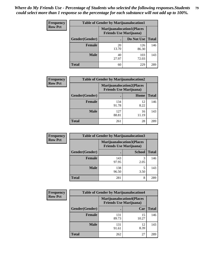| <b>Frequency</b> | <b>Table of Gender by Marijuanalocation1</b> |                                                                    |              |              |
|------------------|----------------------------------------------|--------------------------------------------------------------------|--------------|--------------|
| <b>Row Pct</b>   |                                              | <b>Marijuanalocation1(Places</b><br><b>Friends Use Marijuana</b> ) |              |              |
|                  | Gender(Gender)                               |                                                                    | Do Not Use   | <b>Total</b> |
|                  | <b>Female</b>                                | 20<br>13.70                                                        | 126<br>86.30 | 146          |
|                  | <b>Male</b>                                  | 40<br>27.97                                                        | 103<br>72.03 | 143          |
|                  | <b>Total</b>                                 | 60                                                                 | 229          | 289          |

| <b>Frequency</b> | <b>Table of Gender by Marijuanalocation2</b> |                                |                                  |              |
|------------------|----------------------------------------------|--------------------------------|----------------------------------|--------------|
| <b>Row Pct</b>   |                                              | <b>Friends Use Marijuana</b> ) | <b>Marijuanalocation2(Places</b> |              |
|                  | Gender(Gender)                               |                                | Home                             | <b>Total</b> |
|                  | <b>Female</b>                                | 134<br>91.78                   | 12<br>8.22                       | 146          |
|                  | <b>Male</b>                                  | 127<br>88.81                   | 16<br>11.19                      | 143          |
|                  | <b>Total</b>                                 | 261                            | 28                               | 289          |

| <b>Frequency</b> | <b>Table of Gender by Marijuanalocation3</b>                       |              |               |              |
|------------------|--------------------------------------------------------------------|--------------|---------------|--------------|
| <b>Row Pct</b>   | <b>Marijuanalocation3(Places</b><br><b>Friends Use Marijuana</b> ) |              |               |              |
|                  | Gender(Gender)                                                     |              | <b>School</b> | <b>Total</b> |
|                  | <b>Female</b>                                                      | 143<br>97.95 | 3<br>2.05     | 146          |
|                  | <b>Male</b>                                                        | 138<br>96.50 | 3.50          | 143          |
|                  | <b>Total</b>                                                       | 281          | 8             | 289          |

| <b>Frequency</b> | <b>Table of Gender by Marijuanalocation4</b> |                                |                                  |              |
|------------------|----------------------------------------------|--------------------------------|----------------------------------|--------------|
| <b>Row Pct</b>   |                                              | <b>Friends Use Marijuana</b> ) | <b>Marijuanalocation4(Places</b> |              |
|                  | Gender(Gender)                               |                                | Car                              | <b>Total</b> |
|                  | <b>Female</b>                                | 131<br>89.73                   | 15<br>10.27                      | 146          |
|                  | <b>Male</b>                                  | 131<br>91.61                   | 12<br>8.39                       | 143          |
|                  | <b>Total</b>                                 | 262                            | 27                               | 289          |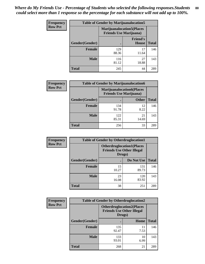| <b>Frequency</b> | <b>Table of Gender by Marijuanalocation5</b> |                                                                    |                          |              |
|------------------|----------------------------------------------|--------------------------------------------------------------------|--------------------------|--------------|
| <b>Row Pct</b>   |                                              | <b>Marijuanalocation5(Places</b><br><b>Friends Use Marijuana</b> ) |                          |              |
|                  | Gender(Gender)                               |                                                                    | <b>Friend's</b><br>House | <b>Total</b> |
|                  | <b>Female</b>                                | 129<br>88.36                                                       | 17<br>11.64              | 146          |
|                  | <b>Male</b>                                  | 116<br>81.12                                                       | 27<br>18.88              | 143          |
|                  | <b>Total</b>                                 | 245                                                                | 44                       | 289          |

| <b>Frequency</b> | <b>Table of Gender by Marijuanalocation6</b> |                                |                                   |              |
|------------------|----------------------------------------------|--------------------------------|-----------------------------------|--------------|
| <b>Row Pct</b>   |                                              | <b>Friends Use Marijuana</b> ) | <b>Marijuanalocation6(Places)</b> |              |
|                  | Gender(Gender)                               |                                | <b>Other</b>                      | <b>Total</b> |
|                  | <b>Female</b>                                | 134<br>91.78                   | 12<br>8.22                        | 146          |
|                  | <b>Male</b>                                  | 122<br>85.31                   | 21<br>14.69                       | 143          |
|                  | <b>Total</b>                                 | 256                            | 33                                | 289          |

| <b>Frequency</b> | <b>Table of Gender by Otherdruglocation1</b> |                                                                                |              |              |
|------------------|----------------------------------------------|--------------------------------------------------------------------------------|--------------|--------------|
| <b>Row Pct</b>   |                                              | <b>Otherdruglocation1(Places</b><br><b>Friends Use Other Illegal</b><br>Drugs) |              |              |
|                  | Gender(Gender)                               |                                                                                | Do Not Use   | <b>Total</b> |
|                  | <b>Female</b>                                | 15<br>10.27                                                                    | 131<br>89.73 | 146          |
|                  | <b>Male</b>                                  | 23<br>16.08                                                                    | 120<br>83.92 | 143          |
|                  | <b>Total</b>                                 | 38                                                                             | 251          | 289          |

| Frequency      | <b>Table of Gender by Otherdruglocation2</b> |                                            |                                  |              |
|----------------|----------------------------------------------|--------------------------------------------|----------------------------------|--------------|
| <b>Row Pct</b> |                                              | <b>Friends Use Other Illegal</b><br>Drugs) | <b>Otherdruglocation2(Places</b> |              |
|                | Gender(Gender)                               |                                            | Home                             | <b>Total</b> |
|                | Female                                       | 135<br>92.47                               | 11<br>7.53                       | 146          |
|                | <b>Male</b>                                  | 133<br>93.01                               | 10<br>6.99                       | 143          |
|                | <b>Total</b>                                 | 268                                        | 21                               | 289          |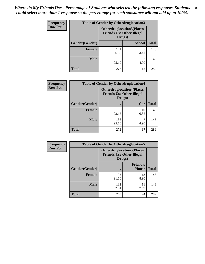| Frequency      | <b>Table of Gender by Otherdruglocation3</b> |                                                                                |               |              |
|----------------|----------------------------------------------|--------------------------------------------------------------------------------|---------------|--------------|
| <b>Row Pct</b> |                                              | <b>Otherdruglocation3(Places</b><br><b>Friends Use Other Illegal</b><br>Drugs) |               |              |
|                | Gender(Gender)                               |                                                                                | <b>School</b> | <b>Total</b> |
|                | <b>Female</b>                                | 141<br>96.58                                                                   | 3.42          | 146          |
|                | <b>Male</b>                                  | 136<br>95.10                                                                   | 4.90          | 143          |
|                | <b>Total</b>                                 | 277                                                                            | 12            | 289          |

| Frequency      | <b>Table of Gender by Otherdruglocation4</b> |                                            |                                  |              |
|----------------|----------------------------------------------|--------------------------------------------|----------------------------------|--------------|
| <b>Row Pct</b> |                                              | <b>Friends Use Other Illegal</b><br>Drugs) | <b>Otherdruglocation4(Places</b> |              |
|                | Gender(Gender)                               |                                            | Car                              | <b>Total</b> |
|                | <b>Female</b>                                | 136<br>93.15                               | 10<br>6.85                       | 146          |
|                | <b>Male</b>                                  | 136<br>95.10                               | 4.90                             | 143          |
|                | <b>Total</b>                                 | 272                                        | 17                               | 289          |

| Frequency      | <b>Table of Gender by Otherdruglocation5</b> |                                                                                |                          |              |
|----------------|----------------------------------------------|--------------------------------------------------------------------------------|--------------------------|--------------|
| <b>Row Pct</b> |                                              | <b>Otherdruglocation5(Places</b><br><b>Friends Use Other Illegal</b><br>Drugs) |                          |              |
|                | Gender(Gender)                               |                                                                                | <b>Friend's</b><br>House | <b>Total</b> |
|                | <b>Female</b>                                | 133<br>91.10                                                                   | 13<br>8.90               | 146          |
|                | <b>Male</b>                                  | 132<br>92.31                                                                   | 11<br>7.69               | 143          |
|                | <b>Total</b>                                 | 265                                                                            | 24                       | 289          |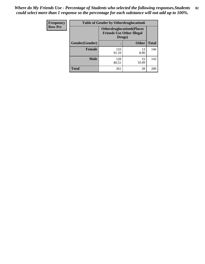| Frequency      | <b>Table of Gender by Otherdruglocation6</b> |                                                                                |              |              |
|----------------|----------------------------------------------|--------------------------------------------------------------------------------|--------------|--------------|
| <b>Row Pct</b> |                                              | <b>Otherdruglocation6(Places</b><br><b>Friends Use Other Illegal</b><br>Drugs) |              |              |
|                | Gender(Gender)                               |                                                                                | <b>Other</b> | <b>Total</b> |
|                | <b>Female</b>                                | 133<br>91.10                                                                   | 13<br>8.90   | 146          |
|                | <b>Male</b>                                  | 128<br>89.51                                                                   | 15<br>10.49  | 143          |
|                | <b>Total</b>                                 | 261                                                                            | 28           | 289          |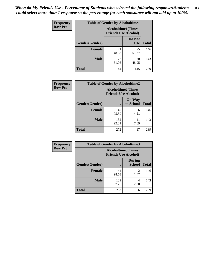| <b>Frequency</b> | <b>Table of Gender by Alcoholtime1</b> |                                                          |                      |              |
|------------------|----------------------------------------|----------------------------------------------------------|----------------------|--------------|
| <b>Row Pct</b>   |                                        | <b>Alcoholtime1(Times</b><br><b>Friends Use Alcohol)</b> |                      |              |
|                  | Gender(Gender)                         | $\bullet$                                                | Do Not<br><b>Use</b> | <b>Total</b> |
|                  | <b>Female</b>                          | 71<br>48.63                                              | 75<br>51.37          | 146          |
|                  | <b>Male</b>                            | 73<br>51.05                                              | 70<br>48.95          | 143          |
|                  | <b>Total</b>                           | 144                                                      | 145                  | 289          |

| <b>Frequency</b> | <b>Table of Gender by Alcoholtime2</b> |                                                          |                            |              |
|------------------|----------------------------------------|----------------------------------------------------------|----------------------------|--------------|
| <b>Row Pct</b>   |                                        | <b>Alcoholtime2(Times</b><br><b>Friends Use Alcohol)</b> |                            |              |
|                  | Gender(Gender)                         |                                                          | <b>On Way</b><br>to School | <b>Total</b> |
|                  | <b>Female</b>                          | 140<br>95.89                                             | 6<br>4.11                  | 146          |
|                  | <b>Male</b>                            | 132<br>92.31                                             | 11<br>7.69                 | 143          |
|                  | <b>Total</b>                           | 272                                                      | 17                         | 289          |

| Frequency      | <b>Table of Gender by Alcoholtime3</b> |                                                          |                                |              |
|----------------|----------------------------------------|----------------------------------------------------------|--------------------------------|--------------|
| <b>Row Pct</b> |                                        | <b>Alcoholtime3(Times</b><br><b>Friends Use Alcohol)</b> |                                |              |
|                | Gender(Gender)                         |                                                          | <b>During</b><br><b>School</b> | <b>Total</b> |
|                | Female                                 | 144<br>98.63                                             | 2<br>1.37                      | 146          |
|                | <b>Male</b>                            | 139<br>97.20                                             | 4<br>2.80                      | 143          |
|                | <b>Total</b>                           | 283                                                      | 6                              | 289          |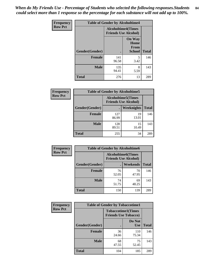*When do My Friends Use - Percentage of Students who selected the following responses.Students could select more than 1 response so the percentage for each substance will not add up to 100%.* **84**

| <b>Frequency</b> | <b>Table of Gender by Alcoholtime4</b> |                                                          |                                                |              |
|------------------|----------------------------------------|----------------------------------------------------------|------------------------------------------------|--------------|
| <b>Row Pct</b>   |                                        | <b>Alcoholtime4(Times</b><br><b>Friends Use Alcohol)</b> |                                                |              |
|                  | Gender(Gender)                         | $\bullet$                                                | <b>On Way</b><br>Home<br>From<br><b>School</b> | <b>Total</b> |
|                  | <b>Female</b>                          | 141<br>96.58                                             | 5<br>3.42                                      | 146          |
|                  | <b>Male</b>                            | 135<br>94.41                                             | 8<br>5.59                                      | 143          |
|                  | <b>Total</b>                           | 276                                                      | 13                                             | 289          |

| <b>Frequency</b> | <b>Table of Gender by Alcoholtime5</b>                    |              |             |              |
|------------------|-----------------------------------------------------------|--------------|-------------|--------------|
| <b>Row Pct</b>   | <b>Alcoholtime5</b> (Times<br><b>Friends Use Alcohol)</b> |              |             |              |
|                  | Gender(Gender)                                            |              | Weeknights  | <b>Total</b> |
|                  | <b>Female</b>                                             | 127<br>86.99 | 19<br>13.01 | 146          |
|                  | <b>Male</b>                                               | 128<br>89.51 | 15<br>10.49 | 143          |
|                  | <b>Total</b>                                              | 255          | 34          | 289          |

| Frequency      |                | <b>Table of Gender by Alcoholtime6</b>                   |             |              |
|----------------|----------------|----------------------------------------------------------|-------------|--------------|
| <b>Row Pct</b> |                | <b>Alcoholtime6(Times</b><br><b>Friends Use Alcohol)</b> |             |              |
|                | Gender(Gender) |                                                          | Weekends    | <b>Total</b> |
|                | Female         | 76<br>52.05                                              | 70<br>47.95 | 146          |
|                | <b>Male</b>    | 74<br>51.75                                              | 69<br>48.25 | 143          |
|                | <b>Total</b>   | 150                                                      | 139         | 289          |

| Frequency      | <b>Table of Gender by Tobaccotime1</b> |                                                          |                      |              |
|----------------|----------------------------------------|----------------------------------------------------------|----------------------|--------------|
| <b>Row Pct</b> |                                        | <b>Tobaccotime1(Times</b><br><b>Friends Use Tobacco)</b> |                      |              |
|                | Gender(Gender)                         |                                                          | Do Not<br><b>Use</b> | <b>Total</b> |
|                | <b>Female</b>                          | 36<br>24.66                                              | 110<br>75.34         | 146          |
|                | <b>Male</b>                            | 68<br>47.55                                              | 75<br>52.45          | 143          |
|                | <b>Total</b>                           | 104                                                      | 185                  | 289          |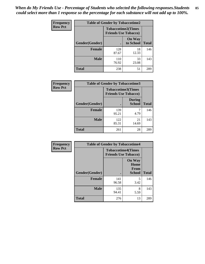| <b>Frequency</b> | <b>Table of Gender by Tobaccotime2</b> |                                                          |                            |              |
|------------------|----------------------------------------|----------------------------------------------------------|----------------------------|--------------|
| <b>Row Pct</b>   |                                        | <b>Tobaccotime2(Times</b><br><b>Friends Use Tobacco)</b> |                            |              |
|                  | Gender(Gender)                         |                                                          | <b>On Way</b><br>to School | <b>Total</b> |
|                  | <b>Female</b>                          | 128<br>87.67                                             | 18<br>12.33                | 146          |
|                  | <b>Male</b>                            | 110<br>76.92                                             | 33<br>23.08                | 143          |
|                  | <b>Total</b>                           | 238                                                      | 51                         | 289          |

| <b>Frequency</b> | <b>Table of Gender by Tobaccotime3</b> |                             |                                |              |
|------------------|----------------------------------------|-----------------------------|--------------------------------|--------------|
| <b>Row Pct</b>   |                                        | <b>Friends Use Tobacco)</b> | <b>Tobaccotime3(Times</b>      |              |
|                  | Gender(Gender)                         |                             | <b>During</b><br><b>School</b> | <b>Total</b> |
|                  | <b>Female</b>                          | 139<br>95.21                | 4.79                           | 146          |
|                  | <b>Male</b>                            | 122<br>85.31                | 21<br>14.69                    | 143          |
|                  | <b>Total</b>                           | 261                         | 28                             | 289          |

| <b>Frequency</b> | <b>Table of Gender by Tobaccotime4</b> |                                                          |                                                |              |
|------------------|----------------------------------------|----------------------------------------------------------|------------------------------------------------|--------------|
| <b>Row Pct</b>   |                                        | <b>Tobaccotime4(Times</b><br><b>Friends Use Tobacco)</b> |                                                |              |
|                  | Gender(Gender)                         |                                                          | <b>On Way</b><br>Home<br>From<br><b>School</b> | <b>Total</b> |
|                  | <b>Female</b>                          | 141<br>96.58                                             | 5<br>3.42                                      | 146          |
|                  | <b>Male</b>                            | 135<br>94.41                                             | 8<br>5.59                                      | 143          |
|                  | <b>Total</b>                           | 276                                                      | 13                                             | 289          |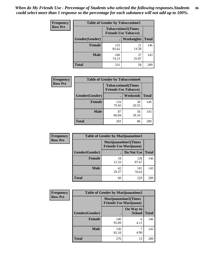| <b>Frequency</b> |                |              | <b>Table of Gender by Tobaccotime5</b>                    |              |
|------------------|----------------|--------------|-----------------------------------------------------------|--------------|
| <b>Row Pct</b>   |                |              | <b>Tobaccotime5</b> (Times<br><b>Friends Use Tobacco)</b> |              |
|                  | Gender(Gender) |              | Weeknights                                                | <b>Total</b> |
|                  | <b>Female</b>  | 125<br>85.62 | 21<br>14.38                                               | 146          |
|                  | <b>Male</b>    | 106<br>74.13 | 37<br>25.87                                               | 143          |
|                  | Total          | 231          | 58                                                        | 289          |

| Frequency      | <b>Table of Gender by Tobaccotime6</b> |                                                          |             |              |
|----------------|----------------------------------------|----------------------------------------------------------|-------------|--------------|
| <b>Row Pct</b> |                                        | <b>Tobaccotime6(Times</b><br><b>Friends Use Tobacco)</b> |             |              |
|                | Gender(Gender)                         |                                                          | Weekends    | <b>Total</b> |
|                | Female                                 | 116<br>79.45                                             | 30<br>20.55 | 146          |
|                | <b>Male</b>                            | 87<br>60.84                                              | 56<br>39.16 | 143          |
|                | <b>Total</b>                           | 203                                                      | 86          | 289          |

| <b>Frequency</b> | <b>Table of Gender by Marijuanatime1</b> |                                |                      |              |
|------------------|------------------------------------------|--------------------------------|----------------------|--------------|
| <b>Row Pct</b>   |                                          | <b>Friends Use Marijuana</b> ) | Marijuanatime1(Times |              |
|                  | Gender(Gender)                           |                                | Do Not Use           | <b>Total</b> |
|                  | <b>Female</b>                            | 18<br>12.33                    | 128<br>87.67         | 146          |
|                  | <b>Male</b>                              | 42<br>29.37                    | 101<br>70.63         | 143          |
|                  | <b>Total</b>                             | 60                             | 229                  | 289          |

| <b>Frequency</b> | <b>Table of Gender by Marijuanatime2</b> |                                                               |                            |              |
|------------------|------------------------------------------|---------------------------------------------------------------|----------------------------|--------------|
| <b>Row Pct</b>   |                                          | <b>Marijuanatime2(Times</b><br><b>Friends Use Marijuana</b> ) |                            |              |
|                  | Gender(Gender)                           |                                                               | On Way to<br><b>School</b> | <b>Total</b> |
|                  | Female                                   | 140<br>95.89                                                  | 6<br>4.11                  | 146          |
|                  | <b>Male</b>                              | 136<br>95.10                                                  | 4.90                       | 143          |
|                  | <b>Total</b>                             | 276                                                           | 13                         | 289          |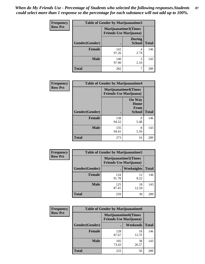*When do My Friends Use - Percentage of Students who selected the following responses.Students could select more than 1 response so the percentage for each substance will not add up to 100%.* **87**

| <b>Frequency</b> | <b>Table of Gender by Marijuanatime3</b> |                                                        |                                |              |
|------------------|------------------------------------------|--------------------------------------------------------|--------------------------------|--------------|
| <b>Row Pct</b>   |                                          | Marijuanatime3(Times<br><b>Friends Use Marijuana</b> ) |                                |              |
|                  | Gender(Gender)                           |                                                        | <b>During</b><br><b>School</b> | <b>Total</b> |
|                  | Female                                   | 142<br>97.26                                           | 4<br>2.74                      | 146          |
|                  | <b>Male</b>                              | 140<br>97.90                                           | 3<br>2.10                      | 143          |
|                  | <b>Total</b>                             | 282                                                    |                                | 289          |

| Frequency      | <b>Table of Gender by Marijuanatime4</b> |                                                               |                                                |              |
|----------------|------------------------------------------|---------------------------------------------------------------|------------------------------------------------|--------------|
| <b>Row Pct</b> |                                          | <b>Marijuanatime4(Times</b><br><b>Friends Use Marijuana</b> ) |                                                |              |
|                | Gender(Gender)                           |                                                               | <b>On Way</b><br>Home<br>From<br><b>School</b> | <b>Total</b> |
|                | <b>Female</b>                            | 138<br>94.52                                                  | 8<br>5.48                                      | 146          |
|                | <b>Male</b>                              | 135<br>94.41                                                  | 8<br>5.59                                      | 143          |
|                | <b>Total</b>                             | 273                                                           | 16                                             | 289          |

| <b>Frequency</b> | <b>Table of Gender by Marijuanatime5</b> |              |                                                                |              |
|------------------|------------------------------------------|--------------|----------------------------------------------------------------|--------------|
| <b>Row Pct</b>   |                                          |              | <b>Marijuanatime5</b> (Times<br><b>Friends Use Marijuana</b> ) |              |
|                  | Gender(Gender)                           | ٠            | <b>Weeknights</b>                                              | <b>Total</b> |
|                  | <b>Female</b>                            | 134<br>91.78 | 12<br>8.22                                                     | 146          |
|                  | <b>Male</b>                              | 125<br>87.41 | 18<br>12.59                                                    | 143          |
|                  | <b>Total</b>                             | 259          | 30                                                             | 289          |

| <b>Frequency</b> | <b>Table of Gender by Marijuanatime6</b> |                                                               |                 |              |
|------------------|------------------------------------------|---------------------------------------------------------------|-----------------|--------------|
| <b>Row Pct</b>   |                                          | <b>Marijuanatime6(Times</b><br><b>Friends Use Marijuana</b> ) |                 |              |
|                  | Gender(Gender)                           |                                                               | <b>Weekends</b> | <b>Total</b> |
|                  | <b>Female</b>                            | 128<br>87.67                                                  | 18<br>12.33     | 146          |
|                  | <b>Male</b>                              | 105<br>73.43                                                  | 38<br>26.57     | 143          |
|                  | <b>Total</b>                             | 233                                                           | 56              | 289          |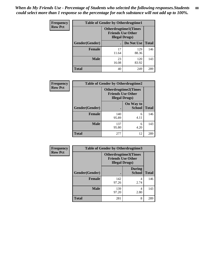| <b>Frequency</b> | <b>Table of Gender by Otherdrugtime1</b> |                                                                                   |              |              |
|------------------|------------------------------------------|-----------------------------------------------------------------------------------|--------------|--------------|
| <b>Row Pct</b>   |                                          | <b>Otherdrugtime1(Times</b><br><b>Friends Use Other</b><br><b>Illegal Drugs</b> ) |              |              |
|                  | Gender(Gender)                           |                                                                                   | Do Not Use   | <b>Total</b> |
|                  | <b>Female</b>                            | 17<br>11.64                                                                       | 129<br>88.36 | 146          |
|                  | <b>Male</b>                              | 23<br>16.08                                                                       | 120<br>83.92 | 143          |
|                  | <b>Total</b>                             | 40                                                                                | 249          | 289          |

| Frequency      | <b>Table of Gender by Otherdrugtime2</b> |                                                                                   |                            |              |
|----------------|------------------------------------------|-----------------------------------------------------------------------------------|----------------------------|--------------|
| <b>Row Pct</b> |                                          | <b>Otherdrugtime2(Times</b><br><b>Friends Use Other</b><br><b>Illegal Drugs</b> ) |                            |              |
|                | <b>Gender</b> (Gender)                   |                                                                                   | On Way to<br><b>School</b> | <b>Total</b> |
|                | <b>Female</b>                            | 140<br>95.89                                                                      | 6<br>4.11                  | 146          |
|                | <b>Male</b>                              | 137<br>95.80                                                                      | 6<br>4.20                  | 143          |
|                | <b>Total</b>                             | 277                                                                               | 12                         | 289          |

| Frequency      | <b>Table of Gender by Otherdrugtime3</b> |                        |                                                         |              |
|----------------|------------------------------------------|------------------------|---------------------------------------------------------|--------------|
| <b>Row Pct</b> |                                          | <b>Illegal Drugs</b> ) | <b>Otherdrugtime3(Times</b><br><b>Friends Use Other</b> |              |
|                | Gender(Gender)                           |                        | <b>During</b><br><b>School</b>                          | <b>Total</b> |
|                | <b>Female</b>                            | 142<br>97.26           | 4<br>2.74                                               | 146          |
|                | <b>Male</b>                              | 139<br>97.20           | 4<br>2.80                                               | 143          |
|                | <b>Total</b>                             | 281                    | 8                                                       | 289          |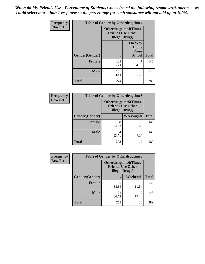*When do My Friends Use - Percentage of Students who selected the following responses.Students could select more than 1 response so the percentage for each substance will not add up to 100%.* **89**

| Frequency      | <b>Table of Gender by Otherdrugtime4</b> |                        |                                                         |              |
|----------------|------------------------------------------|------------------------|---------------------------------------------------------|--------------|
| <b>Row Pct</b> |                                          | <b>Illegal Drugs</b> ) | <b>Otherdrugtime4(Times</b><br><b>Friends Use Other</b> |              |
|                | Gender(Gender)                           |                        | <b>On Way</b><br>Home<br><b>From</b><br><b>School</b>   | <b>Total</b> |
|                | <b>Female</b>                            | 139<br>95.21           | 4.79                                                    | 146          |
|                | <b>Male</b>                              | 135<br>94.41           | 8<br>5.59                                               | 143          |
|                | <b>Total</b>                             | 274                    | 15                                                      | 289          |

| <b>Frequency</b> | <b>Table of Gender by Otherdrugtime5</b> |              |                                                                                    |              |
|------------------|------------------------------------------|--------------|------------------------------------------------------------------------------------|--------------|
| <b>Row Pct</b>   |                                          |              | <b>Otherdrugtime5</b> (Times<br><b>Friends Use Other</b><br><b>Illegal Drugs</b> ) |              |
|                  | Gender(Gender)                           |              | Weeknights                                                                         | <b>Total</b> |
|                  | <b>Female</b>                            | 138<br>94.52 | 8<br>5.48                                                                          | 146          |
|                  | <b>Male</b>                              | 134<br>93.71 | 9<br>6.29                                                                          | 143          |
|                  | <b>Total</b>                             | 272          | 17                                                                                 | 289          |

| <b>Frequency</b> |                | <b>Table of Gender by Otherdrugtime6</b>                                          |             |              |
|------------------|----------------|-----------------------------------------------------------------------------------|-------------|--------------|
| <b>Row Pct</b>   |                | <b>Otherdrugtime6(Times</b><br><b>Friends Use Other</b><br><b>Illegal Drugs</b> ) |             |              |
|                  | Gender(Gender) |                                                                                   | Weekends    | <b>Total</b> |
|                  | <b>Female</b>  | 129<br>88.36                                                                      | 17<br>11.64 | 146          |
|                  | <b>Male</b>    | 124<br>86.71                                                                      | 19<br>13.29 | 143          |
|                  | <b>Total</b>   | 253                                                                               | 36          | 289          |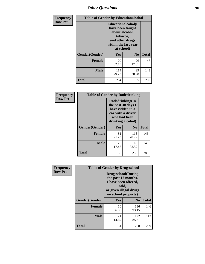# *Other Questions* **90**

| <b>Frequency</b> | <b>Table of Gender by Educationalcohol</b> |                                                                                                                                       |                |              |
|------------------|--------------------------------------------|---------------------------------------------------------------------------------------------------------------------------------------|----------------|--------------|
| <b>Row Pct</b>   |                                            | <b>Educationalcohol</b> (I<br>have been taught<br>about alcohol,<br>tobacco,<br>and other drugs<br>within the last year<br>at school) |                |              |
|                  | Gender(Gender)                             | <b>Yes</b>                                                                                                                            | N <sub>0</sub> | <b>Total</b> |
|                  | <b>Female</b>                              | 120<br>82.19                                                                                                                          | 26<br>17.81    | 146          |
|                  | <b>Male</b>                                | 114<br>79.72                                                                                                                          | 29<br>20.28    | 143          |
|                  | <b>Total</b>                               | 234                                                                                                                                   | 55             | 289          |

| Frequency      | <b>Table of Gender by Rodedrinking</b> |                                                                                                                     |              |              |
|----------------|----------------------------------------|---------------------------------------------------------------------------------------------------------------------|--------------|--------------|
| <b>Row Pct</b> |                                        | Rodedrinking(In<br>the past 30 days I<br>have ridden in a<br>car with a driver<br>who had been<br>drinking alcohol) |              |              |
|                | Gender(Gender)                         | Yes                                                                                                                 | $\bf N_0$    | <b>Total</b> |
|                | <b>Female</b>                          | 31<br>21.23                                                                                                         | 115<br>78.77 | 146          |
|                | <b>Male</b>                            | 25<br>17.48                                                                                                         | 118<br>82.52 | 143          |
|                | <b>Total</b>                           | 56                                                                                                                  | 233          | 289          |

| Frequency      | <b>Table of Gender by Drugsschool</b> |                                                                                                                                     |                |              |  |
|----------------|---------------------------------------|-------------------------------------------------------------------------------------------------------------------------------------|----------------|--------------|--|
| <b>Row Pct</b> |                                       | <b>Drugsschool</b> (During<br>the past 12 months,<br>I have been offered,<br>sold,<br>or given illegal drugs<br>on school property) |                |              |  |
|                | Gender(Gender)                        | Yes                                                                                                                                 | N <sub>0</sub> | <b>Total</b> |  |
|                | <b>Female</b>                         | 10<br>6.85                                                                                                                          | 136<br>93.15   | 146          |  |
|                | <b>Male</b>                           | 21<br>14.69                                                                                                                         | 122<br>85.31   | 143          |  |
|                | <b>Total</b>                          | 31                                                                                                                                  | 258            | 289          |  |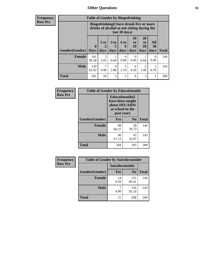## *Other Questions* **91**

**Frequency Row Pct**

| <b>Table of Gender by Bingedrinking</b> |                                                                                                         |              |                   |                   |                        |                               |                          |              |
|-----------------------------------------|---------------------------------------------------------------------------------------------------------|--------------|-------------------|-------------------|------------------------|-------------------------------|--------------------------|--------------|
|                                         | Bingedrinking(I have drunk five or more<br>drinks of alcohol at one sitting during the<br>last 30 days) |              |                   |                   |                        |                               |                          |              |
| <b>Gender</b> (Gender)                  | $\mathbf 0$<br><b>Days</b>                                                                              | 1 or<br>days | 3 to<br>5<br>days | 6 to<br>q<br>days | 10<br>to<br>19<br>days | <b>20</b><br>to<br>29<br>days | All<br><b>30</b><br>days | <b>Total</b> |
| <b>Female</b>                           | 141<br>96.58                                                                                            | 3<br>2.05    | 0.68              | 0<br>0.00         | 0<br>0.00              | 0.68                          | $\Omega$<br>0.00         | 146          |
| <b>Male</b>                             | 120<br>83.92                                                                                            | 7<br>4.90    | 4<br>2.80         | 3<br>2.10         | 6<br>4.20              | 2<br>1.40                     | 0.70                     | 143          |
|                                         |                                                                                                         |              |                   |                   |                        |                               |                          |              |

| Frequency      | <b>Table of Gender by Educationaids</b> |                                                                                                 |                |              |  |
|----------------|-----------------------------------------|-------------------------------------------------------------------------------------------------|----------------|--------------|--|
| <b>Row Pct</b> |                                         | <b>Educationaids</b> (I<br>have been taught<br>about HIV/AIDS<br>at school in the<br>past year) |                |              |  |
|                | Gender(Gender)                          | Yes                                                                                             | N <sub>0</sub> | <b>Total</b> |  |
|                | <b>Female</b>                           | 88<br>60.27                                                                                     | 58<br>39.73    | 146          |  |
|                | <b>Male</b>                             | 96<br>67.13                                                                                     | 47<br>32.87    | 143          |  |
|                | <b>Total</b>                            | 184                                                                                             | 105            | 289          |  |

| <b>Frequency</b> | <b>Table of Gender by Suicideconsider</b> |                        |                |              |  |
|------------------|-------------------------------------------|------------------------|----------------|--------------|--|
| <b>Row Pct</b>   |                                           | <b>Suicideconsider</b> |                |              |  |
|                  | Gender(Gender)                            | Yes                    | N <sub>0</sub> | <b>Total</b> |  |
|                  | <b>Female</b>                             | 14<br>9.59             | 132<br>90.41   | 146          |  |
|                  | <b>Male</b>                               | 4.90                   | 136<br>95.10   | 143          |  |
|                  | <b>Total</b>                              | 21                     | 268            | 289          |  |